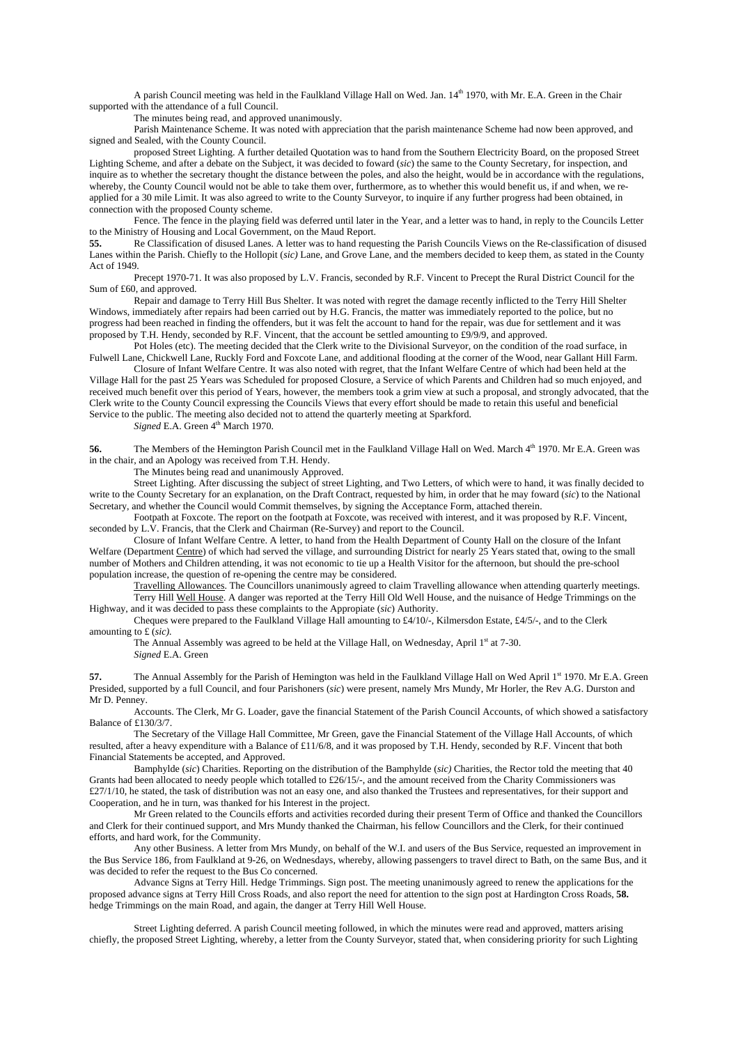A parish Council meeting was held in the Faulkland Village Hall on Wed. Jan. 14<sup>th</sup> 1970, with Mr. E.A. Green in the Chair supported with the attendance of a full Council.

The minutes being read, and approved unanimously.

 Parish Maintenance Scheme. It was noted with appreciation that the parish maintenance Scheme had now been approved, and signed and Sealed, with the County Council.

 proposed Street Lighting. A further detailed Quotation was to hand from the Southern Electricity Board, on the proposed Street Lighting Scheme, and after a debate on the Subject, it was decided to foward (*sic*) the same to the County Secretary, for inspection, and inquire as to whether the secretary thought the distance between the poles, and also the height, would be in accordance with the regulations, whereby, the County Council would not be able to take them over, furthermore, as to whether this would benefit us, if and when, we reapplied for a 30 mile Limit. It was also agreed to write to the County Surveyor, to inquire if any further progress had been obtained, in connection with the proposed County scheme.

 Fence. The fence in the playing field was deferred until later in the Year, and a letter was to hand, in reply to the Councils Letter to the Ministry of Housing and Local Government, on the Maud Report.<br>55. Re Classification of disused Lanes A letter was to hand reque

**55.** Re Classification of disused Lanes. A letter was to hand requesting the Parish Councils Views on the Re-classification of disused Lanes within the Parish. Chiefly to the Hollopit (*sic)* Lane, and Grove Lane, and the members decided to keep them, as stated in the County Act of 1949.

 Precept 1970-71. It was also proposed by L.V. Francis, seconded by R.F. Vincent to Precept the Rural District Council for the Sum of £60, and approved.

 Repair and damage to Terry Hill Bus Shelter. It was noted with regret the damage recently inflicted to the Terry Hill Shelter Windows, immediately after repairs had been carried out by H.G. Francis, the matter was immediately reported to the police, but no progress had been reached in finding the offenders, but it was felt the account to hand for the repair, was due for settlement and it was proposed by T.H. Hendy, seconded by R.F. Vincent, that the account be settled amounting to £9/9/9, and approved.

Pot Holes (etc). The meeting decided that the Clerk write to the Divisional Surveyor, on the condition of the road surface, in Fulwell Lane, Chickwell Lane, Ruckly Ford and Foxcote Lane, and additional flooding at the corner of the Wood, near Gallant Hill Farm.

 Closure of Infant Welfare Centre. It was also noted with regret, that the Infant Welfare Centre of which had been held at the Village Hall for the past 25 Years was Scheduled for proposed Closure, a Service of which Parents and Children had so much enjoyed, and received much benefit over this period of Years, however, the members took a grim view at such a proposal, and strongly advocated, that the Clerk write to the County Council expressing the Councils Views that every effort should be made to retain this useful and beneficial Service to the public. The meeting also decided not to attend the quarterly meeting at Sparkford.

*Signed* E.A. Green  $4<sup>th</sup>$  March 1970.

56. The Members of the Hemington Parish Council met in the Faulkland Village Hall on Wed. March 4<sup>th</sup> 1970. Mr E.A. Green was in the chair, and an Apology was received from T.H. Hendy.

The Minutes being read and unanimously Approved.

 Street Lighting. After discussing the subject of street Lighting, and Two Letters, of which were to hand, it was finally decided to write to the County Secretary for an explanation, on the Draft Contract, requested by him, in order that he may foward (*sic*) to the National Secretary, and whether the Council would Commit themselves, by signing the Acceptance Form, attached therein.

 Footpath at Foxcote. The report on the footpath at Foxcote, was received with interest, and it was proposed by R.F. Vincent, seconded by L.V. Francis, that the Clerk and Chairman (Re-Survey) and report to the Council.

 Closure of Infant Welfare Centre. A letter, to hand from the Health Department of County Hall on the closure of the Infant Welfare (Department Centre) of which had served the village, and surrounding District for nearly 25 Years stated that, owing to the small number of Mothers and Children attending, it was not economic to tie up a Health Visitor for the afternoon, but should the pre-school population increase, the question of re-opening the centre may be considered.

 Travelling Allowances. The Councillors unanimously agreed to claim Travelling allowance when attending quarterly meetings. Terry Hill Well House. A danger was reported at the Terry Hill Old Well House, and the nuisance of Hedge Trimmings on the Highway, and it was decided to pass these complaints to the Appropiate (*sic*) Authority.

 Cheques were prepared to the Faulkland Village Hall amounting to £4/10/-, Kilmersdon Estate, £4/5/-, and to the Clerk amounting to £ (*sic).*

The Annual Assembly was agreed to be held at the Village Hall, on Wednesday, April 1st at 7-30. *Signed* E.A. Green

**57.** The Annual Assembly for the Parish of Hemington was held in the Faulkland Village Hall on Wed April 1<sup>st</sup> 1970. Mr E.A. Green Presided, supported by a full Council, and four Parishoners (*sic*) were present, namely Mrs Mundy, Mr Horler, the Rev A.G. Durston and Mr D. Penney.

 Accounts. The Clerk, Mr G. Loader, gave the financial Statement of the Parish Council Accounts, of which showed a satisfactory Balance of £130/3/7.

 The Secretary of the Village Hall Committee, Mr Green, gave the Financial Statement of the Village Hall Accounts, of which resulted, after a heavy expenditure with a Balance of £11/6/8, and it was proposed by T.H. Hendy, seconded by R.F. Vincent that both Financial Statements be accepted, and Approved.

 Bamphylde (*sic*) Charities. Reporting on the distribution of the Bamphylde (*sic)* Charities, the Rector told the meeting that 40 Grants had been allocated to needy people which totalled to £26/15/-, and the amount received from the Charity Commissioners was £27/1/10, he stated, the task of distribution was not an easy one, and also thanked the Trustees and representatives, for their support and Cooperation, and he in turn, was thanked for his Interest in the project.

 Mr Green related to the Councils efforts and activities recorded during their present Term of Office and thanked the Councillors and Clerk for their continued support, and Mrs Mundy thanked the Chairman, his fellow Councillors and the Clerk, for their continued efforts, and hard work, for the Community.

 Any other Business. A letter from Mrs Mundy, on behalf of the W.I. and users of the Bus Service, requested an improvement in the Bus Service 186, from Faulkland at 9-26, on Wednesdays, whereby, allowing passengers to travel direct to Bath, on the same Bus, and it was decided to refer the request to the Bus Co concerned.

 Advance Signs at Terry Hill. Hedge Trimmings. Sign post. The meeting unanimously agreed to renew the applications for the proposed advance signs at Terry Hill Cross Roads, and also report the need for attention to the sign post at Hardington Cross Roads, **58.** hedge Trimmings on the main Road, and again, the danger at Terry Hill Well House.

 Street Lighting deferred. A parish Council meeting followed, in which the minutes were read and approved, matters arising chiefly, the proposed Street Lighting, whereby, a letter from the County Surveyor, stated that, when considering priority for such Lighting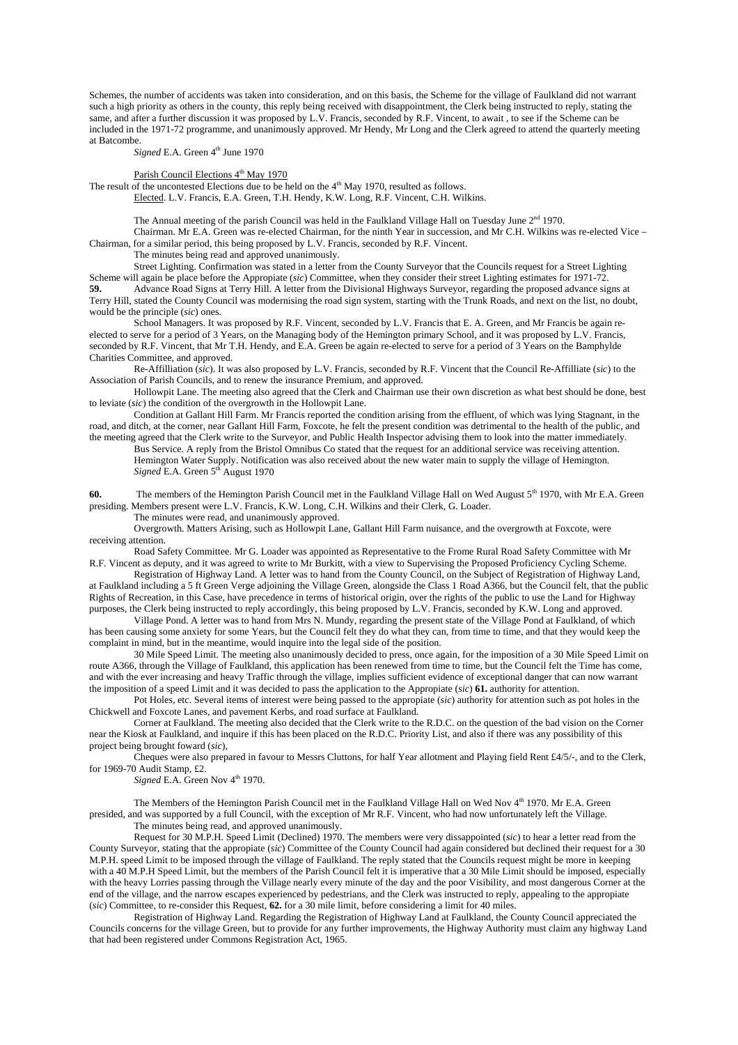Schemes, the number of accidents was taken into consideration, and on this basis, the Scheme for the village of Faulkland did not warrant such a high priority as others in the county, this reply being received with disappointment, the Clerk being instructed to reply, stating the same, and after a further discussion it was proposed by L.V. Francis, seconded by R.F. Vincent, to await , to see if the Scheme can be included in the 1971-72 programme, and unanimously approved. Mr Hendy, Mr Long and the Clerk agreed to attend the quarterly meeting at Batcombe.

*Signed* E.A. Green  $4<sup>th</sup>$  June 1970

# Parish Council Elections 4<sup>th</sup> May 1970

The result of the uncontested Elections due to be held on the  $4<sup>th</sup>$  May 1970, resulted as follows. Elected. L.V. Francis, E.A. Green, T.H. Hendy, K.W. Long, R.F. Vincent, C.H. Wilkins.

The Annual meeting of the parish Council was held in the Faulkland Village Hall on Tuesday June 2<sup>nd</sup> 1970.

 Chairman. Mr E.A. Green was re-elected Chairman, for the ninth Year in succession, and Mr C.H. Wilkins was re-elected Vice – Chairman, for a similar period, this being proposed by L.V. Francis, seconded by R.F. Vincent.

The minutes being read and approved unanimously.

 Street Lighting. Confirmation was stated in a letter from the County Surveyor that the Councils request for a Street Lighting Scheme will again be place before the Appropiate (*sic*) Committee, when they consider their street Lighting estimates for 1971-72. **59.** Advance Road Signs at Terry Hill. A letter from the Divisional Highways Surveyor, regarding the proposed advance signs at

Terry Hill, stated the County Council was modernising the road sign system, starting with the Trunk Roads, and next on the list, no doubt, would be the principle (*sic*) ones.

 School Managers. It was proposed by R.F. Vincent, seconded by L.V. Francis that E. A. Green, and Mr Francis be again reelected to serve for a period of 3 Years, on the Managing body of the Hemington primary School, and it was proposed by L.V. Francis, seconded by R.F. Vincent, that Mr T.H. Hendy, and E.A. Green be again re-elected to serve for a period of 3 Years on the Bamphylde Charities Committee, and approved.

 Re-Affilliation (*sic*). It was also proposed by L.V. Francis, seconded by R.F. Vincent that the Council Re-Affilliate (*sic*) to the Association of Parish Councils, and to renew the insurance Premium, and approved.

 Hollowpit Lane. The meeting also agreed that the Clerk and Chairman use their own discretion as what best should be done, best to leviate (*sic*) the condition of the overgrowth in the Hollowpit Lane.

 Condition at Gallant Hill Farm. Mr Francis reported the condition arising from the effluent, of which was lying Stagnant, in the road, and ditch, at the corner, near Gallant Hill Farm, Foxcote, he felt the present condition was detrimental to the health of the public, and

the meeting agreed that the Clerk write to the Surveyor, and Public Health Inspector advising them to look into the matter immediately. Bus Service. A reply from the Bristol Omnibus Co stated that the request for an additional service was receiving attention. Hemington Water Supply. Notification was also received about the new water main to supply the village of Hemington. *Signed* E.A. Green 5<sup>th</sup> August 1970

**60.** The members of the Hemington Parish Council met in the Faulkland Village Hall on Wed August 5<sup>th</sup> 1970, with Mr E.A. Green presiding. Members present were L.V. Francis, K.W. Long, C.H. Wilkins and their Clerk, G. Loader.

The minutes were read, and unanimously approved.

 Overgrowth. Matters Arising, such as Hollowpit Lane, Gallant Hill Farm nuisance, and the overgrowth at Foxcote, were receiving attention.

 Road Safety Committee. Mr G. Loader was appointed as Representative to the Frome Rural Road Safety Committee with Mr R.F. Vincent as deputy, and it was agreed to write to Mr Burkitt, with a view to Supervising the Proposed Proficiency Cycling Scheme.

 Registration of Highway Land. A letter was to hand from the County Council, on the Subject of Registration of Highway Land, at Faulkland including a 5 ft Green Verge adjoining the Village Green, alongside the Class 1 Road A366, but the Council felt, that the public Rights of Recreation, in this Case, have precedence in terms of historical origin, over the rights of the public to use the Land for Highway purposes, the Clerk being instructed to reply accordingly, this being proposed by L.V. Francis, seconded by K.W. Long and approved.

 Village Pond. A letter was to hand from Mrs N. Mundy, regarding the present state of the Village Pond at Faulkland, of which has been causing some anxiety for some Years, but the Council felt they do what they can, from time to time, and that they would keep the complaint in mind, but in the meantime, would inquire into the legal side of the position.

 30 Mile Speed Limit. The meeting also unanimously decided to press, once again, for the imposition of a 30 Mile Speed Limit on route A366, through the Village of Faulkland, this application has been renewed from time to time, but the Council felt the Time has come, and with the ever increasing and heavy Traffic through the village, implies sufficient evidence of exceptional danger that can now warrant the imposition of a speed Limit and it was decided to pass the application to the Appropiate (*sic*) **61.** authority for attention.

Pot Holes, etc. Several items of interest were being passed to the appropiate (*sic*) authority for attention such as pot holes in the Chickwell and Foxcote Lanes, and pavement Kerbs, and road surface at Faulkland.

 Corner at Faulkland. The meeting also decided that the Clerk write to the R.D.C. on the question of the bad vision on the Corner near the Kiosk at Faulkland, and inquire if this has been placed on the R.D.C. Priority List, and also if there was any possibility of this project being brought foward (*sic*),

Cheques were also prepared in favour to Messrs Cluttons, for half Year allotment and Playing field Rent  $\text{\textsterling}4/5/$ -, and to the Clerk, for 1969-70 Audit Stamp, £2.

*Signed* E.A. Green Nov 4<sup>th</sup> 1970.

The Members of the Hemington Parish Council met in the Faulkland Village Hall on Wed Nov 4th 1970. Mr E.A. Green presided, and was supported by a full Council, with the exception of Mr R.F. Vincent, who had now unfortunately left the Village.

The minutes being read, and approved unanimously.

 Request for 30 M.P.H. Speed Limit (Declined) 1970. The members were very dissappointed (*sic*) to hear a letter read from the County Surveyor, stating that the appropiate (*sic*) Committee of the County Council had again considered but declined their request for a 30 M.P.H. speed Limit to be imposed through the village of Faulkland. The reply stated that the Councils request might be more in keeping with a 40 M.P.H Speed Limit, but the members of the Parish Council felt it is imperative that a 30 Mile Limit should be imposed, especially with the heavy Lorries passing through the Village nearly every minute of the day and the poor Visibility, and most dangerous Corner at the end of the village, and the narrow escapes experienced by pedestrians, and the Clerk was instructed to reply, appealing to the appropiate (*sic*) Committee, to re-consider this Request, **62.** for a 30 mile limit, before considering a limit for 40 miles.

 Registration of Highway Land. Regarding the Registration of Highway Land at Faulkland, the County Council appreciated the Councils concerns for the village Green, but to provide for any further improvements, the Highway Authority must claim any highway Land that had been registered under Commons Registration Act, 1965.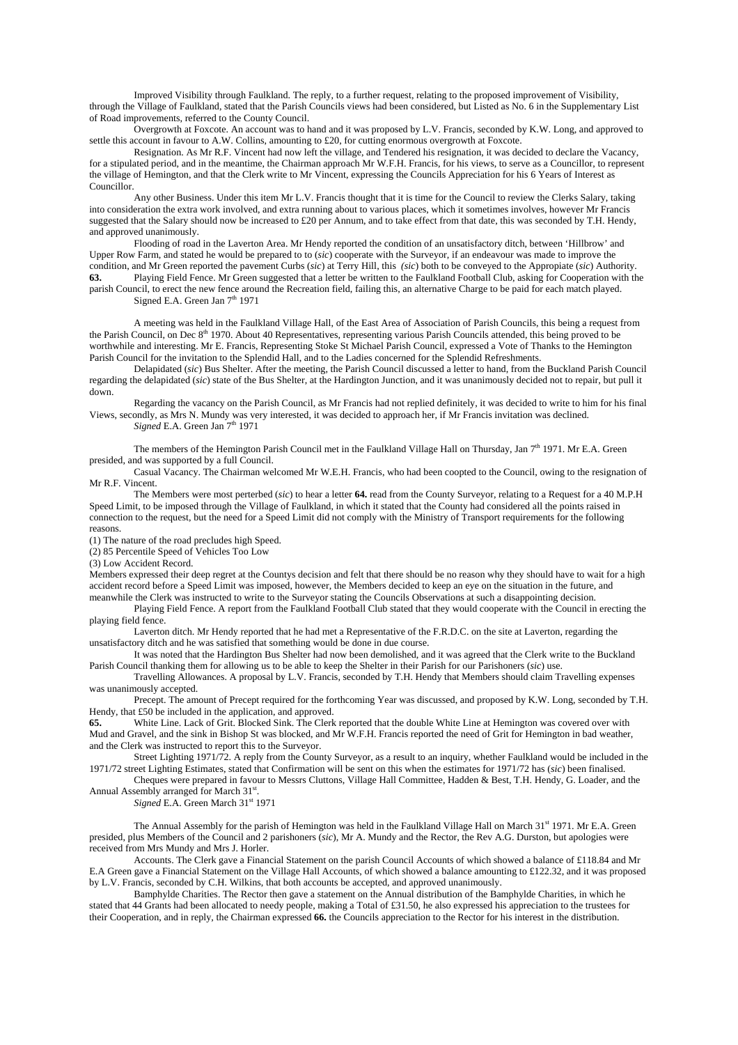Improved Visibility through Faulkland. The reply, to a further request, relating to the proposed improvement of Visibility, through the Village of Faulkland, stated that the Parish Councils views had been considered, but Listed as No. 6 in the Supplementary List of Road improvements, referred to the County Council.

 Overgrowth at Foxcote. An account was to hand and it was proposed by L.V. Francis, seconded by K.W. Long, and approved to settle this account in favour to A.W. Collins, amounting to £20, for cutting enormous overgrowth at Foxcote.

 Resignation. As Mr R.F. Vincent had now left the village, and Tendered his resignation, it was decided to declare the Vacancy, for a stipulated period, and in the meantime, the Chairman approach Mr W.F.H. Francis, for his views, to serve as a Councillor, to represent the village of Hemington, and that the Clerk write to Mr Vincent, expressing the Councils Appreciation for his 6 Years of Interest as Councillor.

 Any other Business. Under this item Mr L.V. Francis thought that it is time for the Council to review the Clerks Salary, taking into consideration the extra work involved, and extra running about to various places, which it sometimes involves, however Mr Francis suggested that the Salary should now be increased to £20 per Annum, and to take effect from that date, this was seconded by T.H. Hendy, and approved unanimously.

 Flooding of road in the Laverton Area. Mr Hendy reported the condition of an unsatisfactory ditch, between 'Hillbrow' and Upper Row Farm, and stated he would be prepared to to (*sic*) cooperate with the Surveyor, if an endeavour was made to improve the condition, and Mr Green reported the pavement Curbs (*sic*) at Terry Hill, this *(sic*) both to be conveyed to the Appropiate (*sic*) Authority.

**63.** Playing Field Fence. Mr Green suggested that a letter be written to the Faulkland Football Club, asking for Cooperation with the parish Council, to erect the new fence around the Recreation field, failing this, an alternative Charge to be paid for each match played. Signed E.A. Green Jan 7<sup>th</sup> 1971

 A meeting was held in the Faulkland Village Hall, of the East Area of Association of Parish Councils, this being a request from the Parish Council, on Dec 8<sup>th</sup> 1970. About 40 Representatives, representing various Parish Councils attended, this being proved to be worthwhile and interesting. Mr E. Francis, Representing Stoke St Michael Parish Council, expressed a Vote of Thanks to the Hemington Parish Council for the invitation to the Splendid Hall, and to the Ladies concerned for the Splendid Refreshments.

 Delapidated (*sic*) Bus Shelter. After the meeting, the Parish Council discussed a letter to hand, from the Buckland Parish Council regarding the delapidated (*sic*) state of the Bus Shelter, at the Hardington Junction, and it was unanimously decided not to repair, but pull it down.

 Regarding the vacancy on the Parish Council, as Mr Francis had not replied definitely, it was decided to write to him for his final Views, secondly, as Mrs N. Mundy was very interested, it was decided to approach her, if Mr Francis invitation was declined. *Signed E.A. Green Jan* 7<sup>th</sup> 1971

The members of the Hemington Parish Council met in the Faulkland Village Hall on Thursday, Jan  $7<sup>th</sup>$  1971. Mr E.A. Green presided, and was supported by a full Council.

 Casual Vacancy. The Chairman welcomed Mr W.E.H. Francis, who had been coopted to the Council, owing to the resignation of Mr R.F. Vincent.

 The Members were most perterbed (*sic*) to hear a letter **64.** read from the County Surveyor, relating to a Request for a 40 M.P.H Speed Limit, to be imposed through the Village of Faulkland, in which it stated that the County had considered all the points raised in connection to the request, but the need for a Speed Limit did not comply with the Ministry of Transport requirements for the following reasons.

(1) The nature of the road precludes high Speed.

(2) 85 Percentile Speed of Vehicles Too Low

(3) Low Accident Record.

Members expressed their deep regret at the Countys decision and felt that there should be no reason why they should have to wait for a high accident record before a Speed Limit was imposed, however, the Members decided to keep an eye on the situation in the future, and meanwhile the Clerk was instructed to write to the Surveyor stating the Councils Observations at such a disappointing decision.

 Playing Field Fence. A report from the Faulkland Football Club stated that they would cooperate with the Council in erecting the playing field fence.

 Laverton ditch. Mr Hendy reported that he had met a Representative of the F.R.D.C. on the site at Laverton, regarding the unsatisfactory ditch and he was satisfied that something would be done in due course.

 It was noted that the Hardington Bus Shelter had now been demolished, and it was agreed that the Clerk write to the Buckland Parish Council thanking them for allowing us to be able to keep the Shelter in their Parish for our Parishoners (*sic*) use.

 Travelling Allowances. A proposal by L.V. Francis, seconded by T.H. Hendy that Members should claim Travelling expenses was unanimously accepted.

 Precept. The amount of Precept required for the forthcoming Year was discussed, and proposed by K.W. Long, seconded by T.H. Hendy, that £50 be included in the application, and approved.

**65.** White Line. Lack of Grit. Blocked Sink. The Clerk reported that the double White Line at Hemington was covered over with Mud and Gravel, and the sink in Bishop St was blocked, and Mr W.F.H. Francis reported the need of Grit for Hemington in bad weather, and the Clerk was instructed to report this to the Surveyor.

 Street Lighting 1971/72. A reply from the County Surveyor, as a result to an inquiry, whether Faulkland would be included in the 1971/72 street Lighting Estimates, stated that Confirmation will be sent on this when the estimates for 1971/72 has (*sic*) been finalised.

 Cheques were prepared in favour to Messrs Cluttons, Village Hall Committee, Hadden & Best, T.H. Hendy, G. Loader, and the Annual Assembly arranged for March 31<sup>st</sup>.

*Signed* E.A. Green March 31st 1971

The Annual Assembly for the parish of Hemington was held in the Faulkland Village Hall on March  $31<sup>st</sup> 1971$ . Mr E.A. Green presided, plus Members of the Council and 2 parishoners (*sic*), Mr A. Mundy and the Rector, the Rev A.G. Durston, but apologies were received from Mrs Mundy and Mrs J. Horler.

 Accounts. The Clerk gave a Financial Statement on the parish Council Accounts of which showed a balance of £118.84 and Mr E.A Green gave a Financial Statement on the Village Hall Accounts, of which showed a balance amounting to £122.32, and it was proposed by L.V. Francis, seconded by C.H. Wilkins, that both accounts be accepted, and approved unanimously.

 Bamphylde Charities. The Rector then gave a statement on the Annual distribution of the Bamphylde Charities, in which he stated that 44 Grants had been allocated to needy people, making a Total of £31.50, he also expressed his appreciation to the trustees for their Cooperation, and in reply, the Chairman expressed **66.** the Councils appreciation to the Rector for his interest in the distribution.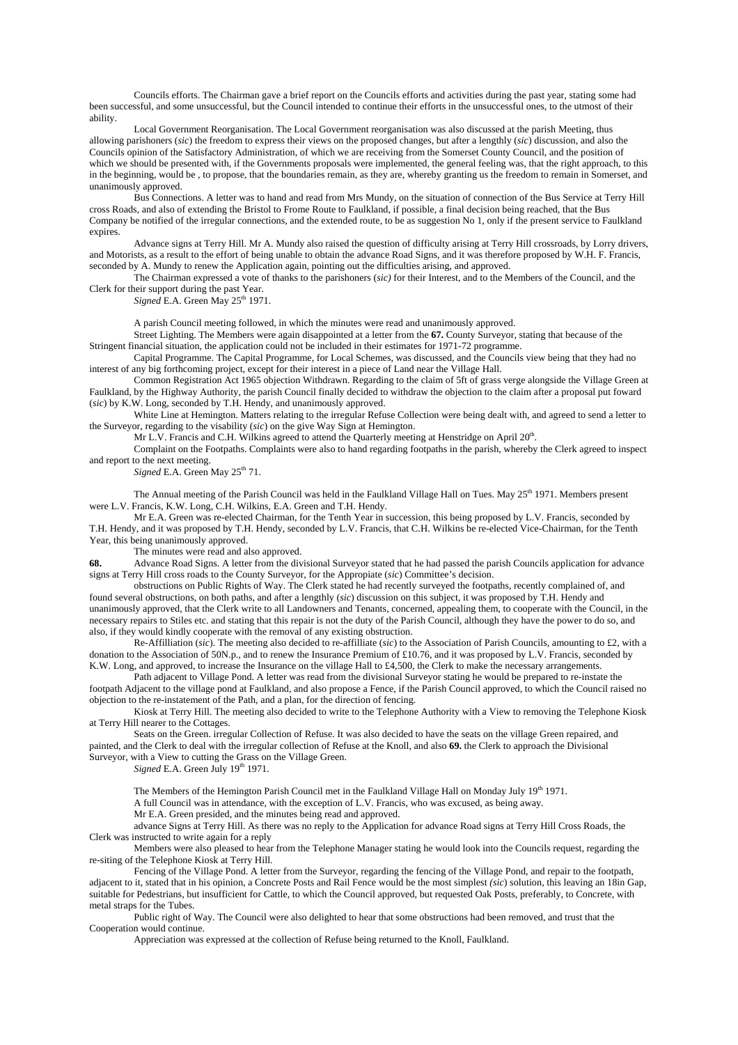Councils efforts. The Chairman gave a brief report on the Councils efforts and activities during the past year, stating some had been successful, and some unsuccessful, but the Council intended to continue their efforts in the unsuccessful ones, to the utmost of their ability.

 Local Government Reorganisation. The Local Government reorganisation was also discussed at the parish Meeting, thus allowing parishoners (*sic*) the freedom to express their views on the proposed changes, but after a lengthly (*sic*) discussion, and also the Councils opinion of the Satisfactory Administration, of which we are receiving from the Somerset County Council, and the position of which we should be presented with, if the Governments proposals were implemented, the general feeling was, that the right approach, to this in the beginning, would be , to propose, that the boundaries remain, as they are, whereby granting us the freedom to remain in Somerset, and unanimously approved.

 Bus Connections. A letter was to hand and read from Mrs Mundy, on the situation of connection of the Bus Service at Terry Hill cross Roads, and also of extending the Bristol to Frome Route to Faulkland, if possible, a final decision being reached, that the Bus Company be notified of the irregular connections, and the extended route, to be as suggestion No 1, only if the present service to Faulkland expires.

 Advance signs at Terry Hill. Mr A. Mundy also raised the question of difficulty arising at Terry Hill crossroads, by Lorry drivers, and Motorists, as a result to the effort of being unable to obtain the advance Road Signs, and it was therefore proposed by W.H. F. Francis, seconded by A. Mundy to renew the Application again, pointing out the difficulties arising, and approved.

 The Chairman expressed a vote of thanks to the parishoners (*sic)* for their Interest, and to the Members of the Council, and the Clerk for their support during the past Year.

*Signed* E.A. Green May 25<sup>th</sup> 1971.

A parish Council meeting followed, in which the minutes were read and unanimously approved.

 Street Lighting. The Members were again disappointed at a letter from the **67.** County Surveyor, stating that because of the Stringent financial situation, the application could not be included in their estimates for 1971-72 programme.

 Capital Programme. The Capital Programme, for Local Schemes, was discussed, and the Councils view being that they had no interest of any big forthcoming project, except for their interest in a piece of Land near the Village Hall.

 Common Registration Act 1965 objection Withdrawn. Regarding to the claim of 5ft of grass verge alongside the Village Green at Faulkland, by the Highway Authority, the parish Council finally decided to withdraw the objection to the claim after a proposal put foward (*sic*) by K.W. Long, seconded by T.H. Hendy, and unanimously approved.

 White Line at Hemington. Matters relating to the irregular Refuse Collection were being dealt with, and agreed to send a letter to the Surveyor, regarding to the visability (*sic*) on the give Way Sign at Hemington.

Mr L.V. Francis and C.H. Wilkins agreed to attend the Quarterly meeting at Henstridge on April 20<sup>th</sup>.

 Complaint on the Footpaths. Complaints were also to hand regarding footpaths in the parish, whereby the Clerk agreed to inspect and report to the next meeting.

Signed E.A. Green May 25<sup>th</sup> 71.

The Annual meeting of the Parish Council was held in the Faulkland Village Hall on Tues. May  $25<sup>th</sup> 1971$ . Members present were L.V. Francis, K.W. Long, C.H. Wilkins, E.A. Green and T.H. Hendy.

 Mr E.A. Green was re-elected Chairman, for the Tenth Year in succession, this being proposed by L.V. Francis, seconded by T.H. Hendy, and it was proposed by T.H. Hendy, seconded by L.V. Francis, that C.H. Wilkins be re-elected Vice-Chairman, for the Tenth Year, this being unanimously approved.

The minutes were read and also approved.

**68.** Advance Road Signs. A letter from the divisional Surveyor stated that he had passed the parish Councils application for advance signs at Terry Hill cross roads to the County Surveyor, for the Appropiate (*sic*) Committee's decision.

 obstructions on Public Rights of Way. The Clerk stated he had recently surveyed the footpaths, recently complained of, and found several obstructions, on both paths, and after a lengthly (*sic*) discussion on this subject, it was proposed by T.H. Hendy and unanimously approved, that the Clerk write to all Landowners and Tenants, concerned, appealing them, to cooperate with the Council, in the necessary repairs to Stiles etc. and stating that this repair is not the duty of the Parish Council, although they have the power to do so, and also, if they would kindly cooperate with the removal of any existing obstruction.

 Re-Affilliation (*sic*). The meeting also decided to re-affilliate (*sic*) to the Association of Parish Councils, amounting to £2, with a donation to the Association of 50N.p., and to renew the Insurance Premium of £10.76, and it was proposed by L.V. Francis, seconded by K.W. Long, and approved, to increase the Insurance on the village Hall to £4,500, the Clerk to make the necessary arrangements.

 Path adjacent to Village Pond. A letter was read from the divisional Surveyor stating he would be prepared to re-instate the footpath Adjacent to the village pond at Faulkland, and also propose a Fence, if the Parish Council approved, to which the Council raised no objection to the re-instatement of the Path, and a plan, for the direction of fencing.

 Kiosk at Terry Hill. The meeting also decided to write to the Telephone Authority with a View to removing the Telephone Kiosk at Terry Hill nearer to the Cottages.

 Seats on the Green. irregular Collection of Refuse. It was also decided to have the seats on the village Green repaired, and painted, and the Clerk to deal with the irregular collection of Refuse at the Knoll, and also **69.** the Clerk to approach the Divisional Surveyor, with a View to cutting the Grass on the Village Green.

*Signed* E.A. Green July 19<sup>th</sup> 1971.

The Members of the Hemington Parish Council met in the Faulkland Village Hall on Monday July 19<sup>th</sup> 1971.

A full Council was in attendance, with the exception of L.V. Francis, who was excused, as being away.

Mr E.A. Green presided, and the minutes being read and approved.

 advance Signs at Terry Hill. As there was no reply to the Application for advance Road signs at Terry Hill Cross Roads, the Clerk was instructed to write again for a reply

 Members were also pleased to hear from the Telephone Manager stating he would look into the Councils request, regarding the re-siting of the Telephone Kiosk at Terry Hill.

 Fencing of the Village Pond. A letter from the Surveyor, regarding the fencing of the Village Pond, and repair to the footpath, adjacent to it, stated that in his opinion, a Concrete Posts and Rail Fence would be the most simplest *(sic*) solution, this leaving an 18in Gap, suitable for Pedestrians, but insufficient for Cattle, to which the Council approved, but requested Oak Posts, preferably, to Concrete, with metal straps for the Tubes.

 Public right of Way. The Council were also delighted to hear that some obstructions had been removed, and trust that the Cooperation would continue.

Appreciation was expressed at the collection of Refuse being returned to the Knoll, Faulkland.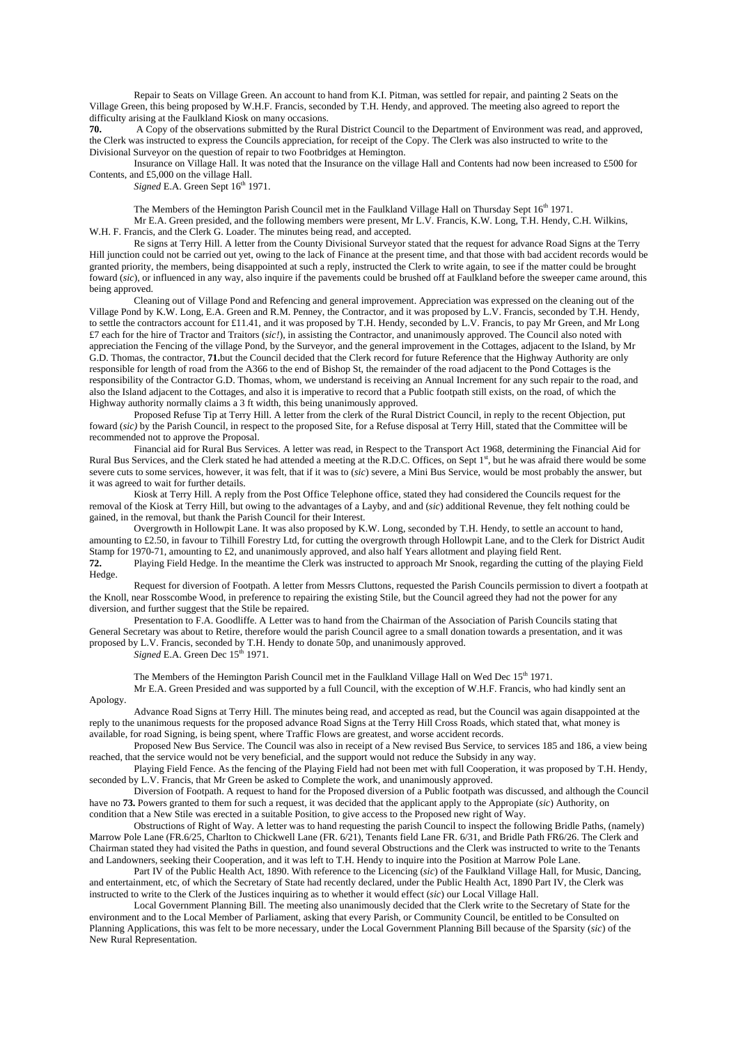Repair to Seats on Village Green. An account to hand from K.I. Pitman, was settled for repair, and painting 2 Seats on the Village Green, this being proposed by W.H.F. Francis, seconded by T.H. Hendy, and approved. The meeting also agreed to report the difficulty arising at the Faulkland Kiosk on many occasions.

**70.** A Copy of the observations submitted by the Rural District Council to the Department of Environment was read, and approved, the Clerk was instructed to express the Councils appreciation, for receipt of the Copy. The Clerk was also instructed to write to the Divisional Surveyor on the question of repair to two Footbridges at Hemington.

 Insurance on Village Hall. It was noted that the Insurance on the village Hall and Contents had now been increased to £500 for Contents, and £5,000 on the village Hall.

*Signed* E.A. Green Sept  $16<sup>th</sup> 1971$ .

The Members of the Hemington Parish Council met in the Faulkland Village Hall on Thursday Sept 16<sup>th</sup> 1971.

 Mr E.A. Green presided, and the following members were present, Mr L.V. Francis, K.W. Long, T.H. Hendy, C.H. Wilkins, W.H. F. Francis, and the Clerk G. Loader. The minutes being read, and accepted.

 Re signs at Terry Hill. A letter from the County Divisional Surveyor stated that the request for advance Road Signs at the Terry Hill junction could not be carried out yet, owing to the lack of Finance at the present time, and that those with bad accident records would be granted priority, the members, being disappointed at such a reply, instructed the Clerk to write again, to see if the matter could be brought foward (*sic*), or influenced in any way, also inquire if the pavements could be brushed off at Faulkland before the sweeper came around, this being approved.

 Cleaning out of Village Pond and Refencing and general improvement. Appreciation was expressed on the cleaning out of the Village Pond by K.W. Long, E.A. Green and R.M. Penney, the Contractor, and it was proposed by L.V. Francis, seconded by T.H. Hendy, to settle the contractors account for £11.41, and it was proposed by T.H. Hendy, seconded by L.V. Francis, to pay Mr Green, and Mr Long £7 each for the hire of Tractor and Traitors (*sic!*), in assisting the Contractor, and unanimously approved. The Council also noted with appreciation the Fencing of the village Pond, by the Surveyor, and the general improvement in the Cottages, adjacent to the Island, by Mr G.D. Thomas, the contractor, **71.**but the Council decided that the Clerk record for future Reference that the Highway Authority are only responsible for length of road from the A366 to the end of Bishop St, the remainder of the road adjacent to the Pond Cottages is the responsibility of the Contractor G.D. Thomas, whom, we understand is receiving an Annual Increment for any such repair to the road, and also the Island adjacent to the Cottages, and also it is imperative to record that a Public footpath still exists, on the road, of which the Highway authority normally claims a 3 ft width, this being unanimously approved.

 Proposed Refuse Tip at Terry Hill. A letter from the clerk of the Rural District Council, in reply to the recent Objection, put foward (*sic)* by the Parish Council, in respect to the proposed Site, for a Refuse disposal at Terry Hill, stated that the Committee will be recommended not to approve the Proposal.

 Financial aid for Rural Bus Services. A letter was read, in Respect to the Transport Act 1968, determining the Financial Aid for Rural Bus Services, and the Clerk stated he had attended a meeting at the R.D.C. Offices, on Sept  $1<sup>st</sup>$ , but he was afraid there would be some severe cuts to some services, however, it was felt, that if it was to (*sic*) severe, a Mini Bus Service, would be most probably the answer, but it was agreed to wait for further details.

 Kiosk at Terry Hill. A reply from the Post Office Telephone office, stated they had considered the Councils request for the removal of the Kiosk at Terry Hill, but owing to the advantages of a Layby, and and (*sic*) additional Revenue, they felt nothing could be gained, in the removal, but thank the Parish Council for their Interest.

 Overgrowth in Hollowpit Lane. It was also proposed by K.W. Long, seconded by T.H. Hendy, to settle an account to hand, amounting to £2.50, in favour to Tilhill Forestry Ltd, for cutting the overgrowth through Hollowpit Lane, and to the Clerk for District Audit Stamp for 1970-71, amounting to £2, and unanimously approved, and also half Years allotment and playing field Rent.

**72.** Playing Field Hedge. In the meantime the Clerk was instructed to approach Mr Snook, regarding the cutting of the playing Field Hedge.

 Request for diversion of Footpath. A letter from Messrs Cluttons, requested the Parish Councils permission to divert a footpath at the Knoll, near Rosscombe Wood, in preference to repairing the existing Stile, but the Council agreed they had not the power for any diversion, and further suggest that the Stile be repaired.

 Presentation to F.A. Goodliffe. A Letter was to hand from the Chairman of the Association of Parish Councils stating that General Secretary was about to Retire, therefore would the parish Council agree to a small donation towards a presentation, and it was proposed by L.V. Francis, seconded by T.H. Hendy to donate 50p, and unanimously approved.

*Signed* E.A. Green Dec 15<sup>th</sup> 1971.

The Members of the Hemington Parish Council met in the Faulkland Village Hall on Wed Dec  $15<sup>th</sup> 1971$ . Mr E.A. Green Presided and was supported by a full Council, with the exception of W.H.F. Francis, who had kindly sent an

Apology.

 Advance Road Signs at Terry Hill. The minutes being read, and accepted as read, but the Council was again disappointed at the reply to the unanimous requests for the proposed advance Road Signs at the Terry Hill Cross Roads, which stated that, what money is available, for road Signing, is being spent, where Traffic Flows are greatest, and worse accident records.

 Proposed New Bus Service. The Council was also in receipt of a New revised Bus Service, to services 185 and 186, a view being reached, that the service would not be very beneficial, and the support would not reduce the Subsidy in any way.

 Playing Field Fence. As the fencing of the Playing Field had not been met with full Cooperation, it was proposed by T.H. Hendy, seconded by L.V. Francis, that Mr Green be asked to Complete the work, and unanimously approved.

 Diversion of Footpath. A request to hand for the Proposed diversion of a Public footpath was discussed, and although the Council have no **73.** Powers granted to them for such a request, it was decided that the applicant apply to the Appropiate (*sic*) Authority, on condition that a New Stile was erected in a suitable Position, to give access to the Proposed new right of Way.

 Obstructions of Right of Way. A letter was to hand requesting the parish Council to inspect the following Bridle Paths, (namely) Marrow Pole Lane (FR.6/25, Charlton to Chickwell Lane (FR. 6/21), Tenants field Lane FR. 6/31, and Bridle Path FR6/26. The Clerk and Chairman stated they had visited the Paths in question, and found several Obstructions and the Clerk was instructed to write to the Tenants and Landowners, seeking their Cooperation, and it was left to T.H. Hendy to inquire into the Position at Marrow Pole Lane.

 Part IV of the Public Health Act, 1890. With reference to the Licencing (*sic*) of the Faulkland Village Hall, for Music, Dancing, and entertainment, etc, of which the Secretary of State had recently declared, under the Public Health Act, 1890 Part IV, the Clerk was instructed to write to the Clerk of the Justices inquiring as to whether it would effect (*sic*) our Local Village Hall.

 Local Government Planning Bill. The meeting also unanimously decided that the Clerk write to the Secretary of State for the environment and to the Local Member of Parliament, asking that every Parish, or Community Council, be entitled to be Consulted on Planning Applications, this was felt to be more necessary, under the Local Government Planning Bill because of the Sparsity (*sic*) of the New Rural Representation.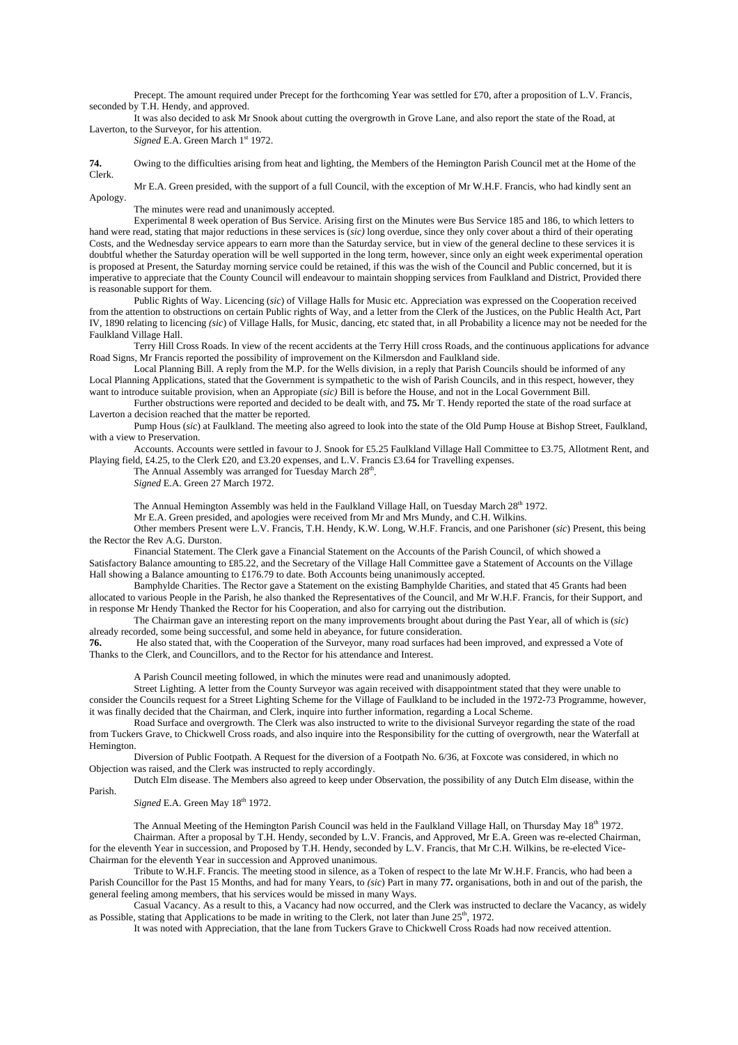Precept. The amount required under Precept for the forthcoming Year was settled for £70, after a proposition of L.V. Francis, seconded by T.H. Hendy, and approved.

 It was also decided to ask Mr Snook about cutting the overgrowth in Grove Lane, and also report the state of the Road, at Laverton, to the Surveyor, for his attention.

*Signed* E.A. Green March 1<sup>st</sup> 1972.

**74.** Owing to the difficulties arising from heat and lighting, the Members of the Hemington Parish Council met at the Home of the Clerk.

 Mr E.A. Green presided, with the support of a full Council, with the exception of Mr W.H.F. Francis, who had kindly sent an Apology.

The minutes were read and unanimously accepted.

 Experimental 8 week operation of Bus Service. Arising first on the Minutes were Bus Service 185 and 186, to which letters to hand were read, stating that major reductions in these services is (*sic)* long overdue, since they only cover about a third of their operating Costs, and the Wednesday service appears to earn more than the Saturday service, but in view of the general decline to these services it is doubtful whether the Saturday operation will be well supported in the long term, however, since only an eight week experimental operation is proposed at Present, the Saturday morning service could be retained, if this was the wish of the Council and Public concerned, but it is imperative to appreciate that the County Council will endeavour to maintain shopping services from Faulkland and District, Provided there is reasonable support for them.

 Public Rights of Way. Licencing (*sic*) of Village Halls for Music etc. Appreciation was expressed on the Cooperation received from the attention to obstructions on certain Public rights of Way, and a letter from the Clerk of the Justices, on the Public Health Act, Part IV, 1890 relating to licencing *(sic*) of Village Halls, for Music, dancing, etc stated that, in all Probability a licence may not be needed for the Faulkland Village Hall.

 Terry Hill Cross Roads. In view of the recent accidents at the Terry Hill cross Roads, and the continuous applications for advance Road Signs, Mr Francis reported the possibility of improvement on the Kilmersdon and Faulkland side.

 Local Planning Bill. A reply from the M.P. for the Wells division, in a reply that Parish Councils should be informed of any Local Planning Applications, stated that the Government is sympathetic to the wish of Parish Councils, and in this respect, however, they want to introduce suitable provision, when an Appropiate (*sic)* Bill is before the House, and not in the Local Government Bill.

 Further obstructions were reported and decided to be dealt with, and **75.** Mr T. Hendy reported the state of the road surface at Laverton a decision reached that the matter be reported.

 Pump Hous (*sic*) at Faulkland. The meeting also agreed to look into the state of the Old Pump House at Bishop Street, Faulkland, with a view to Preservation.

 Accounts. Accounts were settled in favour to J. Snook for £5.25 Faulkland Village Hall Committee to £3.75, Allotment Rent, and Playing field, £4.25, to the Clerk £20, and £3.20 expenses, and L.V. Francis £3.64 for Travelling expenses.

The Annual Assembly was arranged for Tuesday March 28<sup>th</sup>.

*Signed* E.A. Green 27 March 1972.

The Annual Hemington Assembly was held in the Faulkland Village Hall, on Tuesday March 28<sup>th</sup> 1972.

Mr E.A. Green presided, and apologies were received from Mr and Mrs Mundy, and C.H. Wilkins.

 Other members Present were L.V. Francis, T.H. Hendy, K.W. Long, W.H.F. Francis, and one Parishoner (*sic*) Present, this being the Rector the Rev A.G. Durston.

 Financial Statement. The Clerk gave a Financial Statement on the Accounts of the Parish Council, of which showed a Satisfactory Balance amounting to £85.22, and the Secretary of the Village Hall Committee gave a Statement of Accounts on the Village

Hall showing a Balance amounting to £176.79 to date. Both Accounts being unanimously accepted.

 Bamphylde Charities. The Rector gave a Statement on the existing Bamphylde Charities, and stated that 45 Grants had been allocated to various People in the Parish, he also thanked the Representatives of the Council, and Mr W.H.F. Francis, for their Support, and in response Mr Hendy Thanked the Rector for his Cooperation, and also for carrying out the distribution.

 The Chairman gave an interesting report on the many improvements brought about during the Past Year, all of which is (*sic*) already recorded, some being successful, and some held in abeyance, for future consideration.

**76.** He also stated that, with the Cooperation of the Surveyor, many road surfaces had been improved, and expressed a Vote of Thanks to the Clerk, and Councillors, and to the Rector for his attendance and Interest.

A Parish Council meeting followed, in which the minutes were read and unanimously adopted.

 Street Lighting. A letter from the County Surveyor was again received with disappointment stated that they were unable to consider the Councils request for a Street Lighting Scheme for the Village of Faulkland to be included in the 1972-73 Programme, however, it was finally decided that the Chairman, and Clerk, inquire into further information, regarding a Local Scheme.

 Road Surface and overgrowth. The Clerk was also instructed to write to the divisional Surveyor regarding the state of the road from Tuckers Grave, to Chickwell Cross roads, and also inquire into the Responsibility for the cutting of overgrowth, near the Waterfall at Hemington.

 Diversion of Public Footpath. A Request for the diversion of a Footpath No. 6/36, at Foxcote was considered, in which no Objection was raised, and the Clerk was instructed to reply accordingly.

 Dutch Elm disease. The Members also agreed to keep under Observation, the possibility of any Dutch Elm disease, within the Parish.

*Signed E.A. Green May 18<sup>th</sup> 1972.* 

The Annual Meeting of the Hemington Parish Council was held in the Faulkland Village Hall, on Thursday May  $18<sup>th</sup> 1972$ . Chairman. After a proposal by T.H. Hendy, seconded by L.V. Francis, and Approved, Mr E.A. Green was re-elected Chairman, for the eleventh Year in succession, and Proposed by T.H. Hendy, seconded by L.V. Francis, that Mr C.H. Wilkins, be re-elected Vice-Chairman for the eleventh Year in succession and Approved unanimous.

 Tribute to W.H.F. Francis. The meeting stood in silence, as a Token of respect to the late Mr W.H.F. Francis, who had been a Parish Councillor for the Past 15 Months, and had for many Years, to *(sic)* Part in many 77. organisations, both in and out of the parish, the general feeling among members, that his services would be missed in many Ways.

 Casual Vacancy. As a result to this, a Vacancy had now occurred, and the Clerk was instructed to declare the Vacancy, as widely as Possible, stating that Applications to be made in writing to the Clerk, not later than June 25<sup>th</sup>, 1972.

It was noted with Appreciation, that the lane from Tuckers Grave to Chickwell Cross Roads had now received attention.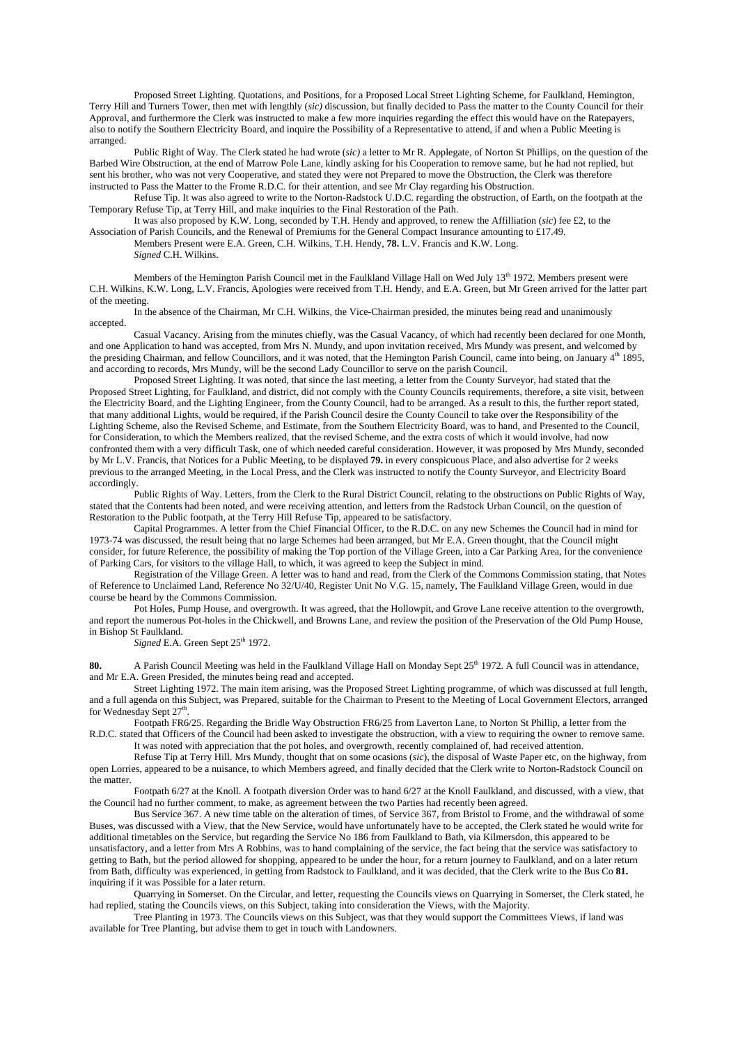Proposed Street Lighting. Quotations, and Positions, for a Proposed Local Street Lighting Scheme, for Faulkland, Hemington, Terry Hill and Turners Tower, then met with lengthly (*sic)* discussion, but finally decided to Pass the matter to the County Council for their Approval, and furthermore the Clerk was instructed to make a few more inquiries regarding the effect this would have on the Ratepayers, also to notify the Southern Electricity Board, and inquire the Possibility of a Representative to attend, if and when a Public Meeting is arranged.

 Public Right of Way. The Clerk stated he had wrote (*sic)* a letter to Mr R. Applegate, of Norton St Phillips, on the question of the Barbed Wire Obstruction, at the end of Marrow Pole Lane, kindly asking for his Cooperation to remove same, but he had not replied, but sent his brother, who was not very Cooperative, and stated they were not Prepared to move the Obstruction, the Clerk was therefore instructed to Pass the Matter to the Frome R.D.C. for their attention, and see Mr Clay regarding his Obstruction.

 Refuse Tip. It was also agreed to write to the Norton-Radstock U.D.C. regarding the obstruction, of Earth, on the footpath at the Temporary Refuse Tip, at Terry Hill, and make inquiries to the Final Restoration of the Path.

 It was also proposed by K.W. Long, seconded by T.H. Hendy and approved, to renew the Affilliation (*sic*) fee £2, to the Association of Parish Councils, and the Renewal of Premiums for the General Compact Insurance amounting to £17.49.

 Members Present were E.A. Green, C.H. Wilkins, T.H. Hendy, **78.** L.V. Francis and K.W. Long. *Signed* C.H. Wilkins.

Members of the Hemington Parish Council met in the Faulkland Village Hall on Wed July 13<sup>th</sup> 1972. Members present were C.H. Wilkins, K.W. Long, L.V. Francis, Apologies were received from T.H. Hendy, and E.A. Green, but Mr Green arrived for the latter part of the meeting.

 In the absence of the Chairman, Mr C.H. Wilkins, the Vice-Chairman presided, the minutes being read and unanimously accepted.

 Casual Vacancy. Arising from the minutes chiefly, was the Casual Vacancy, of which had recently been declared for one Month, and one Application to hand was accepted, from Mrs N. Mundy, and upon invitation received, Mrs Mundy was present, and welcomed by the presiding Chairman, and fellow Councillors, and it was noted, that the Hemington Parish Council, came into being, on January 4<sup>th</sup> 1895, and according to records, Mrs Mundy, will be the second Lady Councillor to serve on the parish Council.

 Proposed Street Lighting. It was noted, that since the last meeting, a letter from the County Surveyor, had stated that the Proposed Street Lighting, for Faulkland, and district, did not comply with the County Councils requirements, therefore, a site visit, between the Electricity Board, and the Lighting Engineer, from the County Council, had to be arranged. As a result to this, the further report stated, that many additional Lights, would be required, if the Parish Council desire the County Council to take over the Responsibility of the Lighting Scheme, also the Revised Scheme, and Estimate, from the Southern Electricity Board, was to hand, and Presented to the Council, for Consideration, to which the Members realized, that the revised Scheme, and the extra costs of which it would involve, had now confronted them with a very difficult Task, one of which needed careful consideration. However, it was proposed by Mrs Mundy, seconded by Mr L.V. Francis, that Notices for a Public Meeting, to be displayed **79.** in every conspicuous Place, and also advertise for 2 weeks previous to the arranged Meeting, in the Local Press, and the Clerk was instructed to notify the County Surveyor, and Electricity Board accordingly.

 Public Rights of Way. Letters, from the Clerk to the Rural District Council, relating to the obstructions on Public Rights of Way, stated that the Contents had been noted, and were receiving attention, and letters from the Radstock Urban Council, on the question of Restoration to the Public footpath, at the Terry Hill Refuse Tip, appeared to be satisfactory.

 Capital Programmes. A letter from the Chief Financial Officer, to the R.D.C. on any new Schemes the Council had in mind for 1973-74 was discussed, the result being that no large Schemes had been arranged, but Mr E.A. Green thought, that the Council might consider, for future Reference, the possibility of making the Top portion of the Village Green, into a Car Parking Area, for the convenience of Parking Cars, for visitors to the village Hall, to which, it was agreed to keep the Subject in mind.

 Registration of the Village Green. A letter was to hand and read, from the Clerk of the Commons Commission stating, that Notes of Reference to Unclaimed Land, Reference No 32/U/40, Register Unit No V.G. 15, namely, The Faulkland Village Green, would in due course be heard by the Commons Commission.

 Pot Holes, Pump House, and overgrowth. It was agreed, that the Hollowpit, and Grove Lane receive attention to the overgrowth, and report the numerous Pot-holes in the Chickwell, and Browns Lane, and review the position of the Preservation of the Old Pump House, in Bishop St Faulkland.

Signed E.A. Green Sept 25<sup>th</sup> 1972.

80. A Parish Council Meeting was held in the Faulkland Village Hall on Monday Sept 25<sup>th</sup> 1972. A full Council was in attendance, and Mr E.A. Green Presided, the minutes being read and accepted.

 Street Lighting 1972. The main item arising, was the Proposed Street Lighting programme, of which was discussed at full length, and a full agenda on this Subject, was Prepared, suitable for the Chairman to Present to the Meeting of Local Government Electors, arranged for Wednesday Sept 27<sup>th</sup>.

 Footpath FR6/25. Regarding the Bridle Way Obstruction FR6/25 from Laverton Lane, to Norton St Phillip, a letter from the R.D.C. stated that Officers of the Council had been asked to investigate the obstruction, with a view to requiring the owner to remove same.

 It was noted with appreciation that the pot holes, and overgrowth, recently complained of, had received attention. Refuse Tip at Terry Hill. Mrs Mundy, thought that on some ocasions (*sic*), the disposal of Waste Paper etc, on the highway, from

open Lorries, appeared to be a nuisance, to which Members agreed, and finally decided that the Clerk write to Norton-Radstock Council on the matter.

 Footpath 6/27 at the Knoll. A footpath diversion Order was to hand 6/27 at the Knoll Faulkland, and discussed, with a view, that the Council had no further comment, to make, as agreement between the two Parties had recently been agreed.

 Bus Service 367. A new time table on the alteration of times, of Service 367, from Bristol to Frome, and the withdrawal of some Buses, was discussed with a View, that the New Service, would have unfortunately have to be accepted, the Clerk stated he would write for additional timetables on the Service, but regarding the Service No 186 from Faulkland to Bath, via Kilmersdon, this appeared to be unsatisfactory, and a letter from Mrs A Robbins, was to hand complaining of the service, the fact being that the service was satisfactory to getting to Bath, but the period allowed for shopping, appeared to be under the hour, for a return journey to Faulkland, and on a later return from Bath, difficulty was experienced, in getting from Radstock to Faulkland, and it was decided, that the Clerk write to the Bus Co **81.** inquiring if it was Possible for a later return.

 Quarrying in Somerset. On the Circular, and letter, requesting the Councils views on Quarrying in Somerset, the Clerk stated, he had replied, stating the Councils views, on this Subject, taking into consideration the Views, with the Majority.

 Tree Planting in 1973. The Councils views on this Subject, was that they would support the Committees Views, if land was available for Tree Planting, but advise them to get in touch with Landowners.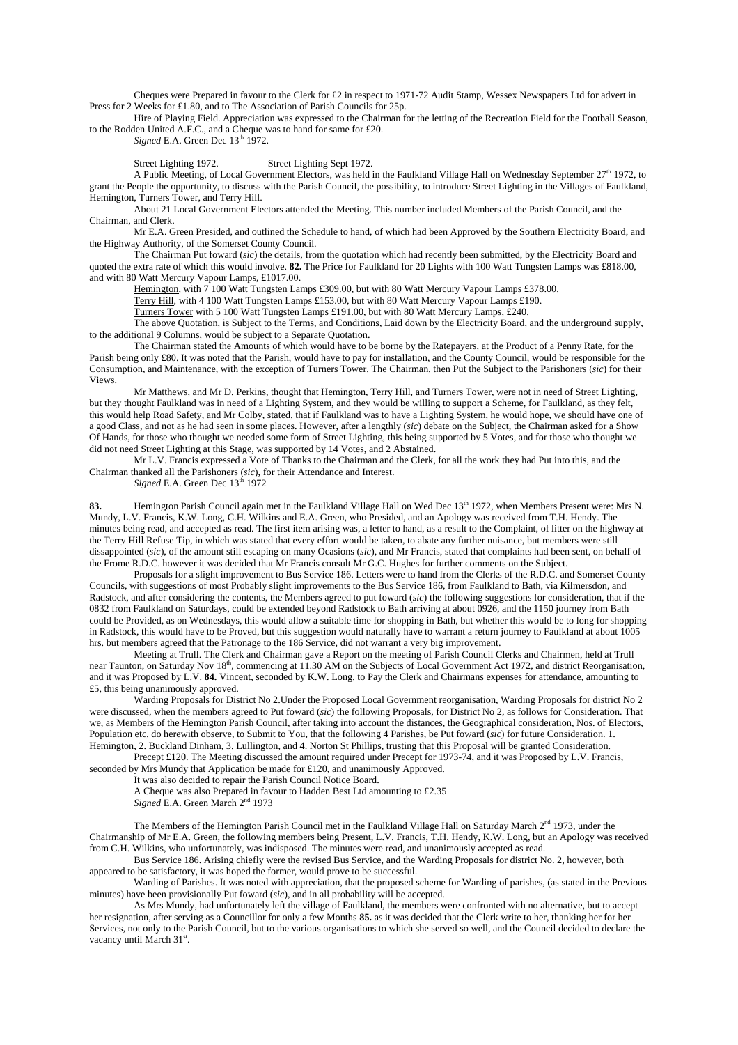Cheques were Prepared in favour to the Clerk for £2 in respect to 1971-72 Audit Stamp, Wessex Newspapers Ltd for advert in Press for 2 Weeks for £1.80, and to The Association of Parish Councils for 25p.

 Hire of Playing Field. Appreciation was expressed to the Chairman for the letting of the Recreation Field for the Football Season, to the Rodden United A.F.C., and a Cheque was to hand for same for £20.

*Signed* E.A. Green Dec  $13<sup>th</sup> 1972$ .

Street Lighting 1972. Street Lighting Sept 1972.

A Public Meeting, of Local Government Electors, was held in the Faulkland Village Hall on Wednesday September  $27<sup>th</sup>$  1972, to grant the People the opportunity, to discuss with the Parish Council, the possibility, to introduce Street Lighting in the Villages of Faulkland, Hemington, Turners Tower, and Terry Hill.

 About 21 Local Government Electors attended the Meeting. This number included Members of the Parish Council, and the Chairman, and Clerk.

 Mr E.A. Green Presided, and outlined the Schedule to hand, of which had been Approved by the Southern Electricity Board, and the Highway Authority, of the Somerset County Council.

 The Chairman Put foward (*sic*) the details, from the quotation which had recently been submitted, by the Electricity Board and quoted the extra rate of which this would involve. **82.** The Price for Faulkland for 20 Lights with 100 Watt Tungsten Lamps was £818.00, and with 80 Watt Mercury Vapour Lamps, £1017.00.

Hemington, with 7 100 Watt Tungsten Lamps £309.00, but with 80 Watt Mercury Vapour Lamps £378.00.

Terry Hill, with 4 100 Watt Tungsten Lamps £153.00, but with 80 Watt Mercury Vapour Lamps £190.

Turners Tower with 5 100 Watt Tungsten Lamps £191.00, but with 80 Watt Mercury Lamps, £240.

 The above Quotation, is Subject to the Terms, and Conditions, Laid down by the Electricity Board, and the underground supply, to the additional 9 Columns, would be subject to a Separate Quotation.

 The Chairman stated the Amounts of which would have to be borne by the Ratepayers, at the Product of a Penny Rate, for the Parish being only £80. It was noted that the Parish, would have to pay for installation, and the County Council, would be responsible for the Consumption, and Maintenance, with the exception of Turners Tower. The Chairman, then Put the Subject to the Parishoners (*sic*) for their Views.

 Mr Matthews, and Mr D. Perkins, thought that Hemington, Terry Hill, and Turners Tower, were not in need of Street Lighting, but they thought Faulkland was in need of a Lighting System, and they would be willing to support a Scheme, for Faulkland, as they felt, this would help Road Safety, and Mr Colby, stated, that if Faulkland was to have a Lighting System, he would hope, we should have one of a good Class, and not as he had seen in some places. However, after a lengthly (*sic*) debate on the Subject, the Chairman asked for a Show Of Hands, for those who thought we needed some form of Street Lighting, this being supported by 5 Votes, and for those who thought we did not need Street Lighting at this Stage, was supported by 14 Votes, and 2 Abstained.

 Mr L.V. Francis expressed a Vote of Thanks to the Chairman and the Clerk, for all the work they had Put into this, and the Chairman thanked all the Parishoners (*sic*), for their Attendance and Interest.

*Signed* E.A. Green Dec  $13<sup>th</sup> 1972$ 

**83.** Hemington Parish Council again met in the Faulkland Village Hall on Wed Dec 13th 1972, when Members Present were: Mrs N. Mundy, L.V. Francis, K.W. Long, C.H. Wilkins and E.A. Green, who Presided, and an Apology was received from T.H. Hendy. The minutes being read, and accepted as read. The first item arising was, a letter to hand, as a result to the Complaint, of litter on the highway at the Terry Hill Refuse Tip, in which was stated that every effort would be taken, to abate any further nuisance, but members were still dissappointed (*sic*), of the amount still escaping on many Ocasions (*sic*), and Mr Francis, stated that complaints had been sent, on behalf of the Frome R.D.C. however it was decided that Mr Francis consult Mr G.C. Hughes for further comments on the Subject.

 Proposals for a slight improvement to Bus Service 186. Letters were to hand from the Clerks of the R.D.C. and Somerset County Councils, with suggestions of most Probably slight improvements to the Bus Service 186, from Faulkland to Bath, via Kilmersdon, and Radstock, and after considering the contents, the Members agreed to put foward (*sic*) the following suggestions for consideration, that if the 0832 from Faulkland on Saturdays, could be extended beyond Radstock to Bath arriving at about 0926, and the 1150 journey from Bath could be Provided, as on Wednesdays, this would allow a suitable time for shopping in Bath, but whether this would be to long for shopping in Radstock, this would have to be Proved, but this suggestion would naturally have to warrant a return journey to Faulkland at about 1005 hrs. but members agreed that the Patronage to the 186 Service, did not warrant a very big improvement.

 Meeting at Trull. The Clerk and Chairman gave a Report on the meeting of Parish Council Clerks and Chairmen, held at Trull near Taunton, on Saturday Nov 18<sup>th</sup>, commencing at 11.30 AM on the Subjects of Local Government Act 1972, and district Reorganisation, and it was Proposed by L.V. **84.** Vincent, seconded by K.W. Long, to Pay the Clerk and Chairmans expenses for attendance, amounting to £5, this being unanimously approved.

 Warding Proposals for District No 2.Under the Proposed Local Government reorganisation, Warding Proposals for district No 2 were discussed, when the members agreed to Put foward (*sic*) the following Proposals, for District No 2, as follows for Consideration. That we, as Members of the Hemington Parish Council, after taking into account the distances, the Geographical consideration, Nos. of Electors, Population etc, do herewith observe, to Submit to You, that the following 4 Parishes, be Put foward (*sic*) for future Consideration. 1. Hemington, 2. Buckland Dinham, 3. Lullington, and 4. Norton St Phillips, trusting that this Proposal will be granted Consideration.

Precept £120. The Meeting discussed the amount required under Precept for 1973-74, and it was Proposed by L.V. Francis, seconded by Mrs Mundy that Application be made for £120, and unanimously Approved.

It was also decided to repair the Parish Council Notice Board.

A Cheque was also Prepared in favour to Hadden Best Ltd amounting to £2.35

*Signed* E.A. Green March 2nd 1973

The Members of the Hemington Parish Council met in the Faulkland Village Hall on Saturday March 2<sup>nd</sup> 1973, under the Chairmanship of Mr E.A. Green, the following members being Present, L.V. Francis, T.H. Hendy, K.W. Long, but an Apology was received from C.H. Wilkins, who unfortunately, was indisposed. The minutes were read, and unanimously accepted as read.

 Bus Service 186. Arising chiefly were the revised Bus Service, and the Warding Proposals for district No. 2, however, both appeared to be satisfactory, it was hoped the former, would prove to be successful.

 Warding of Parishes. It was noted with appreciation, that the proposed scheme for Warding of parishes, (as stated in the Previous minutes) have been provisionally Put foward (*sic*), and in all probability will be accepted.

 As Mrs Mundy, had unfortunately left the village of Faulkland, the members were confronted with no alternative, but to accept her resignation, after serving as a Councillor for only a few Months **85.** as it was decided that the Clerk write to her, thanking her for her Services, not only to the Parish Council, but to the various organisations to which she served so well, and the Council decided to declare the vacancy until March 31st.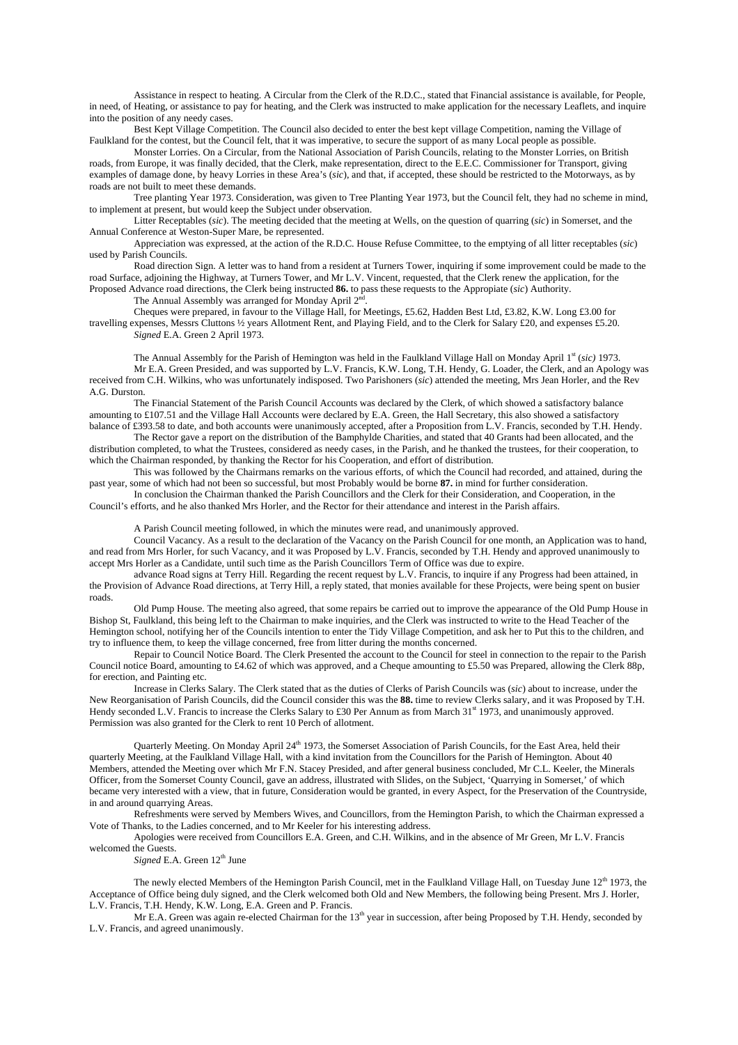Assistance in respect to heating. A Circular from the Clerk of the R.D.C., stated that Financial assistance is available, for People, in need, of Heating, or assistance to pay for heating, and the Clerk was instructed to make application for the necessary Leaflets, and inquire into the position of any needy cases.

 Best Kept Village Competition. The Council also decided to enter the best kept village Competition, naming the Village of Faulkland for the contest, but the Council felt, that it was imperative, to secure the support of as many Local people as possible.

 Monster Lorries. On a Circular, from the National Association of Parish Councils, relating to the Monster Lorries, on British roads, from Europe, it was finally decided, that the Clerk, make representation, direct to the E.E.C. Commissioner for Transport, giving examples of damage done, by heavy Lorries in these Area's (*sic*), and that, if accepted, these should be restricted to the Motorways, as by roads are not built to meet these demands.

 Tree planting Year 1973. Consideration, was given to Tree Planting Year 1973, but the Council felt, they had no scheme in mind, to implement at present, but would keep the Subject under observation.

 Litter Receptables (*sic*). The meeting decided that the meeting at Wells, on the question of quarring (*sic*) in Somerset, and the Annual Conference at Weston-Super Mare, be represented.

 Appreciation was expressed, at the action of the R.D.C. House Refuse Committee, to the emptying of all litter receptables (*sic*) used by Parish Councils.

 Road direction Sign. A letter was to hand from a resident at Turners Tower, inquiring if some improvement could be made to the road Surface, adjoining the Highway, at Turners Tower, and Mr L.V. Vincent, requested, that the Clerk renew the application, for the Proposed Advance road directions, the Clerk being instructed **86.** to pass these requests to the Appropiate (*sic*) Authority.

The Annual Assembly was arranged for Monday April 2<sup>nd</sup>

 Cheques were prepared, in favour to the Village Hall, for Meetings, £5.62, Hadden Best Ltd, £3.82, K.W. Long £3.00 for travelling expenses, Messrs Cluttons ½ years Allotment Rent, and Playing Field, and to the Clerk for Salary £20, and expenses £5.20. *Signed* E.A. Green 2 April 1973.

The Annual Assembly for the Parish of Hemington was held in the Faulkland Village Hall on Monday April 1<sup>st</sup> (sic) 1973. Mr E.A. Green Presided, and was supported by L.V. Francis, K.W. Long, T.H. Hendy, G. Loader, the Clerk, and an Apology was received from C.H. Wilkins, who was unfortunately indisposed. Two Parishoners (*sic*) attended the meeting, Mrs Jean Horler, and the Rev A.G. Durston.

 The Financial Statement of the Parish Council Accounts was declared by the Clerk, of which showed a satisfactory balance amounting to £107.51 and the Village Hall Accounts were declared by E.A. Green, the Hall Secretary, this also showed a satisfactory balance of £393.58 to date, and both accounts were unanimously accepted, after a Proposition from L.V. Francis, seconded by T.H. Hendy.

 The Rector gave a report on the distribution of the Bamphylde Charities, and stated that 40 Grants had been allocated, and the distribution completed, to what the Trustees, considered as needy cases, in the Parish, and he thanked the trustees, for their cooperation, to which the Chairman responded, by thanking the Rector for his Cooperation, and effort of distribution.

 This was followed by the Chairmans remarks on the various efforts, of which the Council had recorded, and attained, during the past year, some of which had not been so successful, but most Probably would be borne **87.** in mind for further consideration.

 In conclusion the Chairman thanked the Parish Councillors and the Clerk for their Consideration, and Cooperation, in the Council's efforts, and he also thanked Mrs Horler, and the Rector for their attendance and interest in the Parish affairs.

A Parish Council meeting followed, in which the minutes were read, and unanimously approved.

 Council Vacancy. As a result to the declaration of the Vacancy on the Parish Council for one month, an Application was to hand, and read from Mrs Horler, for such Vacancy, and it was Proposed by L.V. Francis, seconded by T.H. Hendy and approved unanimously to accept Mrs Horler as a Candidate, until such time as the Parish Councillors Term of Office was due to expire.

 advance Road signs at Terry Hill. Regarding the recent request by L.V. Francis, to inquire if any Progress had been attained, in the Provision of Advance Road directions, at Terry Hill, a reply stated, that monies available for these Projects, were being spent on busier roads.

 Old Pump House. The meeting also agreed, that some repairs be carried out to improve the appearance of the Old Pump House in Bishop St, Faulkland, this being left to the Chairman to make inquiries, and the Clerk was instructed to write to the Head Teacher of the Hemington school, notifying her of the Councils intention to enter the Tidy Village Competition, and ask her to Put this to the children, and try to influence them, to keep the village concerned, free from litter during the months concerned.

 Repair to Council Notice Board. The Clerk Presented the account to the Council for steel in connection to the repair to the Parish Council notice Board, amounting to £4.62 of which was approved, and a Cheque amounting to £5.50 was Prepared, allowing the Clerk 88p, for erection, and Painting etc.

 Increase in Clerks Salary. The Clerk stated that as the duties of Clerks of Parish Councils was (*sic*) about to increase, under the New Reorganisation of Parish Councils, did the Council consider this was the **88.** time to review Clerks salary, and it was Proposed by T.H. Hendy seconded L.V. Francis to increase the Clerks Salary to £30 Per Annum as from March 31<sup>st</sup> 1973, and unanimously approved. Permission was also granted for the Clerk to rent 10 Perch of allotment.

Quarterly Meeting. On Monday April 24<sup>th</sup> 1973, the Somerset Association of Parish Councils, for the East Area, held their quarterly Meeting, at the Faulkland Village Hall, with a kind invitation from the Councillors for the Parish of Hemington. About 40 Members, attended the Meeting over which Mr F.N. Stacey Presided, and after general business concluded, Mr C.L. Keeler, the Minerals Officer, from the Somerset County Council, gave an address, illustrated with Slides, on the Subject, 'Quarrying in Somerset,' of which became very interested with a view, that in future, Consideration would be granted, in every Aspect, for the Preservation of the Countryside, in and around quarrying Areas.

 Refreshments were served by Members Wives, and Councillors, from the Hemington Parish, to which the Chairman expressed a Vote of Thanks, to the Ladies concerned, and to Mr Keeler for his interesting address.

 Apologies were received from Councillors E.A. Green, and C.H. Wilkins, and in the absence of Mr Green, Mr L.V. Francis welcomed the Guests.

*Signed* E.A. Green  $12<sup>th</sup>$  June

The newly elected Members of the Hemington Parish Council, met in the Faulkland Village Hall, on Tuesday June  $12<sup>th</sup> 1973$ , the Acceptance of Office being duly signed, and the Clerk welcomed both Old and New Members, the following being Present. Mrs J. Horler, L.V. Francis, T.H. Hendy, K.W. Long, E.A. Green and P. Francis.

Mr E.A. Green was again re-elected Chairman for the 13<sup>th</sup> year in succession, after being Proposed by T.H. Hendy, seconded by L.V. Francis, and agreed unanimously.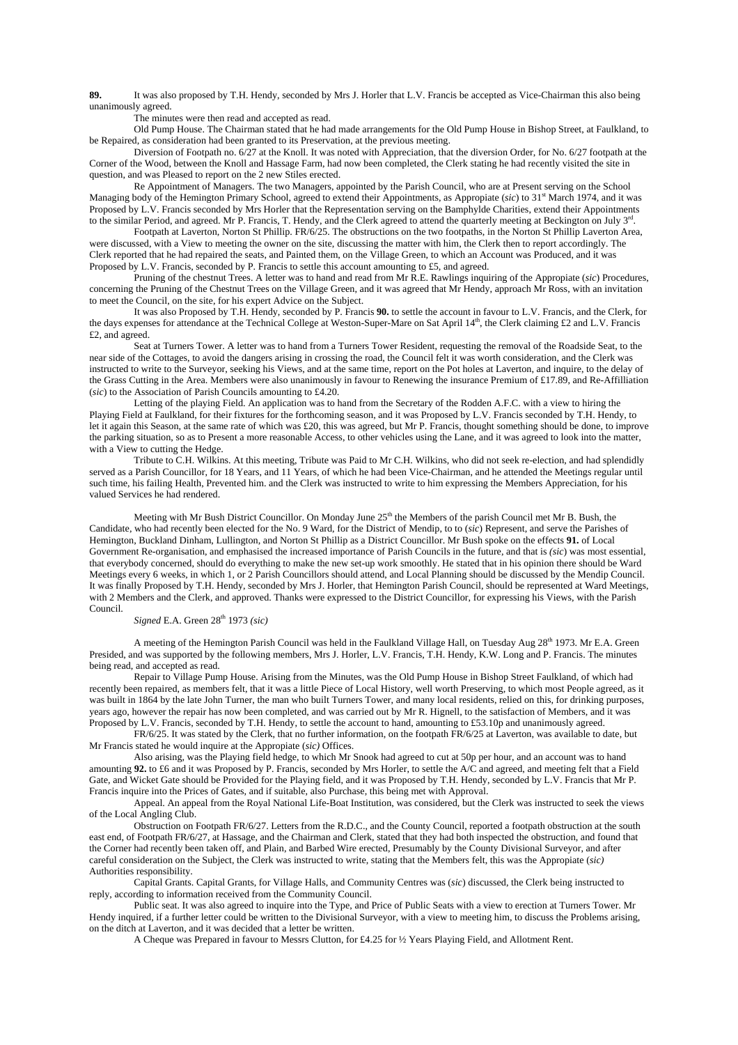**89.** It was also proposed by T.H. Hendy, seconded by Mrs J. Horler that L.V. Francis be accepted as Vice-Chairman this also being unanimously agreed.

The minutes were then read and accepted as read.

 Old Pump House. The Chairman stated that he had made arrangements for the Old Pump House in Bishop Street, at Faulkland, to be Repaired, as consideration had been granted to its Preservation, at the previous meeting.

 Diversion of Footpath no. 6/27 at the Knoll. It was noted with Appreciation, that the diversion Order, for No. 6/27 footpath at the Corner of the Wood, between the Knoll and Hassage Farm, had now been completed, the Clerk stating he had recently visited the site in question, and was Pleased to report on the 2 new Stiles erected.

 Re Appointment of Managers. The two Managers, appointed by the Parish Council, who are at Present serving on the School Managing body of the Hemington Primary School, agreed to extend their Appointments, as Appropiate (sic) to 31<sup>st</sup> March 1974, and it was Proposed by L.V. Francis seconded by Mrs Horler that the Representation serving on the Bamphylde Charities, extend their Appointments to the similar Period, and agreed. Mr P. Francis, T. Hendy, and the Clerk agreed to attend the quarterly meeting at Beckington on July 3rd.

 Footpath at Laverton, Norton St Phillip. FR/6/25. The obstructions on the two footpaths, in the Norton St Phillip Laverton Area, were discussed, with a View to meeting the owner on the site, discussing the matter with him, the Clerk then to report accordingly. The Clerk reported that he had repaired the seats, and Painted them, on the Village Green, to which an Account was Produced, and it was Proposed by L.V. Francis, seconded by P. Francis to settle this account amounting to £5, and agreed.

 Pruning of the chestnut Trees. A letter was to hand and read from Mr R.E. Rawlings inquiring of the Appropiate (*sic*) Procedures, concerning the Pruning of the Chestnut Trees on the Village Green, and it was agreed that Mr Hendy, approach Mr Ross, with an invitation to meet the Council, on the site, for his expert Advice on the Subject.

 It was also Proposed by T.H. Hendy, seconded by P. Francis **90.** to settle the account in favour to L.V. Francis, and the Clerk, for the days expenses for attendance at the Technical College at Weston-Super-Mare on Sat April 14th, the Clerk claiming £2 and L.V. Francis £2, and agreed.

 Seat at Turners Tower. A letter was to hand from a Turners Tower Resident, requesting the removal of the Roadside Seat, to the near side of the Cottages, to avoid the dangers arising in crossing the road, the Council felt it was worth consideration, and the Clerk was instructed to write to the Surveyor, seeking his Views, and at the same time, report on the Pot holes at Laverton, and inquire, to the delay of the Grass Cutting in the Area. Members were also unanimously in favour to Renewing the insurance Premium of £17.89, and Re-Affilliation (*sic*) to the Association of Parish Councils amounting to £4.20.

 Letting of the playing Field. An application was to hand from the Secretary of the Rodden A.F.C. with a view to hiring the Playing Field at Faulkland, for their fixtures for the forthcoming season, and it was Proposed by L.V. Francis seconded by T.H. Hendy, to let it again this Season, at the same rate of which was £20, this was agreed, but Mr P. Francis, thought something should be done, to improve the parking situation, so as to Present a more reasonable Access, to other vehicles using the Lane, and it was agreed to look into the matter, with a View to cutting the Hedge.

 Tribute to C.H. Wilkins. At this meeting, Tribute was Paid to Mr C.H. Wilkins, who did not seek re-election, and had splendidly served as a Parish Councillor, for 18 Years, and 11 Years, of which he had been Vice-Chairman, and he attended the Meetings regular until such time, his failing Health, Prevented him. and the Clerk was instructed to write to him expressing the Members Appreciation, for his valued Services he had rendered.

Meeting with Mr Bush District Councillor. On Monday June 25<sup>th</sup> the Members of the parish Council met Mr B. Bush, the Candidate, who had recently been elected for the No. 9 Ward, for the District of Mendip, to to (*sic*) Represent, and serve the Parishes of Hemington, Buckland Dinham, Lullington, and Norton St Phillip as a District Councillor. Mr Bush spoke on the effects **91.** of Local Government Re-organisation, and emphasised the increased importance of Parish Councils in the future, and that is *(sic*) was most essential, that everybody concerned, should do everything to make the new set-up work smoothly. He stated that in his opinion there should be Ward Meetings every 6 weeks, in which 1, or 2 Parish Councillors should attend, and Local Planning should be discussed by the Mendip Council. It was finally Proposed by T.H. Hendy, seconded by Mrs J. Horler, that Hemington Parish Council, should be represented at Ward Meetings, with 2 Members and the Clerk, and approved. Thanks were expressed to the District Councillor, for expressing his Views, with the Parish Council.

*Signed* E.A. Green 28<sup>th</sup> 1973 *(sic)* 

A meeting of the Hemington Parish Council was held in the Faulkland Village Hall, on Tuesday Aug  $28<sup>th</sup>$  1973. Mr E.A. Green Presided, and was supported by the following members, Mrs J. Horler, L.V. Francis, T.H. Hendy, K.W. Long and P. Francis. The minutes being read, and accepted as read.

 Repair to Village Pump House. Arising from the Minutes, was the Old Pump House in Bishop Street Faulkland, of which had recently been repaired, as members felt, that it was a little Piece of Local History, well worth Preserving, to which most People agreed, as it was built in 1864 by the late John Turner, the man who built Turners Tower, and many local residents, relied on this, for drinking purposes, years ago, however the repair has now been completed, and was carried out by Mr R. Hignell, to the satisfaction of Members, and it was Proposed by L.V. Francis, seconded by T.H. Hendy, to settle the account to hand, amounting to £53.10p and unanimously agreed.

 FR/6/25. It was stated by the Clerk, that no further information, on the footpath FR/6/25 at Laverton, was available to date, but Mr Francis stated he would inquire at the Appropiate (*sic)* Offices.

 Also arising, was the Playing field hedge, to which Mr Snook had agreed to cut at 50p per hour, and an account was to hand amounting **92.** to £6 and it was Proposed by P. Francis, seconded by Mrs Horler, to settle the A/C and agreed, and meeting felt that a Field Gate, and Wicket Gate should be Provided for the Playing field, and it was Proposed by T.H. Hendy, seconded by L.V. Francis that Mr P. Francis inquire into the Prices of Gates, and if suitable, also Purchase, this being met with Approval.

 Appeal. An appeal from the Royal National Life-Boat Institution, was considered, but the Clerk was instructed to seek the views of the Local Angling Club.

 Obstruction on Footpath FR/6/27. Letters from the R.D.C., and the County Council, reported a footpath obstruction at the south east end, of Footpath FR/6/27, at Hassage, and the Chairman and Clerk, stated that they had both inspected the obstruction, and found that the Corner had recently been taken off, and Plain, and Barbed Wire erected, Presumably by the County Divisional Surveyor, and after careful consideration on the Subject, the Clerk was instructed to write, stating that the Members felt, this was the Appropiate (*sic)* Authorities responsibility.

 Capital Grants. Capital Grants, for Village Halls, and Community Centres was (*sic*) discussed, the Clerk being instructed to reply, according to information received from the Community Council.

 Public seat. It was also agreed to inquire into the Type, and Price of Public Seats with a view to erection at Turners Tower. Mr Hendy inquired, if a further letter could be written to the Divisional Surveyor, with a view to meeting him, to discuss the Problems arising, on the ditch at Laverton, and it was decided that a letter be written.

A Cheque was Prepared in favour to Messrs Clutton, for £4.25 for ½ Years Playing Field, and Allotment Rent.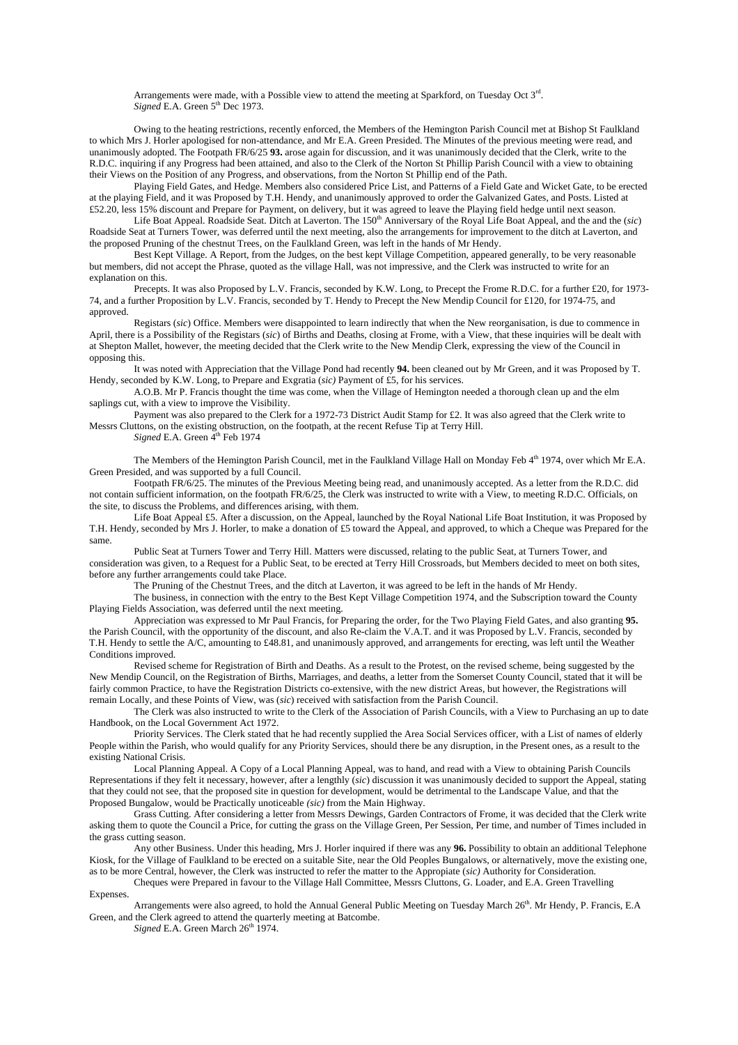Arrangements were made, with a Possible view to attend the meeting at Sparkford, on Tuesday Oct 3rd. *Signed* E.A. Green 5<sup>th</sup> Dec 1973.

 Owing to the heating restrictions, recently enforced, the Members of the Hemington Parish Council met at Bishop St Faulkland to which Mrs J. Horler apologised for non-attendance, and Mr E.A. Green Presided. The Minutes of the previous meeting were read, and unanimously adopted. The Footpath FR/6/25 **93.** arose again for discussion, and it was unanimously decided that the Clerk, write to the R.D.C. inquiring if any Progress had been attained, and also to the Clerk of the Norton St Phillip Parish Council with a view to obtaining their Views on the Position of any Progress, and observations, from the Norton St Phillip end of the Path.

 Playing Field Gates, and Hedge. Members also considered Price List, and Patterns of a Field Gate and Wicket Gate, to be erected at the playing Field, and it was Proposed by T.H. Hendy, and unanimously approved to order the Galvanized Gates, and Posts. Listed at £52.20, less 15% discount and Prepare for Payment, on delivery, but it was agreed to leave the Playing field hedge until next season.

 Life Boat Appeal. Roadside Seat. Ditch at Laverton. The 150th Anniversary of the Royal Life Boat Appeal, and the and the (*sic*) Roadside Seat at Turners Tower, was deferred until the next meeting, also the arrangements for improvement to the ditch at Laverton, and the proposed Pruning of the chestnut Trees, on the Faulkland Green, was left in the hands of Mr Hendy.

 Best Kept Village. A Report, from the Judges, on the best kept Village Competition, appeared generally, to be very reasonable but members, did not accept the Phrase, quoted as the village Hall, was not impressive, and the Clerk was instructed to write for an explanation on this.

Precepts. It was also Proposed by L.V. Francis, seconded by K.W. Long, to Precept the Frome R.D.C. for a further £20, for 1973-74, and a further Proposition by L.V. Francis, seconded by T. Hendy to Precept the New Mendip Council for £120, for 1974-75, and approved.

 Registars (*sic*) Office. Members were disappointed to learn indirectly that when the New reorganisation, is due to commence in April, there is a Possibility of the Registars (*sic*) of Births and Deaths, closing at Frome, with a View, that these inquiries will be dealt with at Shepton Mallet, however, the meeting decided that the Clerk write to the New Mendip Clerk, expressing the view of the Council in opposing this.

 It was noted with Appreciation that the Village Pond had recently **94.** been cleaned out by Mr Green, and it was Proposed by T. Hendy, seconded by K.W. Long, to Prepare and Exgratia (*sic)* Payment of £5, for his services.

 A.O.B. Mr P. Francis thought the time was come, when the Village of Hemington needed a thorough clean up and the elm saplings cut, with a view to improve the Visibility.

 Payment was also prepared to the Clerk for a 1972-73 District Audit Stamp for £2. It was also agreed that the Clerk write to Messrs Cluttons, on the existing obstruction, on the footpath, at the recent Refuse Tip at Terry Hill.

*Signed* E.A. Green 4<sup>th</sup> Feb 1974

 The Members of the Hemington Parish Council, met in the Faulkland Village Hall on Monday Feb 4th 1974, over which Mr E.A. Green Presided, and was supported by a full Council.

 Footpath FR/6/25. The minutes of the Previous Meeting being read, and unanimously accepted. As a letter from the R.D.C. did not contain sufficient information, on the footpath FR/6/25, the Clerk was instructed to write with a View, to meeting R.D.C. Officials, on the site, to discuss the Problems, and differences arising, with them.

 Life Boat Appeal £5. After a discussion, on the Appeal, launched by the Royal National Life Boat Institution, it was Proposed by T.H. Hendy, seconded by Mrs J. Horler, to make a donation of £5 toward the Appeal, and approved, to which a Cheque was Prepared for the same.

 Public Seat at Turners Tower and Terry Hill. Matters were discussed, relating to the public Seat, at Turners Tower, and consideration was given, to a Request for a Public Seat, to be erected at Terry Hill Crossroads, but Members decided to meet on both sites, before any further arrangements could take Place.

The Pruning of the Chestnut Trees, and the ditch at Laverton, it was agreed to be left in the hands of Mr Hendy.

 The business, in connection with the entry to the Best Kept Village Competition 1974, and the Subscription toward the County Playing Fields Association, was deferred until the next meeting.

 Appreciation was expressed to Mr Paul Francis, for Preparing the order, for the Two Playing Field Gates, and also granting **95.** the Parish Council, with the opportunity of the discount, and also Re-claim the V.A.T. and it was Proposed by L.V. Francis, seconded by T.H. Hendy to settle the A/C, amounting to £48.81, and unanimously approved, and arrangements for erecting, was left until the Weather Conditions improved.

 Revised scheme for Registration of Birth and Deaths. As a result to the Protest, on the revised scheme, being suggested by the New Mendip Council, on the Registration of Births, Marriages, and deaths, a letter from the Somerset County Council, stated that it will be fairly common Practice, to have the Registration Districts co-extensive, with the new district Areas, but however, the Registrations will remain Locally, and these Points of View, was (*sic*) received with satisfaction from the Parish Council.

 The Clerk was also instructed to write to the Clerk of the Association of Parish Councils, with a View to Purchasing an up to date Handbook, on the Local Government Act 1972.

 Priority Services. The Clerk stated that he had recently supplied the Area Social Services officer, with a List of names of elderly People within the Parish, who would qualify for any Priority Services, should there be any disruption, in the Present ones, as a result to the existing National Crisis.

 Local Planning Appeal. A Copy of a Local Planning Appeal, was to hand, and read with a View to obtaining Parish Councils Representations if they felt it necessary, however, after a lengthly (*sic*) discussion it was unanimously decided to support the Appeal, stating that they could not see, that the proposed site in question for development, would be detrimental to the Landscape Value, and that the Proposed Bungalow, would be Practically unoticeable *(sic)* from the Main Highway.

 Grass Cutting. After considering a letter from Messrs Dewings, Garden Contractors of Frome, it was decided that the Clerk write asking them to quote the Council a Price, for cutting the grass on the Village Green, Per Session, Per time, and number of Times included in the grass cutting season.

 Any other Business. Under this heading, Mrs J. Horler inquired if there was any **96.** Possibility to obtain an additional Telephone Kiosk, for the Village of Faulkland to be erected on a suitable Site, near the Old Peoples Bungalows, or alternatively, move the existing one, as to be more Central, however, the Clerk was instructed to refer the matter to the Appropiate (*sic)* Authority for Consideration.

 Cheques were Prepared in favour to the Village Hall Committee, Messrs Cluttons, G. Loader, and E.A. Green Travelling Expenses.

Arrangements were also agreed, to hold the Annual General Public Meeting on Tuesday March 26<sup>th</sup>. Mr Hendy, P. Francis, E.A. Green, and the Clerk agreed to attend the quarterly meeting at Batcombe.

*Signed* E.A. Green March  $26<sup>th</sup>$  1974.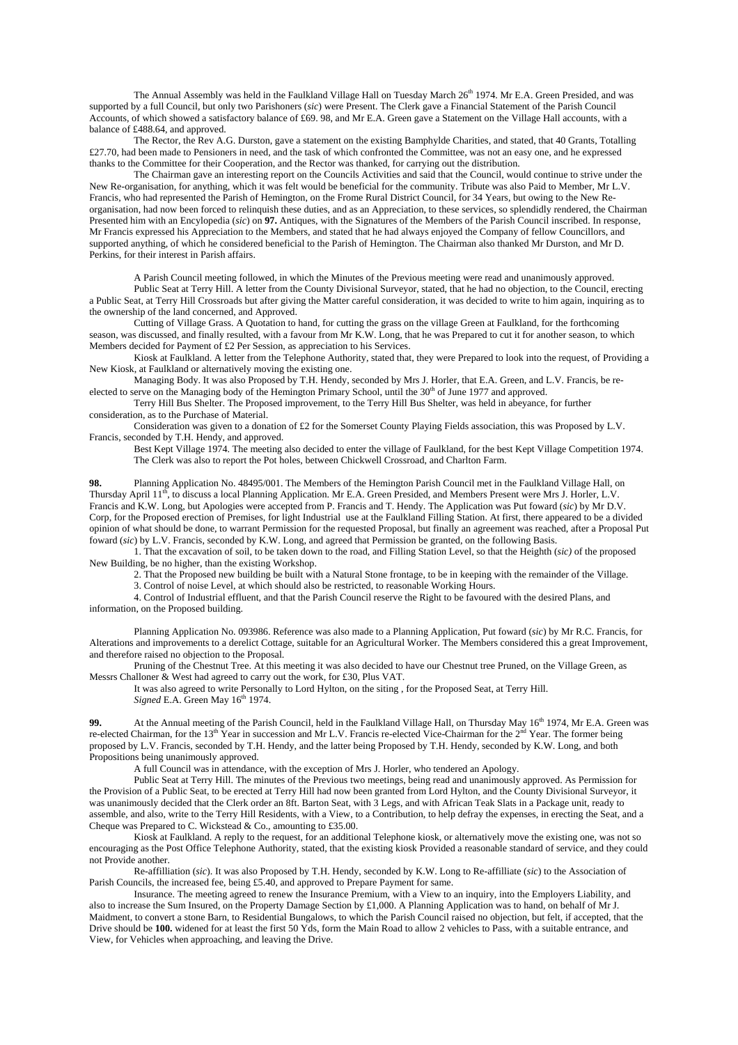The Annual Assembly was held in the Faulkland Village Hall on Tuesday March 26<sup>th</sup> 1974. Mr E.A. Green Presided, and was supported by a full Council, but only two Parishoners (*sic*) were Present. The Clerk gave a Financial Statement of the Parish Council Accounts, of which showed a satisfactory balance of £69. 98, and Mr E.A. Green gave a Statement on the Village Hall accounts, with a balance of £488.64, and approved.

 The Rector, the Rev A.G. Durston, gave a statement on the existing Bamphylde Charities, and stated, that 40 Grants, Totalling £27.70, had been made to Pensioners in need, and the task of which confronted the Committee, was not an easy one, and he expressed thanks to the Committee for their Cooperation, and the Rector was thanked, for carrying out the distribution.

 The Chairman gave an interesting report on the Councils Activities and said that the Council, would continue to strive under the New Re-organisation, for anything, which it was felt would be beneficial for the community. Tribute was also Paid to Member, Mr L.V. Francis, who had represented the Parish of Hemington, on the Frome Rural District Council, for 34 Years, but owing to the New Reorganisation, had now been forced to relinquish these duties, and as an Appreciation, to these services, so splendidly rendered, the Chairman Presented him with an Encylopedia (*sic*) on **97.** Antiques, with the Signatures of the Members of the Parish Council inscribed. In response, Mr Francis expressed his Appreciation to the Members, and stated that he had always enjoyed the Company of fellow Councillors, and supported anything, of which he considered beneficial to the Parish of Hemington. The Chairman also thanked Mr Durston, and Mr D. Perkins, for their interest in Parish affairs.

 A Parish Council meeting followed, in which the Minutes of the Previous meeting were read and unanimously approved. Public Seat at Terry Hill. A letter from the County Divisional Surveyor, stated, that he had no objection, to the Council, erecting a Public Seat, at Terry Hill Crossroads but after giving the Matter careful consideration, it was decided to write to him again, inquiring as to the ownership of the land concerned, and Approved.

 Cutting of Village Grass. A Quotation to hand, for cutting the grass on the village Green at Faulkland, for the forthcoming season, was discussed, and finally resulted, with a favour from Mr K.W. Long, that he was Prepared to cut it for another season, to which Members decided for Payment of £2 Per Session, as appreciation to his Services.

 Kiosk at Faulkland. A letter from the Telephone Authority, stated that, they were Prepared to look into the request, of Providing a New Kiosk, at Faulkland or alternatively moving the existing one.

 Managing Body. It was also Proposed by T.H. Hendy, seconded by Mrs J. Horler, that E.A. Green, and L.V. Francis, be reelected to serve on the Managing body of the Hemington Primary School, until the 30<sup>th</sup> of June 1977 and approved.

 Terry Hill Bus Shelter. The Proposed improvement, to the Terry Hill Bus Shelter, was held in abeyance, for further consideration, as to the Purchase of Material.

Consideration was given to a donation of £2 for the Somerset County Playing Fields association, this was Proposed by L.V. Francis, seconded by T.H. Hendy, and approved.

 Best Kept Village 1974. The meeting also decided to enter the village of Faulkland, for the best Kept Village Competition 1974. The Clerk was also to report the Pot holes, between Chickwell Crossroad, and Charlton Farm.

**98.** Planning Application No. 48495/001. The Members of the Hemington Parish Council met in the Faulkland Village Hall, on Thursday April  $11^{th}$ , to discuss a local Planning Application. Mr E.A. Green Presided, and Members Present were Mrs J. Horler, L.V. Francis and K.W. Long, but Apologies were accepted from P. Francis and T. Hendy. The Application was Put foward (*sic*) by Mr D.V. Corp, for the Proposed erection of Premises, for light Industrial use at the Faulkland Filling Station. At first, there appeared to be a divided opinion of what should be done, to warrant Permission for the requested Proposal, but finally an agreement was reached, after a Proposal Put foward (*sic*) by L.V. Francis, seconded by K.W. Long, and agreed that Permission be granted, on the following Basis.

 1. That the excavation of soil, to be taken down to the road, and Filling Station Level, so that the Heighth (*sic)* of the proposed New Building, be no higher, than the existing Workshop.

 2. That the Proposed new building be built with a Natural Stone frontage, to be in keeping with the remainder of the Village. 3. Control of noise Level, at which should also be restricted, to reasonable Working Hours.

 4. Control of Industrial effluent, and that the Parish Council reserve the Right to be favoured with the desired Plans, and information, on the Proposed building.

 Planning Application No. 093986. Reference was also made to a Planning Application, Put foward (*sic*) by Mr R.C. Francis, for Alterations and improvements to a derelict Cottage, suitable for an Agricultural Worker. The Members considered this a great Improvement, and therefore raised no objection to the Proposal.

 Pruning of the Chestnut Tree. At this meeting it was also decided to have our Chestnut tree Pruned, on the Village Green, as Messrs Challoner & West had agreed to carry out the work, for £30, Plus VAT.

 It was also agreed to write Personally to Lord Hylton, on the siting , for the Proposed Seat, at Terry Hill. *Signed* E.A. Green May  $16<sup>th</sup> 1974$ .

**99.** At the Annual meeting of the Parish Council, held in the Faulkland Village Hall, on Thursday May 16<sup>th</sup> 1974, Mr E.A. Green was re-elected Chairman, for the  $13<sup>th</sup>$  Year in succession and Mr L.V. Francis re-elected Vice-Chairman for the  $2<sup>nd</sup>$  Year. The former being proposed by L.V. Francis, seconded by T.H. Hendy, and the latter being Proposed by T.H. Hendy, seconded by K.W. Long, and both Propositions being unanimously approved.

A full Council was in attendance, with the exception of Mrs J. Horler, who tendered an Apology.

 Public Seat at Terry Hill. The minutes of the Previous two meetings, being read and unanimously approved. As Permission for the Provision of a Public Seat, to be erected at Terry Hill had now been granted from Lord Hylton, and the County Divisional Surveyor, it was unanimously decided that the Clerk order an 8ft. Barton Seat, with 3 Legs, and with African Teak Slats in a Package unit, ready to assemble, and also, write to the Terry Hill Residents, with a View, to a Contribution, to help defray the expenses, in erecting the Seat, and a Cheque was Prepared to C. Wickstead & Co., amounting to £35.00.

 Kiosk at Faulkland. A reply to the request, for an additional Telephone kiosk, or alternatively move the existing one, was not so encouraging as the Post Office Telephone Authority, stated, that the existing kiosk Provided a reasonable standard of service, and they could not Provide another.

 Re-affilliation (*sic*). It was also Proposed by T.H. Hendy, seconded by K.W. Long to Re-affilliate (*sic*) to the Association of Parish Councils, the increased fee, being £5.40, and approved to Prepare Payment for same.

 Insurance. The meeting agreed to renew the Insurance Premium, with a View to an inquiry, into the Employers Liability, and also to increase the Sum Insured, on the Property Damage Section by £1,000. A Planning Application was to hand, on behalf of Mr J. Maidment, to convert a stone Barn, to Residential Bungalows, to which the Parish Council raised no objection, but felt, if accepted, that the Drive should be **100.** widened for at least the first 50 Yds, form the Main Road to allow 2 vehicles to Pass, with a suitable entrance, and View, for Vehicles when approaching, and leaving the Drive.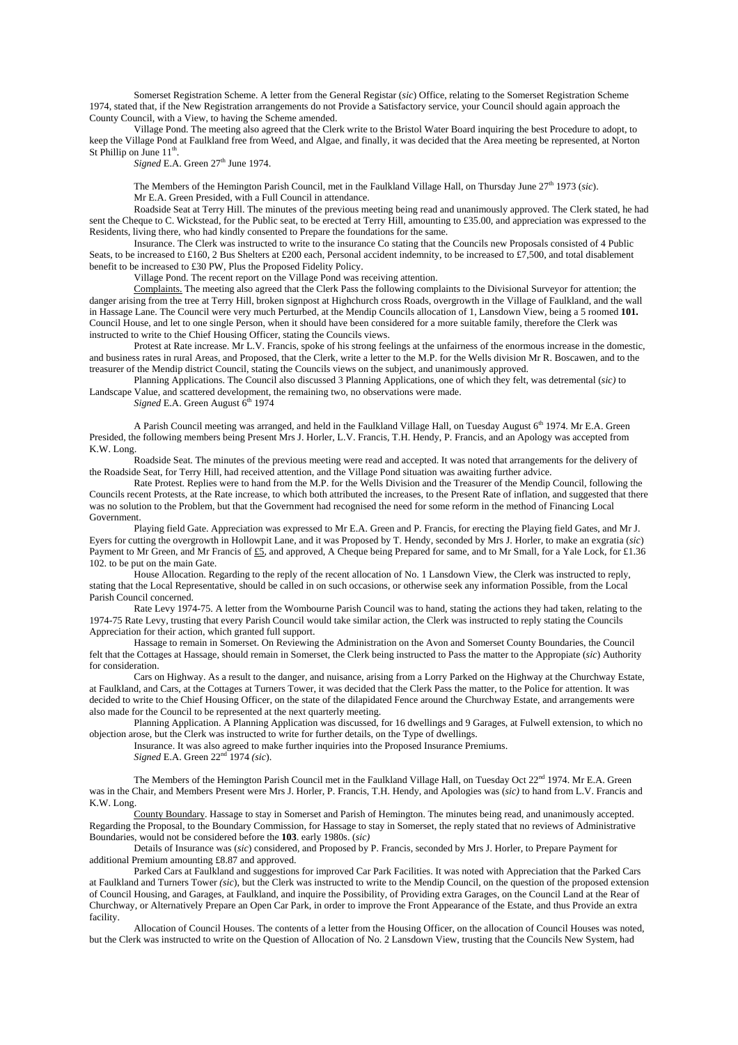Somerset Registration Scheme. A letter from the General Registar (*sic*) Office, relating to the Somerset Registration Scheme 1974, stated that, if the New Registration arrangements do not Provide a Satisfactory service, your Council should again approach the County Council, with a View, to having the Scheme amended.

 Village Pond. The meeting also agreed that the Clerk write to the Bristol Water Board inquiring the best Procedure to adopt, to keep the Village Pond at Faulkland free from Weed, and Algae, and finally, it was decided that the Area meeting be represented, at Norton St Phillip on June  $11<sup>th</sup>$ .

 $Signed$  E.A. Green  $27<sup>th</sup>$  June 1974.

The Members of the Hemington Parish Council, met in the Faulkland Village Hall, on Thursday June 27<sup>th</sup> 1973 (*sic*). Mr E.A. Green Presided, with a Full Council in attendance.

 Roadside Seat at Terry Hill. The minutes of the previous meeting being read and unanimously approved. The Clerk stated, he had sent the Cheque to C. Wickstead, for the Public seat, to be erected at Terry Hill, amounting to £35.00, and appreciation was expressed to the Residents, living there, who had kindly consented to Prepare the foundations for the same.

 Insurance. The Clerk was instructed to write to the insurance Co stating that the Councils new Proposals consisted of 4 Public Seats, to be increased to £160, 2 Bus Shelters at £200 each. Personal accident indemnity, to be increased to £7,500, and total disablement benefit to be increased to £30 PW, Plus the Proposed Fidelity Policy.

Village Pond. The recent report on the Village Pond was receiving attention.

 Complaints. The meeting also agreed that the Clerk Pass the following complaints to the Divisional Surveyor for attention; the danger arising from the tree at Terry Hill, broken signpost at Highchurch cross Roads, overgrowth in the Village of Faulkland, and the wall in Hassage Lane. The Council were very much Perturbed, at the Mendip Councils allocation of 1, Lansdown View, being a 5 roomed **101.** Council House, and let to one single Person, when it should have been considered for a more suitable family, therefore the Clerk was instructed to write to the Chief Housing Officer, stating the Councils views.

 Protest at Rate increase. Mr L.V. Francis, spoke of his strong feelings at the unfairness of the enormous increase in the domestic, and business rates in rural Areas, and Proposed, that the Clerk, write a letter to the M.P. for the Wells division Mr R. Boscawen, and to the treasurer of the Mendip district Council, stating the Councils views on the subject, and unanimously approved.

 Planning Applications. The Council also discussed 3 Planning Applications, one of which they felt, was detremental (*sic)* to Landscape Value, and scattered development, the remaining two, no observations were made.

*Signed* E.A. Green August  $6<sup>th</sup>$  1974

 A Parish Council meeting was arranged, and held in the Faulkland Village Hall, on Tuesday August 6th 1974. Mr E.A. Green Presided, the following members being Present Mrs J. Horler, L.V. Francis, T.H. Hendy, P. Francis, and an Apology was accepted from K.W. Long.

 Roadside Seat. The minutes of the previous meeting were read and accepted. It was noted that arrangements for the delivery of the Roadside Seat, for Terry Hill, had received attention, and the Village Pond situation was awaiting further advice.

 Rate Protest. Replies were to hand from the M.P. for the Wells Division and the Treasurer of the Mendip Council, following the Councils recent Protests, at the Rate increase, to which both attributed the increases, to the Present Rate of inflation, and suggested that there was no solution to the Problem, but that the Government had recognised the need for some reform in the method of Financing Local Government.

 Playing field Gate. Appreciation was expressed to Mr E.A. Green and P. Francis, for erecting the Playing field Gates, and Mr J. Eyers for cutting the overgrowth in Hollowpit Lane, and it was Proposed by T. Hendy, seconded by Mrs J. Horler, to make an exgratia (*sic*) Payment to Mr Green, and Mr Francis of £5, and approved, A Cheque being Prepared for same, and to Mr Small, for a Yale Lock, for £1.36 102. to be put on the main Gate.

 House Allocation. Regarding to the reply of the recent allocation of No. 1 Lansdown View, the Clerk was instructed to reply, stating that the Local Representative, should be called in on such occasions, or otherwise seek any information Possible, from the Local Parish Council concerned.

 Rate Levy 1974-75. A letter from the Wombourne Parish Council was to hand, stating the actions they had taken, relating to the 1974-75 Rate Levy, trusting that every Parish Council would take similar action, the Clerk was instructed to reply stating the Councils Appreciation for their action, which granted full support.

 Hassage to remain in Somerset. On Reviewing the Administration on the Avon and Somerset County Boundaries, the Council felt that the Cottages at Hassage, should remain in Somerset, the Clerk being instructed to Pass the matter to the Appropiate (*sic*) Authority for consideration.

 Cars on Highway. As a result to the danger, and nuisance, arising from a Lorry Parked on the Highway at the Churchway Estate, at Faulkland, and Cars, at the Cottages at Turners Tower, it was decided that the Clerk Pass the matter, to the Police for attention. It was decided to write to the Chief Housing Officer, on the state of the dilapidated Fence around the Churchway Estate, and arrangements were also made for the Council to be represented at the next quarterly meeting.

 Planning Application. A Planning Application was discussed, for 16 dwellings and 9 Garages, at Fulwell extension, to which no objection arose, but the Clerk was instructed to write for further details, on the Type of dwellings.

Insurance. It was also agreed to make further inquiries into the Proposed Insurance Premiums.

*Signed* E.A. Green  $22<sup>nd</sup>$  1974 *(sic*).

The Members of the Hemington Parish Council met in the Faulkland Village Hall, on Tuesday Oct  $22^{nd}$  1974. Mr E.A. Green was in the Chair, and Members Present were Mrs J. Horler, P. Francis, T.H. Hendy, and Apologies was (*sic)* to hand from L.V. Francis and K.W. Long.

 County Boundary. Hassage to stay in Somerset and Parish of Hemington. The minutes being read, and unanimously accepted. Regarding the Proposal, to the Boundary Commission, for Hassage to stay in Somerset, the reply stated that no reviews of Administrative Boundaries, would not be considered before the **103**. early 1980s. (*sic)*

 Details of Insurance was (*sic*) considered, and Proposed by P. Francis, seconded by Mrs J. Horler, to Prepare Payment for additional Premium amounting £8.87 and approved.

 Parked Cars at Faulkland and suggestions for improved Car Park Facilities. It was noted with Appreciation that the Parked Cars at Faulkland and Turners Tower *(sic*), but the Clerk was instructed to write to the Mendip Council, on the question of the proposed extension of Council Housing, and Garages, at Faulkland, and inquire the Possibility, of Providing extra Garages, on the Council Land at the Rear of Churchway, or Alternatively Prepare an Open Car Park, in order to improve the Front Appearance of the Estate, and thus Provide an extra facility.

 Allocation of Council Houses. The contents of a letter from the Housing Officer, on the allocation of Council Houses was noted, but the Clerk was instructed to write on the Question of Allocation of No. 2 Lansdown View, trusting that the Councils New System, had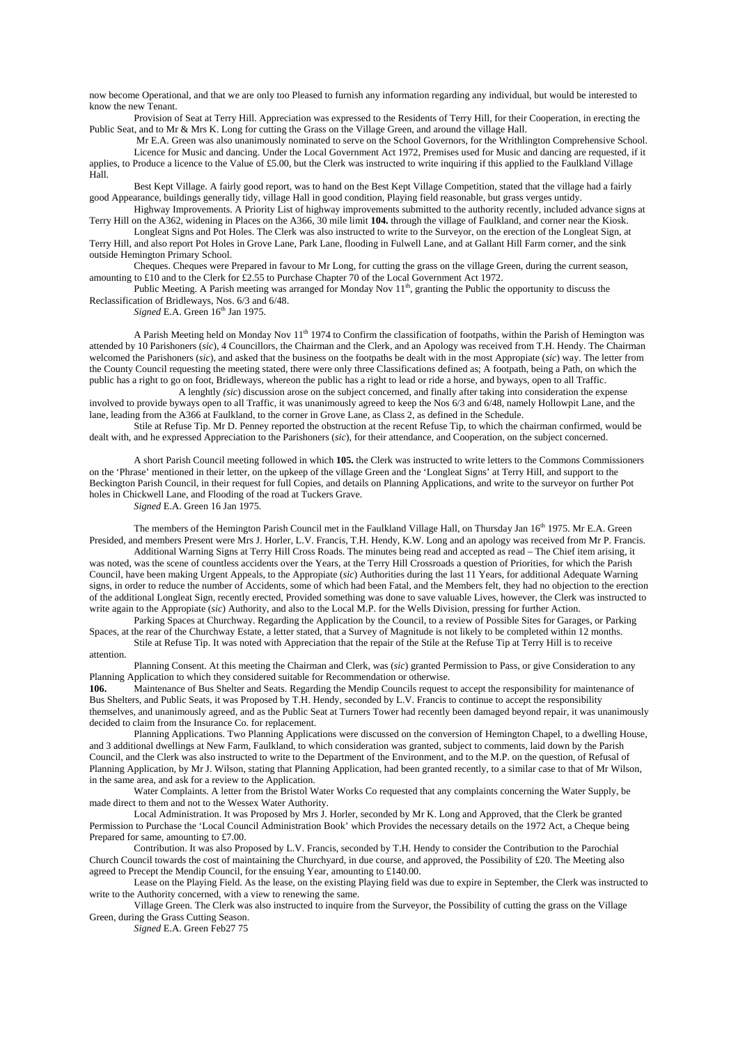now become Operational, and that we are only too Pleased to furnish any information regarding any individual, but would be interested to know the new Tenant.

 Provision of Seat at Terry Hill. Appreciation was expressed to the Residents of Terry Hill, for their Cooperation, in erecting the Public Seat, and to Mr & Mrs K. Long for cutting the Grass on the Village Green, and around the village Hall.

 Mr E.A. Green was also unanimously nominated to serve on the School Governors, for the Writhlington Comprehensive School. Licence for Music and dancing. Under the Local Government Act 1972, Premises used for Music and dancing are requested, if it applies, to Produce a licence to the Value of £5.00, but the Clerk was instructed to write inquiring if this applied to the Faulkland Village Hall.

Best Kept Village. A fairly good report, was to hand on the Best Kept Village Competition, stated that the village had a fairly good Appearance, buildings generally tidy, village Hall in good condition, Playing field reasonable, but grass verges untidy.

Highway Improvements. A Priority List of highway improvements submitted to the authority recently, included advance signs at Terry Hill on the A362, widening in Places on the A366, 30 mile limit **104.** through the village of Faulkland, and corner near the Kiosk. Longleat Signs and Pot Holes. The Clerk was also instructed to write to the Surveyor, on the erection of the Longleat Sign, at

Terry Hill, and also report Pot Holes in Grove Lane, Park Lane, flooding in Fulwell Lane, and at Gallant Hill Farm corner, and the sink outside Hemington Primary School.

Cheques. Cheques were Prepared in favour to Mr Long, for cutting the grass on the village Green, during the current season, amounting to £10 and to the Clerk for £2.55 to Purchase Chapter 70 of the Local Government Act 1972.

Public Meeting. A Parish meeting was arranged for Monday Nov  $11^{th}$ , granting the Public the opportunity to discuss the Reclassification of Bridleways, Nos. 6/3 and 6/48.

*Signed* E.A. Green  $16<sup>th</sup>$  Jan 1975.

A Parish Meeting held on Monday Nov  $11<sup>th</sup> 1974$  to Confirm the classification of footpaths, within the Parish of Hemington was attended by 10 Parishoners (*sic*), 4 Councillors, the Chairman and the Clerk, and an Apology was received from T.H. Hendy. The Chairman welcomed the Parishoners (*sic*), and asked that the business on the footpaths be dealt with in the most Appropiate (*sic*) way. The letter from the County Council requesting the meeting stated, there were only three Classifications defined as; A footpath, being a Path, on which the public has a right to go on foot, Bridleways, whereon the public has a right to lead or ride a horse, and byways, open to all Traffic.

 A lenghtly *(sic*) discussion arose on the subject concerned, and finally after taking into consideration the expense involved to provide byways open to all Traffic, it was unanimously agreed to keep the Nos 6/3 and 6/48, namely Hollowpit Lane, and the lane, leading from the A366 at Faulkland, to the corner in Grove Lane, as Class 2, as defined in the Schedule.

Stile at Refuse Tip. Mr D. Penney reported the obstruction at the recent Refuse Tip, to which the chairman confirmed, would be dealt with, and he expressed Appreciation to the Parishoners (*sic*), for their attendance, and Cooperation, on the subject concerned.

A short Parish Council meeting followed in which **105.** the Clerk was instructed to write letters to the Commons Commissioners on the 'Phrase' mentioned in their letter, on the upkeep of the village Green and the 'Longleat Signs' at Terry Hill, and support to the Beckington Parish Council, in their request for full Copies, and details on Planning Applications, and write to the surveyor on further Pot holes in Chickwell Lane, and Flooding of the road at Tuckers Grave.

*Signed* E.A. Green 16 Jan 1975.

The members of the Hemington Parish Council met in the Faulkland Village Hall, on Thursday Jan 16<sup>th</sup> 1975. Mr E.A. Green Presided, and members Present were Mrs J. Horler, L.V. Francis, T.H. Hendy, K.W. Long and an apology was received from Mr P. Francis. Additional Warning Signs at Terry Hill Cross Roads. The minutes being read and accepted as read – The Chief item arising, it

was noted, was the scene of countless accidents over the Years, at the Terry Hill Crossroads a question of Priorities, for which the Parish Council, have been making Urgent Appeals, to the Appropiate (*sic*) Authorities during the last 11 Years, for additional Adequate Warning signs, in order to reduce the number of Accidents, some of which had been Fatal, and the Members felt, they had no objection to the erection of the additional Longleat Sign, recently erected, Provided something was done to save valuable Lives, however, the Clerk was instructed to write again to the Appropiate (*sic*) Authority, and also to the Local M.P. for the Wells Division, pressing for further Action.

Parking Spaces at Churchway. Regarding the Application by the Council, to a review of Possible Sites for Garages, or Parking Spaces, at the rear of the Churchway Estate, a letter stated, that a Survey of Magnitude is not likely to be completed within 12 months. Stile at Refuse Tip. It was noted with Appreciation that the repair of the Stile at the Refuse Tip at Terry Hill is to receive

#### attention.

Planning Consent. At this meeting the Chairman and Clerk, was (*sic*) granted Permission to Pass, or give Consideration to any Planning Application to which they considered suitable for Recommendation or otherwise.

**106.** Maintenance of Bus Shelter and Seats. Regarding the Mendip Councils request to accept the responsibility for maintenance of Bus Shelters, and Public Seats, it was Proposed by T.H. Hendy, seconded by L.V. Francis to continue to accept the responsibility themselves, and unanimously agreed, and as the Public Seat at Turners Tower had recently been damaged beyond repair, it was unanimously decided to claim from the Insurance Co. for replacement.

 Planning Applications. Two Planning Applications were discussed on the conversion of Hemington Chapel, to a dwelling House, and 3 additional dwellings at New Farm, Faulkland, to which consideration was granted, subject to comments, laid down by the Parish Council, and the Clerk was also instructed to write to the Department of the Environment, and to the M.P. on the question, of Refusal of Planning Application, by Mr J. Wilson, stating that Planning Application, had been granted recently, to a similar case to that of Mr Wilson, in the same area, and ask for a review to the Application.

Water Complaints. A letter from the Bristol Water Works Co requested that any complaints concerning the Water Supply, be made direct to them and not to the Wessex Water Authority.

 Local Administration. It was Proposed by Mrs J. Horler, seconded by Mr K. Long and Approved, that the Clerk be granted Permission to Purchase the 'Local Council Administration Book' which Provides the necessary details on the 1972 Act, a Cheque being Prepared for same, amounting to £7.00.

 Contribution. It was also Proposed by L.V. Francis, seconded by T.H. Hendy to consider the Contribution to the Parochial Church Council towards the cost of maintaining the Churchyard, in due course, and approved, the Possibility of £20. The Meeting also agreed to Precept the Mendip Council, for the ensuing Year, amounting to £140.00.

 Lease on the Playing Field. As the lease, on the existing Playing field was due to expire in September, the Clerk was instructed to write to the Authority concerned, with a view to renewing the same.

 Village Green. The Clerk was also instructed to inquire from the Surveyor, the Possibility of cutting the grass on the Village Green, during the Grass Cutting Season.

*Signed* E.A. Green Feb27 75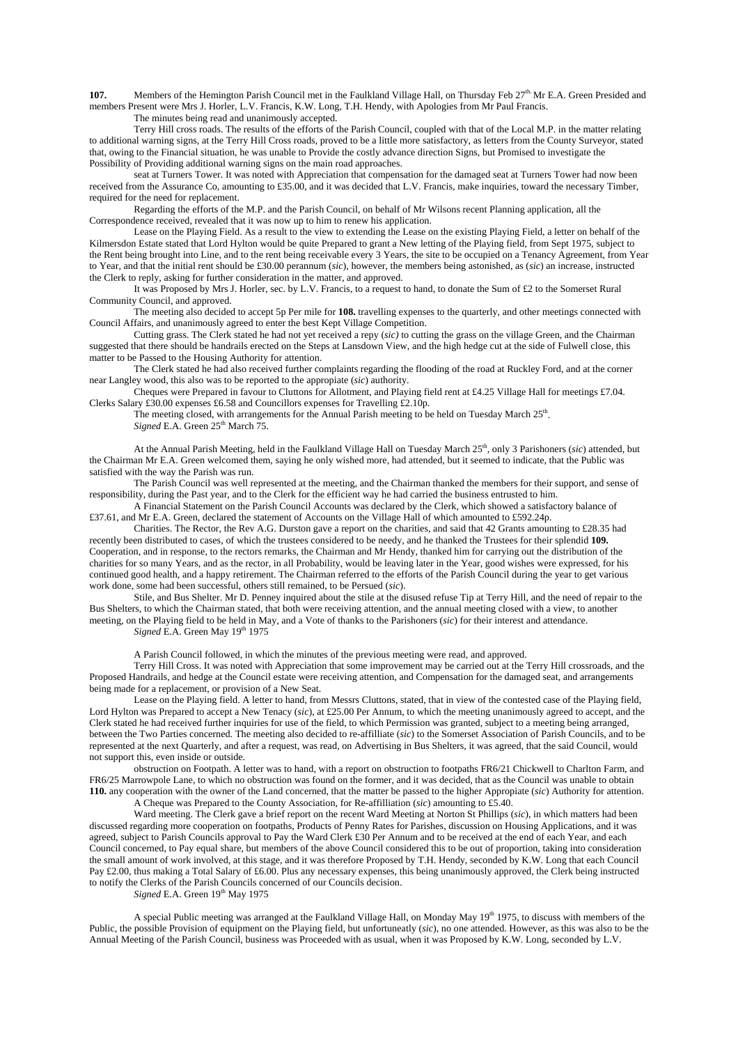**107.** Members of the Hemington Parish Council met in the Faulkland Village Hall, on Thursday Feb 27<sup>th</sup> Mr E.A. Green Presided and members Present were Mrs J. Horler, L.V. Francis, K.W. Long, T.H. Hendy, with Apologies from Mr Paul Francis. The minutes being read and unanimously accepted.

 Terry Hill cross roads. The results of the efforts of the Parish Council, coupled with that of the Local M.P. in the matter relating to additional warning signs, at the Terry Hill Cross roads, proved to be a little more satisfactory, as letters from the County Surveyor, stated that, owing to the Financial situation, he was unable to Provide the costly advance direction Signs, but Promised to investigate the Possibility of Providing additional warning signs on the main road approaches.

 seat at Turners Tower. It was noted with Appreciation that compensation for the damaged seat at Turners Tower had now been received from the Assurance Co, amounting to £35.00, and it was decided that L.V. Francis, make inquiries, toward the necessary Timber, required for the need for replacement.

 Regarding the efforts of the M.P. and the Parish Council, on behalf of Mr Wilsons recent Planning application, all the Correspondence received, revealed that it was now up to him to renew his application.

 Lease on the Playing Field. As a result to the view to extending the Lease on the existing Playing Field, a letter on behalf of the Kilmersdon Estate stated that Lord Hylton would be quite Prepared to grant a New letting of the Playing field, from Sept 1975, subject to the Rent being brought into Line, and to the rent being receivable every 3 Years, the site to be occupied on a Tenancy Agreement, from Year to Year, and that the initial rent should be £30.00 perannum (*sic*), however, the members being astonished, as (*sic*) an increase, instructed the Clerk to reply, asking for further consideration in the matter, and approved.

 It was Proposed by Mrs J. Horler, sec. by L.V. Francis, to a request to hand, to donate the Sum of £2 to the Somerset Rural Community Council, and approved.

 The meeting also decided to accept 5p Per mile for **108.** travelling expenses to the quarterly, and other meetings connected with Council Affairs, and unanimously agreed to enter the best Kept Village Competition.

 Cutting grass. The Clerk stated he had not yet received a repy (*sic)* to cutting the grass on the village Green, and the Chairman suggested that there should be handrails erected on the Steps at Lansdown View, and the high hedge cut at the side of Fulwell close, this matter to be Passed to the Housing Authority for attention.

 The Clerk stated he had also received further complaints regarding the flooding of the road at Ruckley Ford, and at the corner near Langley wood, this also was to be reported to the appropiate (*sic*) authority.

 Cheques were Prepared in favour to Cluttons for Allotment, and Playing field rent at £4.25 Village Hall for meetings £7.04. Clerks Salary £30.00 expenses £6.58 and Councillors expenses for Travelling £2.10p.

The meeting closed, with arrangements for the Annual Parish meeting to be held on Tuesday March  $25<sup>th</sup>$ . *Signed* E.A. Green 25<sup>th</sup> March 75.

At the Annual Parish Meeting, held in the Faulkland Village Hall on Tuesday March 25<sup>th</sup>, only 3 Parishoners (*sic*) attended, but the Chairman Mr E.A. Green welcomed them, saying he only wished more, had attended, but it seemed to indicate, that the Public was satisfied with the way the Parish was run.

 The Parish Council was well represented at the meeting, and the Chairman thanked the members for their support, and sense of responsibility, during the Past year, and to the Clerk for the efficient way he had carried the business entrusted to him.

 A Financial Statement on the Parish Council Accounts was declared by the Clerk, which showed a satisfactory balance of £37.61, and Mr E.A. Green, declared the statement of Accounts on the Village Hall of which amounted to £592.24p.

 Charities. The Rector, the Rev A.G. Durston gave a report on the charities, and said that 42 Grants amounting to £28.35 had recently been distributed to cases, of which the trustees considered to be needy, and he thanked the Trustees for their splendid **109.** Cooperation, and in response, to the rectors remarks, the Chairman and Mr Hendy, thanked him for carrying out the distribution of the charities for so many Years, and as the rector, in all Probability, would be leaving later in the Year, good wishes were expressed, for his continued good health, and a happy retirement. The Chairman referred to the efforts of the Parish Council during the year to get various work done, some had been successful, others still remained, to be Persued (*sic*).

 Stile, and Bus Shelter. Mr D. Penney inquired about the stile at the disused refuse Tip at Terry Hill, and the need of repair to the Bus Shelters, to which the Chairman stated, that both were receiving attention, and the annual meeting closed with a view, to another meeting, on the Playing field to be held in May, and a Vote of thanks to the Parishoners (*sic*) for their interest and attendance.  $Signed E.A.$  Green May  $19<sup>th</sup> 1975$ 

A Parish Council followed, in which the minutes of the previous meeting were read, and approved.

 Terry Hill Cross. It was noted with Appreciation that some improvement may be carried out at the Terry Hill crossroads, and the Proposed Handrails, and hedge at the Council estate were receiving attention, and Compensation for the damaged seat, and arrangements being made for a replacement, or provision of a New Seat.

 Lease on the Playing field. A letter to hand, from Messrs Cluttons, stated, that in view of the contested case of the Playing field, Lord Hylton was Prepared to accept a New Tenacy (*sic*), at £25.00 Per Annum, to which the meeting unanimously agreed to accept, and the Clerk stated he had received further inquiries for use of the field, to which Permission was granted, subject to a meeting being arranged, between the Two Parties concerned. The meeting also decided to re-affilliate (*sic*) to the Somerset Association of Parish Councils, and to be represented at the next Quarterly, and after a request, was read, on Advertising in Bus Shelters, it was agreed, that the said Council, would not support this, even inside or outside.

 obstruction on Footpath. A letter was to hand, with a report on obstruction to footpaths FR6/21 Chickwell to Charlton Farm, and FR6/25 Marrowpole Lane, to which no obstruction was found on the former, and it was decided, that as the Council was unable to obtain **110.** any cooperation with the owner of the Land concerned, that the matter be passed to the higher Appropiate (*sic*) Authority for attention.

A Cheque was Prepared to the County Association, for Re-affilliation (*sic*) amounting to £5.40.

 Ward meeting. The Clerk gave a brief report on the recent Ward Meeting at Norton St Phillips (*sic*), in which matters had been discussed regarding more cooperation on footpaths, Products of Penny Rates for Parishes, discussion on Housing Applications, and it was agreed, subject to Parish Councils approval to Pay the Ward Clerk £30 Per Annum and to be received at the end of each Year, and each Council concerned, to Pay equal share, but members of the above Council considered this to be out of proportion, taking into consideration the small amount of work involved, at this stage, and it was therefore Proposed by T.H. Hendy, seconded by K.W. Long that each Council Pay £2.00, thus making a Total Salary of £6.00. Plus any necessary expenses, this being unanimously approved, the Clerk being instructed to notify the Clerks of the Parish Councils concerned of our Councils decision.

*Signed* E.A. Green  $19<sup>th</sup>$  May 1975

A special Public meeting was arranged at the Faulkland Village Hall, on Monday May  $19<sup>th</sup>$  1975, to discuss with members of the Public, the possible Provision of equipment on the Playing field, but unfortuneatly (*sic*), no one attended. However, as this was also to be the Annual Meeting of the Parish Council, business was Proceeded with as usual, when it was Proposed by K.W. Long, seconded by L.V.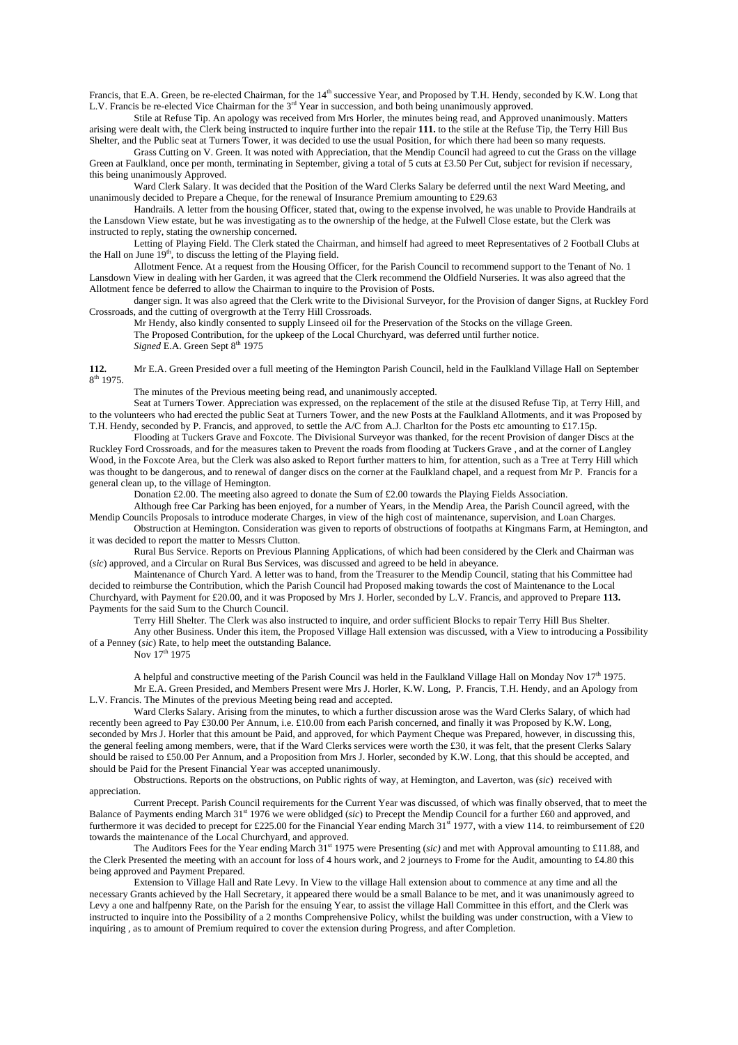Francis, that E.A. Green, be re-elected Chairman, for the 14<sup>th</sup> successive Year, and Proposed by T.H. Hendy, seconded by K.W. Long that L.V. Francis be re-elected Vice Chairman for the 3<sup>rd</sup> Year in succession, and both being unanimously approved.

 Stile at Refuse Tip. An apology was received from Mrs Horler, the minutes being read, and Approved unanimously. Matters arising were dealt with, the Clerk being instructed to inquire further into the repair **111.** to the stile at the Refuse Tip, the Terry Hill Bus Shelter, and the Public seat at Turners Tower, it was decided to use the usual Position, for which there had been so many requests.

 Grass Cutting on V. Green. It was noted with Appreciation, that the Mendip Council had agreed to cut the Grass on the village Green at Faulkland, once per month, terminating in September, giving a total of 5 cuts at £3.50 Per Cut, subject for revision if necessary, this being unanimously Approved.

 Ward Clerk Salary. It was decided that the Position of the Ward Clerks Salary be deferred until the next Ward Meeting, and unanimously decided to Prepare a Cheque, for the renewal of Insurance Premium amounting to £29.63

 Handrails. A letter from the housing Officer, stated that, owing to the expense involved, he was unable to Provide Handrails at the Lansdown View estate, but he was investigating as to the ownership of the hedge, at the Fulwell Close estate, but the Clerk was instructed to reply, stating the ownership concerned.

 Letting of Playing Field. The Clerk stated the Chairman, and himself had agreed to meet Representatives of 2 Football Clubs at the Hall on June  $19<sup>th</sup>$ , to discuss the letting of the Playing field.

 Allotment Fence. At a request from the Housing Officer, for the Parish Council to recommend support to the Tenant of No. 1 Lansdown View in dealing with her Garden, it was agreed that the Clerk recommend the Oldfield Nurseries. It was also agreed that the Allotment fence be deferred to allow the Chairman to inquire to the Provision of Posts.

danger sign. It was also agreed that the Clerk write to the Divisional Surveyor, for the Provision of danger Signs, at Ruckley Ford Crossroads, and the cutting of overgrowth at the Terry Hill Crossroads.

Mr Hendy, also kindly consented to supply Linseed oil for the Preservation of the Stocks on the village Green. The Proposed Contribution, for the upkeep of the Local Churchyard, was deferred until further notice. *Signed* E.A. Green Sept 8th 1975

**112.** Mr E.A. Green Presided over a full meeting of the Hemington Parish Council, held in the Faulkland Village Hall on September 8th 1975.

The minutes of the Previous meeting being read, and unanimously accepted.

 Seat at Turners Tower. Appreciation was expressed, on the replacement of the stile at the disused Refuse Tip, at Terry Hill, and to the volunteers who had erected the public Seat at Turners Tower, and the new Posts at the Faulkland Allotments, and it was Proposed by T.H. Hendy, seconded by P. Francis, and approved, to settle the A/C from A.J. Charlton for the Posts etc amounting to £17.15p.

 Flooding at Tuckers Grave and Foxcote. The Divisional Surveyor was thanked, for the recent Provision of danger Discs at the Ruckley Ford Crossroads, and for the measures taken to Prevent the roads from flooding at Tuckers Grave , and at the corner of Langley Wood, in the Foxcote Area, but the Clerk was also asked to Report further matters to him, for attention, such as a Tree at Terry Hill which was thought to be dangerous, and to renewal of danger discs on the corner at the Faulkland chapel, and a request from Mr P. Francis for a general clean up, to the village of Hemington.

Donation £2.00. The meeting also agreed to donate the Sum of £2.00 towards the Playing Fields Association.

Although free Car Parking has been enjoyed, for a number of Years, in the Mendip Area, the Parish Council agreed, with the

Mendip Councils Proposals to introduce moderate Charges, in view of the high cost of maintenance, supervision, and Loan Charges. Obstruction at Hemington. Consideration was given to reports of obstructions of footpaths at Kingmans Farm, at Hemington, and it was decided to report the matter to Messrs Clutton.

 Rural Bus Service. Reports on Previous Planning Applications, of which had been considered by the Clerk and Chairman was (*sic*) approved, and a Circular on Rural Bus Services, was discussed and agreed to be held in abeyance.

 Maintenance of Church Yard. A letter was to hand, from the Treasurer to the Mendip Council, stating that his Committee had decided to reimburse the Contribution, which the Parish Council had Proposed making towards the cost of Maintenance to the Local Churchyard, with Payment for £20.00, and it was Proposed by Mrs J. Horler, seconded by L.V. Francis, and approved to Prepare **113.** Payments for the said Sum to the Church Council.

Terry Hill Shelter. The Clerk was also instructed to inquire, and order sufficient Blocks to repair Terry Hill Bus Shelter.

 Any other Business. Under this item, the Proposed Village Hall extension was discussed, with a View to introducing a Possibility of a Penney (*sic*) Rate, to help meet the outstanding Balance.

Nov 17<sup>th</sup> 1975

A helpful and constructive meeting of the Parish Council was held in the Faulkland Village Hall on Monday Nov  $17<sup>th</sup> 1975$ . Mr E.A. Green Presided, and Members Present were Mrs J. Horler, K.W. Long, P. Francis, T.H. Hendy, and an Apology from L.V. Francis. The Minutes of the previous Meeting being read and accepted.

 Ward Clerks Salary. Arising from the minutes, to which a further discussion arose was the Ward Clerks Salary, of which had recently been agreed to Pay £30.00 Per Annum, i.e. £10.00 from each Parish concerned, and finally it was Proposed by K.W. Long, seconded by Mrs J. Horler that this amount be Paid, and approved, for which Payment Cheque was Prepared, however, in discussing this, the general feeling among members, were, that if the Ward Clerks services were worth the £30, it was felt, that the present Clerks Salary should be raised to £50.00 Per Annum, and a Proposition from Mrs J. Horler, seconded by K.W. Long, that this should be accepted, and should be Paid for the Present Financial Year was accepted unanimously.

 Obstructions. Reports on the obstructions, on Public rights of way, at Hemington, and Laverton, was (*sic*) received with appreciation.

 Current Precept. Parish Council requirements for the Current Year was discussed, of which was finally observed, that to meet the Balance of Payments ending March 31st 1976 we were oblidged (*sic*) to Precept the Mendip Council for a further £60 and approved, and furthermore it was decided to precept for £225.00 for the Financial Year ending March  $31<sup>st</sup>$  1977, with a view 114. to reimbursement of £20 towards the maintenance of the Local Churchyard, and approved.

The Auditors Fees for the Year ending March  $31<sup>st</sup> 1975$  were Presenting (*sic*) and met with Approval amounting to £11.88, and the Clerk Presented the meeting with an account for loss of 4 hours work, and 2 journeys to Frome for the Audit, amounting to £4.80 this being approved and Payment Prepared.

 Extension to Village Hall and Rate Levy. In View to the village Hall extension about to commence at any time and all the necessary Grants achieved by the Hall Secretary, it appeared there would be a small Balance to be met, and it was unanimously agreed to Levy a one and halfpenny Rate, on the Parish for the ensuing Year, to assist the village Hall Committee in this effort, and the Clerk was instructed to inquire into the Possibility of a 2 months Comprehensive Policy, whilst the building was under construction, with a View to inquiring , as to amount of Premium required to cover the extension during Progress, and after Completion.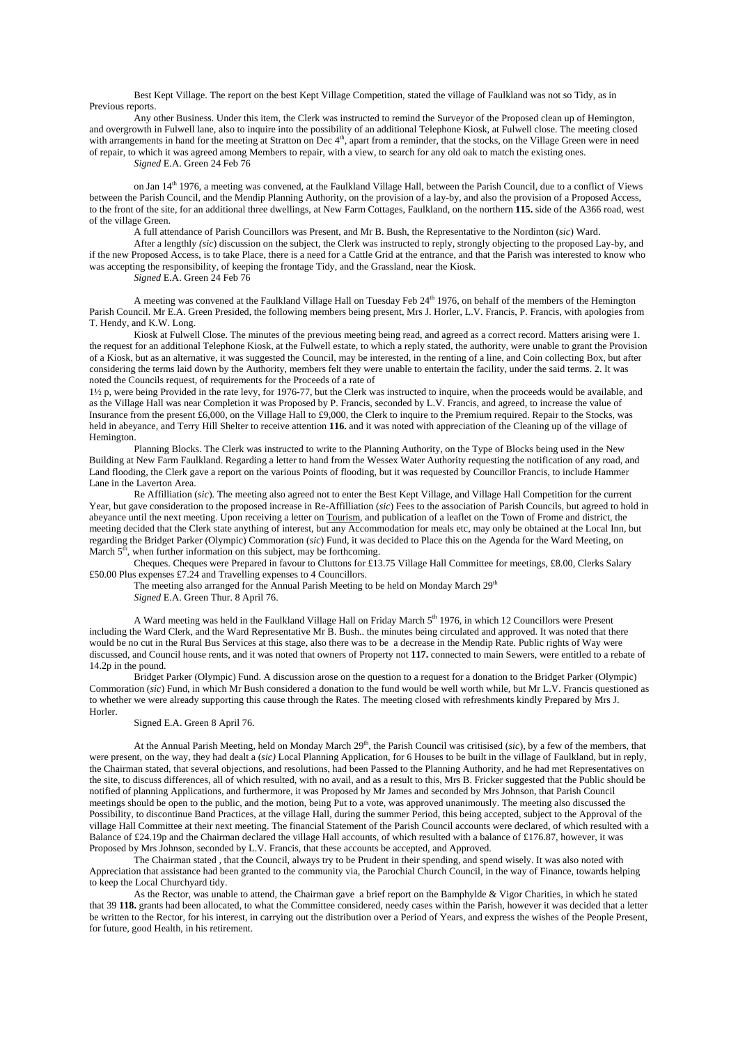Best Kept Village. The report on the best Kept Village Competition, stated the village of Faulkland was not so Tidy, as in Previous reports.

 Any other Business. Under this item, the Clerk was instructed to remind the Surveyor of the Proposed clean up of Hemington, and overgrowth in Fulwell lane, also to inquire into the possibility of an additional Telephone Kiosk, at Fulwell close. The meeting closed with arrangements in hand for the meeting at Stratton on Dec 4<sup>th</sup>, apart from a reminder, that the stocks, on the Village Green were in need of repair, to which it was agreed among Members to repair, with a view, to search for any old oak to match the existing ones.

*Signed* E.A. Green 24 Feb 76

 on Jan 14th 1976, a meeting was convened, at the Faulkland Village Hall, between the Parish Council, due to a conflict of Views between the Parish Council, and the Mendip Planning Authority, on the provision of a lay-by, and also the provision of a Proposed Access, to the front of the site, for an additional three dwellings, at New Farm Cottages, Faulkland, on the northern **115.** side of the A366 road, west of the village Green.

A full attendance of Parish Councillors was Present, and Mr B. Bush, the Representative to the Nordinton (*sic*) Ward.

 After a lengthly *(sic*) discussion on the subject, the Clerk was instructed to reply, strongly objecting to the proposed Lay-by, and if the new Proposed Access, is to take Place, there is a need for a Cattle Grid at the entrance, and that the Parish was interested to know who was accepting the responsibility, of keeping the frontage Tidy, and the Grassland, near the Kiosk.

*Signed* E.A. Green 24 Feb 76

A meeting was convened at the Faulkland Village Hall on Tuesday Feb 24<sup>th</sup> 1976, on behalf of the members of the Hemington Parish Council. Mr E.A. Green Presided, the following members being present, Mrs J. Horler, L.V. Francis, P. Francis, with apologies from T. Hendy, and K.W. Long.

 Kiosk at Fulwell Close. The minutes of the previous meeting being read, and agreed as a correct record. Matters arising were 1. the request for an additional Telephone Kiosk, at the Fulwell estate, to which a reply stated, the authority, were unable to grant the Provision of a Kiosk, but as an alternative, it was suggested the Council, may be interested, in the renting of a line, and Coin collecting Box, but after considering the terms laid down by the Authority, members felt they were unable to entertain the facility, under the said terms. 2. It was noted the Councils request, of requirements for the Proceeds of a rate of

1½ p, were being Provided in the rate levy, for 1976-77, but the Clerk was instructed to inquire, when the proceeds would be available, and as the Village Hall was near Completion it was Proposed by P. Francis, seconded by L.V. Francis, and agreed, to increase the value of Insurance from the present £6,000, on the Village Hall to £9,000, the Clerk to inquire to the Premium required. Repair to the Stocks, was held in abeyance, and Terry Hill Shelter to receive attention **116.** and it was noted with appreciation of the Cleaning up of the village of Hemington.

 Planning Blocks. The Clerk was instructed to write to the Planning Authority, on the Type of Blocks being used in the New Building at New Farm Faulkland. Regarding a letter to hand from the Wessex Water Authority requesting the notification of any road, and Land flooding, the Clerk gave a report on the various Points of flooding, but it was requested by Councillor Francis, to include Hammer Lane in the Laverton Area.

 Re Affilliation (*sic*). The meeting also agreed not to enter the Best Kept Village, and Village Hall Competition for the current Year, but gave consideration to the proposed increase in Re-Affilliation (*sic*) Fees to the association of Parish Councils, but agreed to hold in abeyance until the next meeting. Upon receiving a letter on Tourism, and publication of a leaflet on the Town of Frome and district, the meeting decided that the Clerk state anything of interest, but any Accommodation for meals etc, may only be obtained at the Local Inn, but regarding the Bridget Parker (Olympic) Commoration (*sic*) Fund, it was decided to Place this on the Agenda for the Ward Meeting, on March  $5<sup>th</sup>$ , when further information on this subject, may be forthcoming.

 Cheques. Cheques were Prepared in favour to Cluttons for £13.75 Village Hall Committee for meetings, £8.00, Clerks Salary £50.00 Plus expenses £7.24 and Travelling expenses to 4 Councillors.

The meeting also arranged for the Annual Parish Meeting to be held on Monday March 29<sup>th</sup> *Signed* E.A. Green Thur. 8 April 76.

A Ward meeting was held in the Faulkland Village Hall on Friday March 5<sup>th</sup> 1976, in which 12 Councillors were Present including the Ward Clerk, and the Ward Representative Mr B. Bush.. the minutes being circulated and approved. It was noted that there would be no cut in the Rural Bus Services at this stage, also there was to be a decrease in the Mendip Rate. Public rights of Way were discussed, and Council house rents, and it was noted that owners of Property not **117.** connected to main Sewers, were entitled to a rebate of 14.2p in the pound.

 Bridget Parker (Olympic) Fund. A discussion arose on the question to a request for a donation to the Bridget Parker (Olympic) Commoration (*sic*) Fund, in which Mr Bush considered a donation to the fund would be well worth while, but Mr L.V. Francis questioned as to whether we were already supporting this cause through the Rates. The meeting closed with refreshments kindly Prepared by Mrs J. Horler.

## Signed E.A. Green 8 April 76.

At the Annual Parish Meeting, held on Monday March 29<sup>th</sup>, the Parish Council was critisised (*sic*), by a few of the members, that were present, on the way, they had dealt a (*sic)* Local Planning Application, for 6 Houses to be built in the village of Faulkland, but in reply, the Chairman stated, that several objections, and resolutions, had been Passed to the Planning Authority, and he had met Representatives on the site, to discuss differences, all of which resulted, with no avail, and as a result to this, Mrs B. Fricker suggested that the Public should be notified of planning Applications, and furthermore, it was Proposed by Mr James and seconded by Mrs Johnson, that Parish Council meetings should be open to the public, and the motion, being Put to a vote, was approved unanimously. The meeting also discussed the Possibility, to discontinue Band Practices, at the village Hall, during the summer Period, this being accepted, subject to the Approval of the village Hall Committee at their next meeting. The financial Statement of the Parish Council accounts were declared, of which resulted with a Balance of £24.19p and the Chairman declared the village Hall accounts, of which resulted with a balance of £176.87, however, it was Proposed by Mrs Johnson, seconded by L.V. Francis, that these accounts be accepted, and Approved.

 The Chairman stated , that the Council, always try to be Prudent in their spending, and spend wisely. It was also noted with Appreciation that assistance had been granted to the community via, the Parochial Church Council, in the way of Finance, towards helping to keep the Local Churchyard tidy.

 As the Rector, was unable to attend, the Chairman gave a brief report on the Bamphylde & Vigor Charities, in which he stated that 39 **118.** grants had been allocated, to what the Committee considered, needy cases within the Parish, however it was decided that a letter be written to the Rector, for his interest, in carrying out the distribution over a Period of Years, and express the wishes of the People Present, for future, good Health, in his retirement.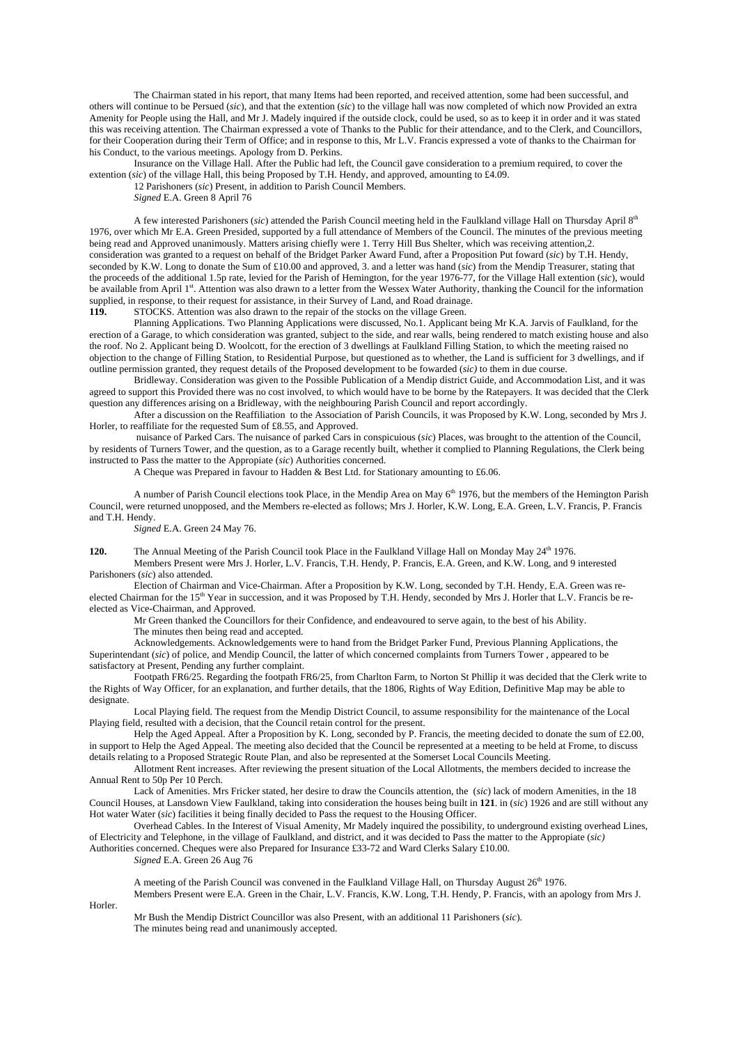The Chairman stated in his report, that many Items had been reported, and received attention, some had been successful, and others will continue to be Persued (*sic*), and that the extention (*sic*) to the village hall was now completed of which now Provided an extra Amenity for People using the Hall, and Mr J. Madely inquired if the outside clock, could be used, so as to keep it in order and it was stated this was receiving attention. The Chairman expressed a vote of Thanks to the Public for their attendance, and to the Clerk, and Councillors, for their Cooperation during their Term of Office; and in response to this, Mr L.V. Francis expressed a vote of thanks to the Chairman for his Conduct, to the various meetings. Apology from D. Perkins.

 Insurance on the Village Hall. After the Public had left, the Council gave consideration to a premium required, to cover the extention (*sic*) of the village Hall, this being Proposed by T.H. Hendy, and approved, amounting to £4.09.

12 Parishoners (*sic*) Present, in addition to Parish Council Members.

*Signed* E.A. Green 8 April 76

 A few interested Parishoners (*sic*) attended the Parish Council meeting held in the Faulkland village Hall on Thursday April 8th 1976, over which Mr E.A. Green Presided, supported by a full attendance of Members of the Council. The minutes of the previous meeting being read and Approved unanimously. Matters arising chiefly were 1. Terry Hill Bus Shelter, which was receiving attention,2. consideration was granted to a request on behalf of the Bridget Parker Award Fund, after a Proposition Put foward (*sic*) by T.H. Hendy, seconded by K.W. Long to donate the Sum of £10.00 and approved, 3. and a letter was hand (*sic*) from the Mendip Treasurer, stating that the proceeds of the additional 1.5p rate, levied for the Parish of Hemington, for the year 1976-77, for the Village Hall extention (*sic*), would be available from April 1st. Attention was also drawn to a letter from the Wessex Water Authority, thanking the Council for the information supplied, in response, to their request for assistance, in their Survey of Land, and Road drainage.

**119.** STOCKS. Attention was also drawn to the repair of the stocks on the village Green.

 Planning Applications. Two Planning Applications were discussed, No.1. Applicant being Mr K.A. Jarvis of Faulkland, for the erection of a Garage, to which consideration was granted, subject to the side, and rear walls, being rendered to match existing house and also the roof. No 2. Applicant being D. Woolcott, for the erection of 3 dwellings at Faulkland Filling Station, to which the meeting raised no objection to the change of Filling Station, to Residential Purpose, but questioned as to whether, the Land is sufficient for 3 dwellings, and if outline permission granted, they request details of the Proposed development to be fowarded (*sic)* to them in due course.

 Bridleway. Consideration was given to the Possible Publication of a Mendip district Guide, and Accommodation List, and it was agreed to support this Provided there was no cost involved, to which would have to be borne by the Ratepayers. It was decided that the Clerk question any differences arising on a Bridleway, with the neighbouring Parish Council and report accordingly.

 After a discussion on the Reaffiliation to the Association of Parish Councils, it was Proposed by K.W. Long, seconded by Mrs J. Horler, to reaffiliate for the requested Sum of £8.55, and Approved.

 nuisance of Parked Cars. The nuisance of parked Cars in conspicuious (*sic*) Places, was brought to the attention of the Council, by residents of Turners Tower, and the question, as to a Garage recently built, whether it complied to Planning Regulations, the Clerk being instructed to Pass the matter to the Appropiate (*sic*) Authorities concerned.

A Cheque was Prepared in favour to Hadden & Best Ltd. for Stationary amounting to £6.06.

A number of Parish Council elections took Place, in the Mendip Area on May 6<sup>th</sup> 1976, but the members of the Hemington Parish Council, were returned unopposed, and the Members re-elected as follows; Mrs J. Horler, K.W. Long, E.A. Green, L.V. Francis, P. Francis and T.H. Hendy.

*Signed* E.A. Green 24 May 76.

**120.** The Annual Meeting of the Parish Council took Place in the Faulkland Village Hall on Monday May 24<sup>th</sup> 1976.

Members Present were Mrs J. Horler, L.V. Francis, T.H. Hendy, P. Francis, E.A. Green, and K.W. Long, and 9 interested Parishoners (*sic*) also attended.

Election of Chairman and Vice-Chairman. After a Proposition by K.W. Long, seconded by T.H. Hendy, E.A. Green was reelected Chairman for the 15<sup>th</sup> Year in succession, and it was Proposed by T.H. Hendy, seconded by Mrs J. Horler that L.V. Francis be reelected as Vice-Chairman, and Approved.

Mr Green thanked the Councillors for their Confidence, and endeavoured to serve again, to the best of his Ability. The minutes then being read and accepted.

Acknowledgements. Acknowledgements were to hand from the Bridget Parker Fund, Previous Planning Applications, the Superintendant (*sic*) of police, and Mendip Council, the latter of which concerned complaints from Turners Tower , appeared to be satisfactory at Present, Pending any further complaint.

Footpath FR6/25. Regarding the footpath FR6/25, from Charlton Farm, to Norton St Phillip it was decided that the Clerk write to the Rights of Way Officer, for an explanation, and further details, that the 1806, Rights of Way Edition, Definitive Map may be able to designate.

Local Playing field. The request from the Mendip District Council, to assume responsibility for the maintenance of the Local Playing field, resulted with a decision, that the Council retain control for the present.

Help the Aged Appeal. After a Proposition by K. Long, seconded by P. Francis, the meeting decided to donate the sum of £2.00, in support to Help the Aged Appeal. The meeting also decided that the Council be represented at a meeting to be held at Frome, to discuss details relating to a Proposed Strategic Route Plan, and also be represented at the Somerset Local Councils Meeting.

Allotment Rent increases. After reviewing the present situation of the Local Allotments, the members decided to increase the Annual Rent to 50p Per 10 Perch.

Lack of Amenities. Mrs Fricker stated, her desire to draw the Councils attention, the (*sic*) lack of modern Amenities, in the 18 Council Houses, at Lansdown View Faulkland, taking into consideration the houses being built in **121**. in (*sic*) 1926 and are still without any Hot water Water (*sic*) facilities it being finally decided to Pass the request to the Housing Officer.

Overhead Cables. In the Interest of Visual Amenity, Mr Madely inquired the possibility, to underground existing overhead Lines, of Electricity and Telephone, in the village of Faulkland, and district, and it was decided to Pass the matter to the Appropiate (*sic)* Authorities concerned. Cheques were also Prepared for Insurance £33-72 and Ward Clerks Salary £10.00.

*Signed* E.A. Green 26 Aug 76

A meeting of the Parish Council was convened in the Faulkland Village Hall, on Thursday August 26<sup>th</sup> 1976. Members Present were E.A. Green in the Chair, L.V. Francis, K.W. Long, T.H. Hendy, P. Francis, with an apology from Mrs J.

Horler.

Mr Bush the Mendip District Councillor was also Present, with an additional 11 Parishoners (*sic*). The minutes being read and unanimously accepted.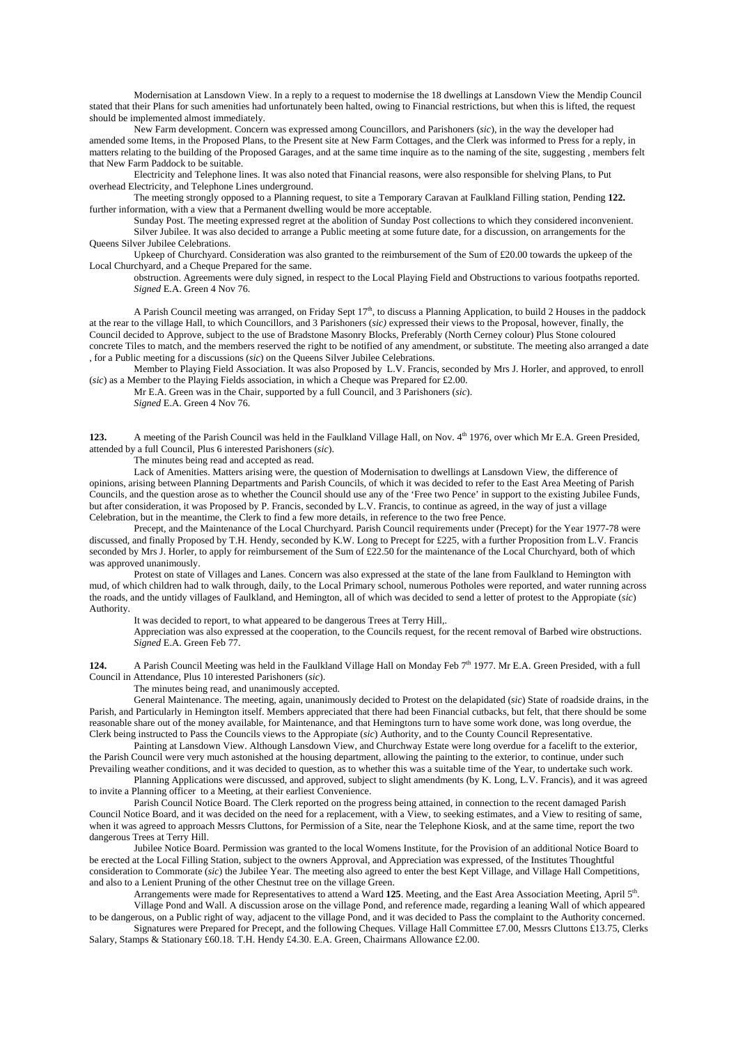Modernisation at Lansdown View. In a reply to a request to modernise the 18 dwellings at Lansdown View the Mendip Council stated that their Plans for such amenities had unfortunately been halted, owing to Financial restrictions, but when this is lifted, the request should be implemented almost immediately.

New Farm development. Concern was expressed among Councillors, and Parishoners (*sic*), in the way the developer had amended some Items, in the Proposed Plans, to the Present site at New Farm Cottages, and the Clerk was informed to Press for a reply, in matters relating to the building of the Proposed Garages, and at the same time inquire as to the naming of the site, suggesting , members felt that New Farm Paddock to be suitable.

Electricity and Telephone lines. It was also noted that Financial reasons, were also responsible for shelving Plans, to Put overhead Electricity, and Telephone Lines underground.

The meeting strongly opposed to a Planning request, to site a Temporary Caravan at Faulkland Filling station, Pending **122.** further information, with a view that a Permanent dwelling would be more acceptable.

Sunday Post. The meeting expressed regret at the abolition of Sunday Post collections to which they considered inconvenient. Silver Jubilee. It was also decided to arrange a Public meeting at some future date, for a discussion, on arrangements for the Queens Silver Jubilee Celebrations.

Upkeep of Churchyard. Consideration was also granted to the reimbursement of the Sum of £20.00 towards the upkeep of the Local Churchyard, and a Cheque Prepared for the same.

obstruction. Agreements were duly signed, in respect to the Local Playing Field and Obstructions to various footpaths reported. *Signed* E.A. Green 4 Nov 76.

A Parish Council meeting was arranged, on Friday Sept  $17<sup>th</sup>$ , to discuss a Planning Application, to build 2 Houses in the paddock at the rear to the village Hall, to which Councillors, and 3 Parishoners (*sic)* expressed their views to the Proposal, however, finally, the Council decided to Approve, subject to the use of Bradstone Masonry Blocks, Preferably (North Cerney colour) Plus Stone coloured concrete Tiles to match, and the members reserved the right to be notified of any amendment, or substitute. The meeting also arranged a date , for a Public meeting for a discussions (*sic*) on the Queens Silver Jubilee Celebrations.

Member to Playing Field Association. It was also Proposed by L.V. Francis, seconded by Mrs J. Horler, and approved, to enroll (*sic*) as a Member to the Playing Fields association, in which a Cheque was Prepared for £2.00.

Mr E.A. Green was in the Chair, supported by a full Council, and 3 Parishoners (*sic*). *Signed* E.A. Green 4 Nov 76.

**123.** A meeting of the Parish Council was held in the Faulkland Village Hall, on Nov. 4th 1976, over which Mr E.A. Green Presided, attended by a full Council, Plus 6 interested Parishoners (*sic*).

The minutes being read and accepted as read.

 Lack of Amenities. Matters arising were, the question of Modernisation to dwellings at Lansdown View, the difference of opinions, arising between Planning Departments and Parish Councils, of which it was decided to refer to the East Area Meeting of Parish Councils, and the question arose as to whether the Council should use any of the 'Free two Pence' in support to the existing Jubilee Funds, but after consideration, it was Proposed by P. Francis, seconded by L.V. Francis, to continue as agreed, in the way of just a village Celebration, but in the meantime, the Clerk to find a few more details, in reference to the two free Pence.

Precept, and the Maintenance of the Local Churchyard. Parish Council requirements under (Precept) for the Year 1977-78 were discussed, and finally Proposed by T.H. Hendy, seconded by K.W. Long to Precept for £225, with a further Proposition from L.V. Francis seconded by Mrs J. Horler, to apply for reimbursement of the Sum of £22.50 for the maintenance of the Local Churchyard, both of which was approved unanimously.

 Protest on state of Villages and Lanes. Concern was also expressed at the state of the lane from Faulkland to Hemington with mud, of which children had to walk through, daily, to the Local Primary school, numerous Potholes were reported, and water running across the roads, and the untidy villages of Faulkland, and Hemington, all of which was decided to send a letter of protest to the Appropiate (*sic*) Authority.

It was decided to report, to what appeared to be dangerous Trees at Terry Hill,.

 Appreciation was also expressed at the cooperation, to the Councils request, for the recent removal of Barbed wire obstructions. *Signed* E.A. Green Feb 77.

**124.** A Parish Council Meeting was held in the Faulkland Village Hall on Monday Feb 7<sup>th</sup> 1977. Mr E.A. Green Presided, with a full Council in Attendance, Plus 10 interested Parishoners (*sic*).

The minutes being read, and unanimously accepted.

 General Maintenance. The meeting, again, unanimously decided to Protest on the delapidated (*sic*) State of roadside drains, in the Parish, and Particularly in Hemington itself. Members appreciated that there had been Financial cutbacks, but felt, that there should be some reasonable share out of the money available, for Maintenance, and that Hemingtons turn to have some work done, was long overdue, the Clerk being instructed to Pass the Councils views to the Appropiate (*sic*) Authority, and to the County Council Representative.

 Painting at Lansdown View. Although Lansdown View, and Churchway Estate were long overdue for a facelift to the exterior, the Parish Council were very much astonished at the housing department, allowing the painting to the exterior, to continue, under such

Prevailing weather conditions, and it was decided to question, as to whether this was a suitable time of the Year, to undertake such work. Planning Applications were discussed, and approved, subject to slight amendments (by K. Long, L.V. Francis), and it was agreed to invite a Planning officer to a Meeting, at their earliest Convenience.

 Parish Council Notice Board. The Clerk reported on the progress being attained, in connection to the recent damaged Parish Council Notice Board, and it was decided on the need for a replacement, with a View, to seeking estimates, and a View to resiting of same, when it was agreed to approach Messrs Cluttons, for Permission of a Site, near the Telephone Kiosk, and at the same time, report the two dangerous Trees at Terry Hill.

 Jubilee Notice Board. Permission was granted to the local Womens Institute, for the Provision of an additional Notice Board to be erected at the Local Filling Station, subject to the owners Approval, and Appreciation was expressed, of the Institutes Thoughtful consideration to Commorate (*sic*) the Jubilee Year. The meeting also agreed to enter the best Kept Village, and Village Hall Competitions, and also to a Lenient Pruning of the other Chestnut tree on the village Green.

 Arrangements were made for Representatives to attend a Ward **125**. Meeting, and the East Area Association Meeting, April 5th. Village Pond and Wall. A discussion arose on the village Pond, and reference made, regarding a leaning Wall of which appeared

to be dangerous, on a Public right of way, adjacent to the village Pond, and it was decided to Pass the complaint to the Authority concerned. Signatures were Prepared for Precept, and the following Cheques. Village Hall Committee £7.00, Messrs Cluttons £13.75, Clerks

Salary, Stamps & Stationary £60.18. T.H. Hendy £4.30. E.A. Green, Chairmans Allowance £2.00.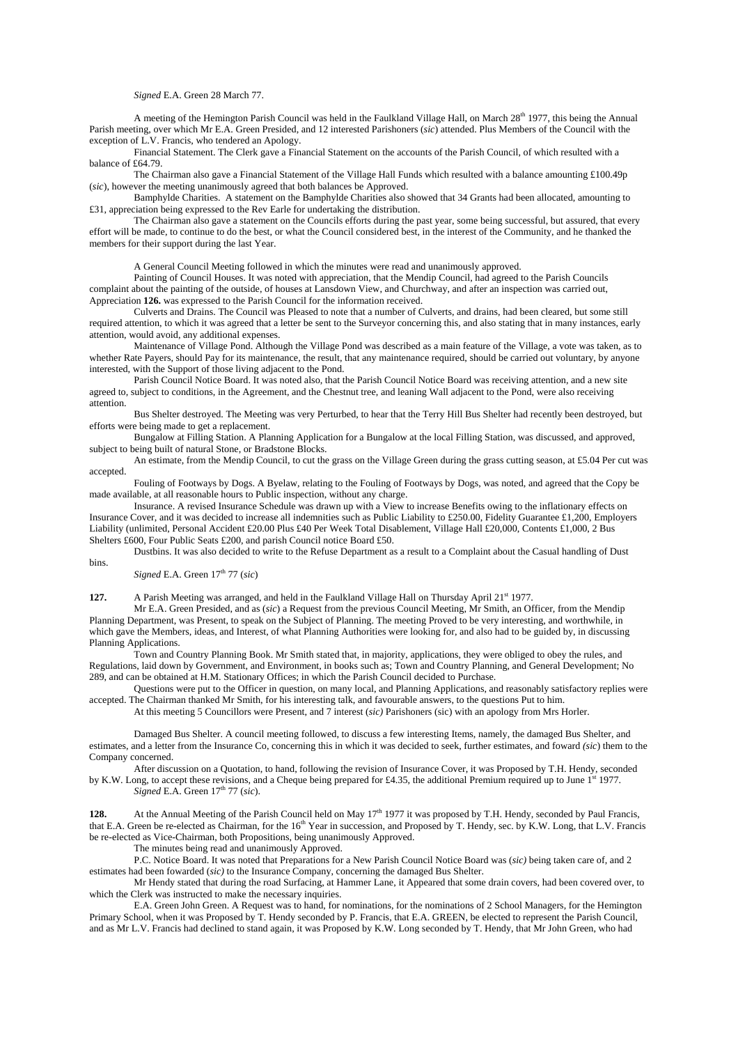### *Signed* E.A. Green 28 March 77.

A meeting of the Hemington Parish Council was held in the Faulkland Village Hall, on March 28<sup>th</sup> 1977, this being the Annual Parish meeting, over which Mr E.A. Green Presided, and 12 interested Parishoners (*sic*) attended. Plus Members of the Council with the exception of L.V. Francis, who tendered an Apology.

 Financial Statement. The Clerk gave a Financial Statement on the accounts of the Parish Council, of which resulted with a balance of £64.79.

 The Chairman also gave a Financial Statement of the Village Hall Funds which resulted with a balance amounting £100.49p (*sic*), however the meeting unanimously agreed that both balances be Approved.

 Bamphylde Charities. A statement on the Bamphylde Charities also showed that 34 Grants had been allocated, amounting to £31, appreciation being expressed to the Rev Earle for undertaking the distribution.

 The Chairman also gave a statement on the Councils efforts during the past year, some being successful, but assured, that every effort will be made, to continue to do the best, or what the Council considered best, in the interest of the Community, and he thanked the members for their support during the last Year.

A General Council Meeting followed in which the minutes were read and unanimously approved.

 Painting of Council Houses. It was noted with appreciation, that the Mendip Council, had agreed to the Parish Councils complaint about the painting of the outside, of houses at Lansdown View, and Churchway, and after an inspection was carried out, Appreciation **126.** was expressed to the Parish Council for the information received.

 Culverts and Drains. The Council was Pleased to note that a number of Culverts, and drains, had been cleared, but some still required attention, to which it was agreed that a letter be sent to the Surveyor concerning this, and also stating that in many instances, early attention, would avoid, any additional expenses.

 Maintenance of Village Pond. Although the Village Pond was described as a main feature of the Village, a vote was taken, as to whether Rate Payers, should Pay for its maintenance, the result, that any maintenance required, should be carried out voluntary, by anyone interested, with the Support of those living adjacent to the Pond.

 Parish Council Notice Board. It was noted also, that the Parish Council Notice Board was receiving attention, and a new site agreed to, subject to conditions, in the Agreement, and the Chestnut tree, and leaning Wall adjacent to the Pond, were also receiving attention.

 Bus Shelter destroyed. The Meeting was very Perturbed, to hear that the Terry Hill Bus Shelter had recently been destroyed, but efforts were being made to get a replacement.

 Bungalow at Filling Station. A Planning Application for a Bungalow at the local Filling Station, was discussed, and approved, subject to being built of natural Stone, or Bradstone Blocks.

An estimate, from the Mendip Council, to cut the grass on the Village Green during the grass cutting season, at £5.04 Per cut was accepted.

 Fouling of Footways by Dogs. A Byelaw, relating to the Fouling of Footways by Dogs, was noted, and agreed that the Copy be made available, at all reasonable hours to Public inspection, without any charge.

 Insurance. A revised Insurance Schedule was drawn up with a View to increase Benefits owing to the inflationary effects on Insurance Cover, and it was decided to increase all indemnities such as Public Liability to £250.00, Fidelity Guarantee £1,200, Employers Liability (unlimited, Personal Accident £20.00 Plus £40 Per Week Total Disablement, Village Hall £20,000, Contents £1,000, 2 Bus Shelters £600, Four Public Seats £200, and parish Council notice Board £50.

 Dustbins. It was also decided to write to the Refuse Department as a result to a Complaint about the Casual handling of Dust bins.

*Signed* E.A. Green  $17<sup>th</sup>$  77 (*sic*)

**127.** A Parish Meeting was arranged, and held in the Faulkland Village Hall on Thursday April 21<sup>st</sup> 1977.

 Mr E.A. Green Presided, and as (*sic*) a Request from the previous Council Meeting, Mr Smith, an Officer, from the Mendip Planning Department, was Present, to speak on the Subject of Planning. The meeting Proved to be very interesting, and worthwhile, in which gave the Members, ideas, and Interest, of what Planning Authorities were looking for, and also had to be guided by, in discussing Planning Applications.

 Town and Country Planning Book. Mr Smith stated that, in majority, applications, they were obliged to obey the rules, and Regulations, laid down by Government, and Environment, in books such as; Town and Country Planning, and General Development; No 289, and can be obtained at H.M. Stationary Offices; in which the Parish Council decided to Purchase.

 Questions were put to the Officer in question, on many local, and Planning Applications, and reasonably satisfactory replies were accepted. The Chairman thanked Mr Smith, for his interesting talk, and favourable answers, to the questions Put to him.

At this meeting 5 Councillors were Present, and 7 interest (*sic)* Parishoners (sic) with an apology from Mrs Horler.

 Damaged Bus Shelter. A council meeting followed, to discuss a few interesting Items, namely, the damaged Bus Shelter, and estimates, and a letter from the Insurance Co, concerning this in which it was decided to seek, further estimates, and foward *(sic*) them to the Company concerned.

 After discussion on a Quotation, to hand, following the revision of Insurance Cover, it was Proposed by T.H. Hendy, seconded by K.W. Long, to accept these revisions, and a Cheque being prepared for £4.35, the additional Premium required up to June 1<sup>st</sup> 1977. *Signed* E.A. Green  $17<sup>th</sup>$  77 (*sic*).

At the Annual Meeting of the Parish Council held on May 17<sup>th</sup> 1977 it was proposed by T.H. Hendy, seconded by Paul Francis, that E.A. Green be re-elected as Chairman, for the 16<sup>th</sup> Year in succession, and Proposed by T. Hendy, sec. by K.W. Long, that L.V. Francis be re-elected as Vice-Chairman, both Propositions, being unanimously Approved.

The minutes being read and unanimously Approved.

 P.C. Notice Board. It was noted that Preparations for a New Parish Council Notice Board was (*sic)* being taken care of, and 2 estimates had been fowarded (*sic)* to the Insurance Company, concerning the damaged Bus Shelter.

 Mr Hendy stated that during the road Surfacing, at Hammer Lane, it Appeared that some drain covers, had been covered over, to which the Clerk was instructed to make the necessary inquiries.

 E.A. Green John Green. A Request was to hand, for nominations, for the nominations of 2 School Managers, for the Hemington Primary School, when it was Proposed by T. Hendy seconded by P. Francis, that E.A. GREEN, be elected to represent the Parish Council, and as Mr L.V. Francis had declined to stand again, it was Proposed by K.W. Long seconded by T. Hendy, that Mr John Green, who had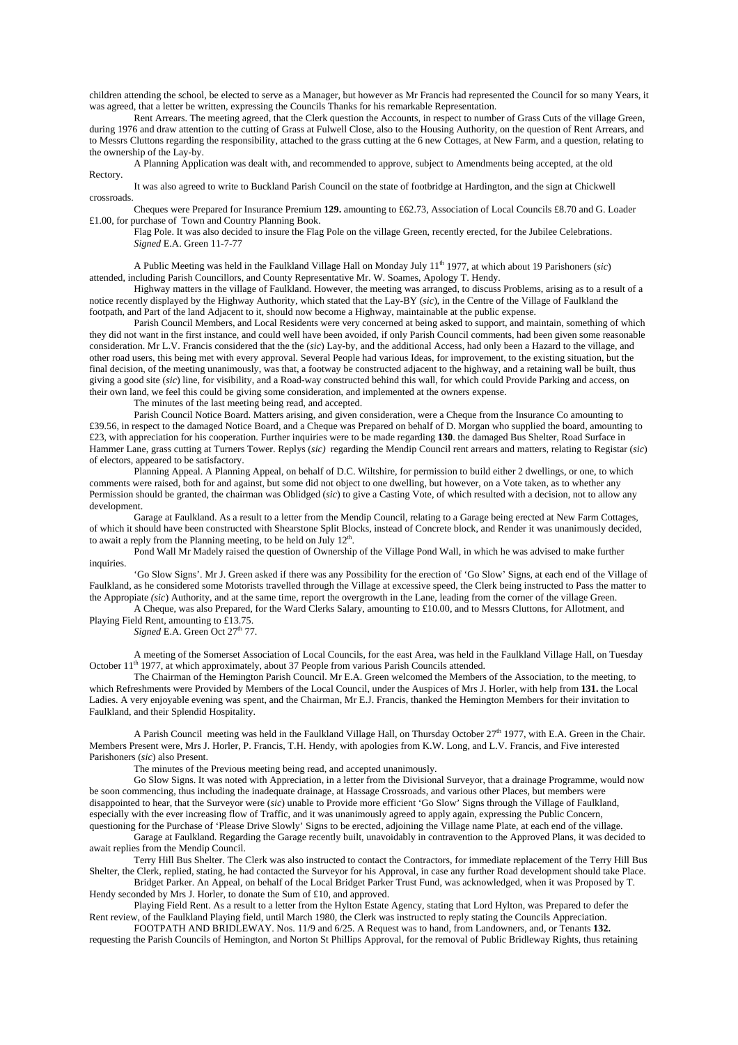children attending the school, be elected to serve as a Manager, but however as Mr Francis had represented the Council for so many Years, it was agreed, that a letter be written, expressing the Councils Thanks for his remarkable Representation.

 Rent Arrears. The meeting agreed, that the Clerk question the Accounts, in respect to number of Grass Cuts of the village Green, during 1976 and draw attention to the cutting of Grass at Fulwell Close, also to the Housing Authority, on the question of Rent Arrears, and to Messrs Cluttons regarding the responsibility, attached to the grass cutting at the 6 new Cottages, at New Farm, and a question, relating to the ownership of the Lay-by.

 A Planning Application was dealt with, and recommended to approve, subject to Amendments being accepted, at the old Rectory.

 It was also agreed to write to Buckland Parish Council on the state of footbridge at Hardington, and the sign at Chickwell crossroads.

 Cheques were Prepared for Insurance Premium **129.** amounting to £62.73, Association of Local Councils £8.70 and G. Loader £1.00, for purchase of Town and Country Planning Book.

 Flag Pole. It was also decided to insure the Flag Pole on the village Green, recently erected, for the Jubilee Celebrations. *Signed* E.A. Green 11-7-77

 A Public Meeting was held in the Faulkland Village Hall on Monday July 11th 1977, at which about 19 Parishoners (*sic*) attended, including Parish Councillors, and County Representative Mr. W. Soames, Apology T. Hendy.

 Highway matters in the village of Faulkland. However, the meeting was arranged, to discuss Problems, arising as to a result of a notice recently displayed by the Highway Authority, which stated that the Lay-BY (*sic*), in the Centre of the Village of Faulkland the footpath, and Part of the land Adjacent to it, should now become a Highway, maintainable at the public expense.

 Parish Council Members, and Local Residents were very concerned at being asked to support, and maintain, something of which they did not want in the first instance, and could well have been avoided, if only Parish Council comments, had been given some reasonable consideration. Mr L.V. Francis considered that the the (*sic*) Lay-by, and the additional Access, had only been a Hazard to the village, and other road users, this being met with every approval. Several People had various Ideas, for improvement, to the existing situation, but the final decision, of the meeting unanimously, was that, a footway be constructed adjacent to the highway, and a retaining wall be built, thus giving a good site (*sic*) line, for visibility, and a Road-way constructed behind this wall, for which could Provide Parking and access, on their own land, we feel this could be giving some consideration, and implemented at the owners expense.

The minutes of the last meeting being read, and accepted.

 Parish Council Notice Board. Matters arising, and given consideration, were a Cheque from the Insurance Co amounting to £39.56, in respect to the damaged Notice Board, and a Cheque was Prepared on behalf of D. Morgan who supplied the board, amounting to £23, with appreciation for his cooperation. Further inquiries were to be made regarding **130**. the damaged Bus Shelter, Road Surface in Hammer Lane, grass cutting at Turners Tower. Replys (*sic)* regarding the Mendip Council rent arrears and matters, relating to Registar (*sic*) of electors, appeared to be satisfactory.

 Planning Appeal. A Planning Appeal, on behalf of D.C. Wiltshire, for permission to build either 2 dwellings, or one, to which comments were raised, both for and against, but some did not object to one dwelling, but however, on a Vote taken, as to whether any Permission should be granted, the chairman was Oblidged (*sic*) to give a Casting Vote, of which resulted with a decision, not to allow any development.

 Garage at Faulkland. As a result to a letter from the Mendip Council, relating to a Garage being erected at New Farm Cottages, of which it should have been constructed with Shearstone Split Blocks, instead of Concrete block, and Render it was unanimously decided, to await a reply from the Planning meeting, to be held on July  $12<sup>th</sup>$ .

 Pond Wall Mr Madely raised the question of Ownership of the Village Pond Wall, in which he was advised to make further inquiries.

 'Go Slow Signs'. Mr J. Green asked if there was any Possibility for the erection of 'Go Slow' Signs, at each end of the Village of Faulkland, as he considered some Motorists travelled through the Village at excessive speed, the Clerk being instructed to Pass the matter to the Appropiate *(sic*) Authority, and at the same time, report the overgrowth in the Lane, leading from the corner of the village Green. A Cheque, was also Prepared, for the Ward Clerks Salary, amounting to £10.00, and to Messrs Cluttons, for Allotment, and

Playing Field Rent, amounting to £13.75.  $Signed$  E.A. Green Oct  $27<sup>th</sup>$  77.

 A meeting of the Somerset Association of Local Councils, for the east Area, was held in the Faulkland Village Hall, on Tuesday October 11<sup>th</sup> 1977, at which approximately, about 37 People from various Parish Councils attended.

 The Chairman of the Hemington Parish Council. Mr E.A. Green welcomed the Members of the Association, to the meeting, to which Refreshments were Provided by Members of the Local Council, under the Auspices of Mrs J. Horler, with help from **131.** the Local Ladies. A very enjoyable evening was spent, and the Chairman, Mr E.J. Francis, thanked the Hemington Members for their invitation to Faulkland, and their Splendid Hospitality.

A Parish Council meeting was held in the Faulkland Village Hall, on Thursday October 27<sup>th</sup> 1977, with E.A. Green in the Chair. Members Present were, Mrs J. Horler, P. Francis, T.H. Hendy, with apologies from K.W. Long, and L.V. Francis, and Five interested Parishoners (*sic*) also Present.

The minutes of the Previous meeting being read, and accepted unanimously.

 Go Slow Signs. It was noted with Appreciation, in a letter from the Divisional Surveyor, that a drainage Programme, would now be soon commencing, thus including the inadequate drainage, at Hassage Crossroads, and various other Places, but members were disappointed to hear, that the Surveyor were (*sic*) unable to Provide more efficient 'Go Slow' Signs through the Village of Faulkland, especially with the ever increasing flow of Traffic, and it was unanimously agreed to apply again, expressing the Public Concern, questioning for the Purchase of 'Please Drive Slowly' Signs to be erected, adjoining the Village name Plate, at each end of the village.

 Garage at Faulkland. Regarding the Garage recently built, unavoidably in contravention to the Approved Plans, it was decided to await replies from the Mendip Council.

 Terry Hill Bus Shelter. The Clerk was also instructed to contact the Contractors, for immediate replacement of the Terry Hill Bus Shelter, the Clerk, replied, stating, he had contacted the Surveyor for his Approval, in case any further Road development should take Place.

 Bridget Parker. An Appeal, on behalf of the Local Bridget Parker Trust Fund, was acknowledged, when it was Proposed by T. Hendy seconded by Mrs J. Horler, to donate the Sum of £10, and approved.

 Playing Field Rent. As a result to a letter from the Hylton Estate Agency, stating that Lord Hylton, was Prepared to defer the Rent review, of the Faulkland Playing field, until March 1980, the Clerk was instructed to reply stating the Councils Appreciation.

 FOOTPATH AND BRIDLEWAY. Nos. 11/9 and 6/25. A Request was to hand, from Landowners, and, or Tenants **132.** requesting the Parish Councils of Hemington, and Norton St Phillips Approval, for the removal of Public Bridleway Rights, thus retaining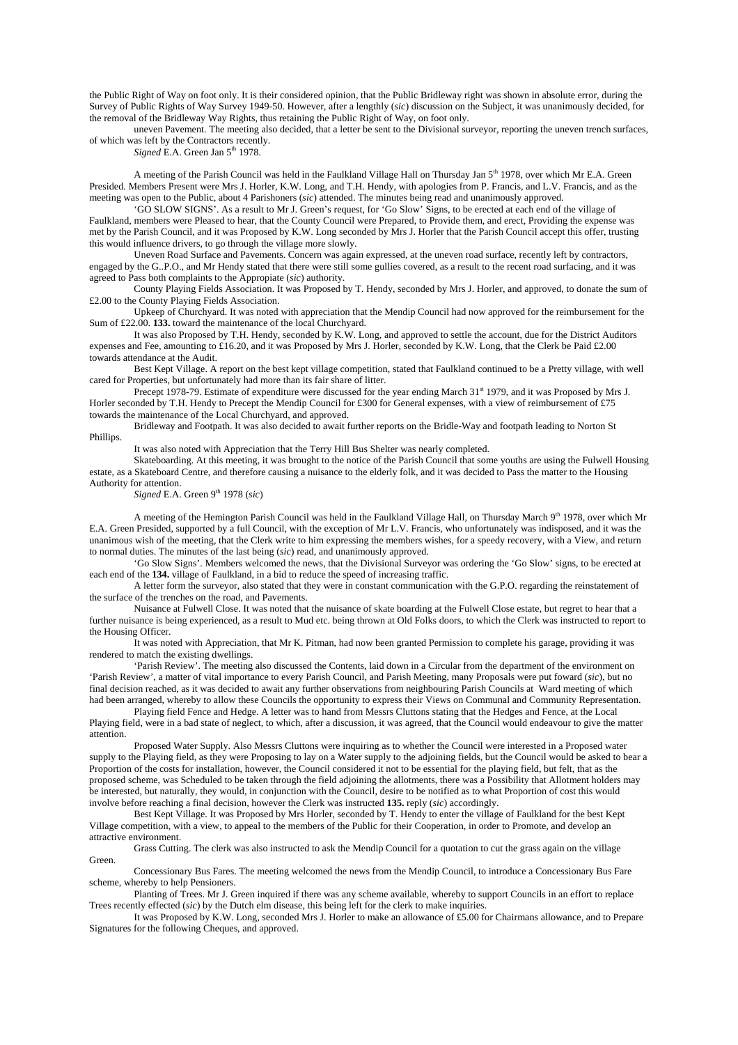the Public Right of Way on foot only. It is their considered opinion, that the Public Bridleway right was shown in absolute error, during the Survey of Public Rights of Way Survey 1949-50. However, after a lengthly (*sic*) discussion on the Subject, it was unanimously decided, for the removal of the Bridleway Way Rights, thus retaining the Public Right of Way, on foot only.

 uneven Pavement. The meeting also decided, that a letter be sent to the Divisional surveyor, reporting the uneven trench surfaces, of which was left by the Contractors recently.

Signed E.A. Green Jan 5<sup>th</sup> 1978.

A meeting of the Parish Council was held in the Faulkland Village Hall on Thursday Jan 5<sup>th</sup> 1978, over which Mr E.A. Green Presided. Members Present were Mrs J. Horler, K.W. Long, and T.H. Hendy, with apologies from P. Francis, and L.V. Francis, and as the meeting was open to the Public, about 4 Parishoners (*sic*) attended. The minutes being read and unanimously approved.

 'GO SLOW SIGNS'. As a result to Mr J. Green's request, for 'Go Slow' Signs, to be erected at each end of the village of Faulkland, members were Pleased to hear, that the County Council were Prepared, to Provide them, and erect, Providing the expense was met by the Parish Council, and it was Proposed by K.W. Long seconded by Mrs J. Horler that the Parish Council accept this offer, trusting this would influence drivers, to go through the village more slowly.

 Uneven Road Surface and Pavements. Concern was again expressed, at the uneven road surface, recently left by contractors, engaged by the G..P.O., and Mr Hendy stated that there were still some gullies covered, as a result to the recent road surfacing, and it was agreed to Pass both complaints to the Appropiate (*sic*) authority.

 County Playing Fields Association. It was Proposed by T. Hendy, seconded by Mrs J. Horler, and approved, to donate the sum of £2.00 to the County Playing Fields Association.

 Upkeep of Churchyard. It was noted with appreciation that the Mendip Council had now approved for the reimbursement for the Sum of £22.00. **133.** toward the maintenance of the local Churchyard.

 It was also Proposed by T.H. Hendy, seconded by K.W. Long, and approved to settle the account, due for the District Auditors expenses and Fee, amounting to £16.20, and it was Proposed by Mrs J. Horler, seconded by K.W. Long, that the Clerk be Paid £2.00 towards attendance at the Audit.

 Best Kept Village. A report on the best kept village competition, stated that Faulkland continued to be a Pretty village, with well cared for Properties, but unfortunately had more than its fair share of litter.

Precept 1978-79. Estimate of expenditure were discussed for the year ending March 31st 1979, and it was Proposed by Mrs J. Horler seconded by T.H. Hendy to Precept the Mendip Council for £300 for General expenses, with a view of reimbursement of £75 towards the maintenance of the Local Churchyard, and approved.

 Bridleway and Footpath. It was also decided to await further reports on the Bridle-Way and footpath leading to Norton St Phillips.

It was also noted with Appreciation that the Terry Hill Bus Shelter was nearly completed.

Skateboarding. At this meeting, it was brought to the notice of the Parish Council that some youths are using the Fulwell Housing estate, as a Skateboard Centre, and therefore causing a nuisance to the elderly folk, and it was decided to Pass the matter to the Housing Authority for attention.

*Signed* E.A. Green 9<sup>th</sup> 1978 (*sic*)

A meeting of the Hemington Parish Council was held in the Faulkland Village Hall, on Thursday March 9<sup>th</sup> 1978, over which Mr E.A. Green Presided, supported by a full Council, with the exception of Mr L.V. Francis, who unfortunately was indisposed, and it was the unanimous wish of the meeting, that the Clerk write to him expressing the members wishes, for a speedy recovery, with a View, and return to normal duties. The minutes of the last being (*sic*) read, and unanimously approved.

 'Go Slow Signs'. Members welcomed the news, that the Divisional Surveyor was ordering the 'Go Slow' signs, to be erected at each end of the **134.** village of Faulkland, in a bid to reduce the speed of increasing traffic.

 A letter form the surveyor, also stated that they were in constant communication with the G.P.O. regarding the reinstatement of the surface of the trenches on the road, and Pavements.

 Nuisance at Fulwell Close. It was noted that the nuisance of skate boarding at the Fulwell Close estate, but regret to hear that a further nuisance is being experienced, as a result to Mud etc. being thrown at Old Folks doors, to which the Clerk was instructed to report to the Housing Officer.

 It was noted with Appreciation, that Mr K. Pitman, had now been granted Permission to complete his garage, providing it was rendered to match the existing dwellings.

 'Parish Review'. The meeting also discussed the Contents, laid down in a Circular from the department of the environment on 'Parish Review', a matter of vital importance to every Parish Council, and Parish Meeting, many Proposals were put foward (*sic*), but no final decision reached, as it was decided to await any further observations from neighbouring Parish Councils at Ward meeting of which had been arranged, whereby to allow these Councils the opportunity to express their Views on Communal and Community Representation.

 Playing field Fence and Hedge. A letter was to hand from Messrs Cluttons stating that the Hedges and Fence, at the Local Playing field, were in a bad state of neglect, to which, after a discussion, it was agreed, that the Council would endeavour to give the matter attention.

 Proposed Water Supply. Also Messrs Cluttons were inquiring as to whether the Council were interested in a Proposed water supply to the Playing field, as they were Proposing to lay on a Water supply to the adjoining fields, but the Council would be asked to bear a Proportion of the costs for installation, however, the Council considered it not to be essential for the playing field, but felt, that as the proposed scheme, was Scheduled to be taken through the field adjoining the allotments, there was a Possibility that Allotment holders may be interested, but naturally, they would, in conjunction with the Council, desire to be notified as to what Proportion of cost this would involve before reaching a final decision, however the Clerk was instructed **135.** reply (*sic*) accordingly.

 Best Kept Village. It was Proposed by Mrs Horler, seconded by T. Hendy to enter the village of Faulkland for the best Kept Village competition, with a view, to appeal to the members of the Public for their Cooperation, in order to Promote, and develop an attractive environment.

 Grass Cutting. The clerk was also instructed to ask the Mendip Council for a quotation to cut the grass again on the village Green.

 Concessionary Bus Fares. The meeting welcomed the news from the Mendip Council, to introduce a Concessionary Bus Fare scheme, whereby to help Pensioners.

 Planting of Trees. Mr J. Green inquired if there was any scheme available, whereby to support Councils in an effort to replace Trees recently effected (*sic*) by the Dutch elm disease, this being left for the clerk to make inquiries.

It was Proposed by K.W. Long, seconded Mrs J. Horler to make an allowance of  $\hat{E}$ 5.00 for Chairmans allowance, and to Prepare Signatures for the following Cheques, and approved.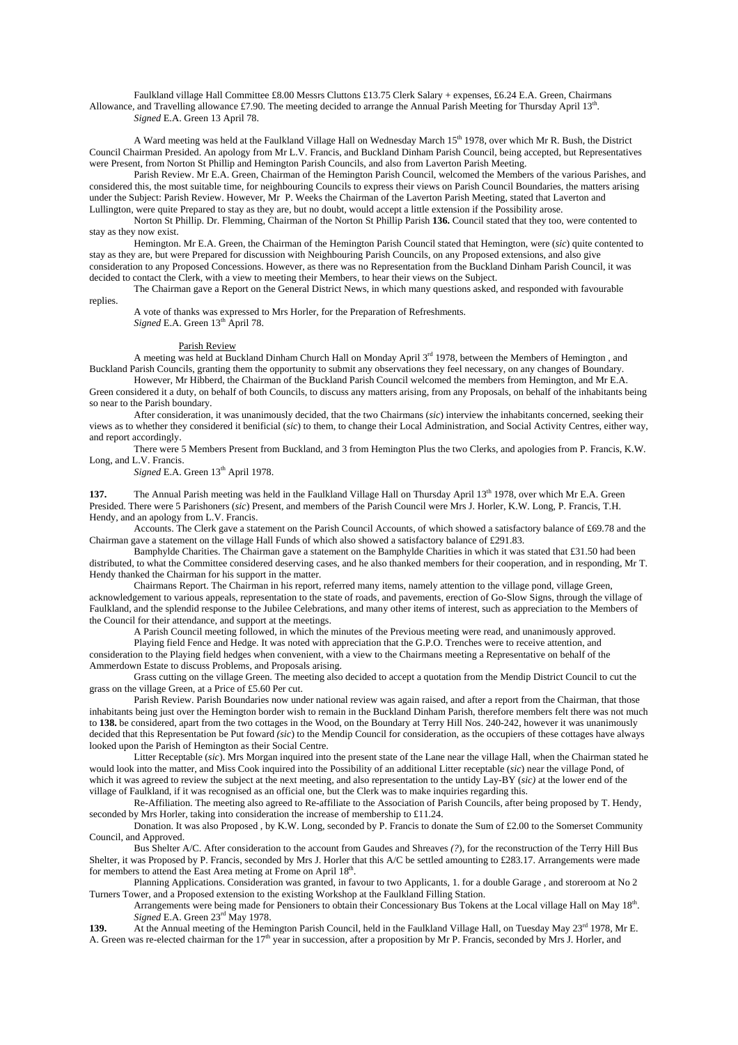Faulkland village Hall Committee £8.00 Messrs Cluttons £13.75 Clerk Salary + expenses, £6.24 E.A. Green, Chairmans Allowance, and Travelling allowance £7.90. The meeting decided to arrange the Annual Parish Meeting for Thursday April 13<sup>th</sup>. *Signed* E.A. Green 13 April 78.

A Ward meeting was held at the Faulkland Village Hall on Wednesday March 15<sup>th</sup> 1978, over which Mr R. Bush, the District Council Chairman Presided. An apology from Mr L.V. Francis, and Buckland Dinham Parish Council, being accepted, but Representatives were Present, from Norton St Phillip and Hemington Parish Councils, and also from Laverton Parish Meeting.

 Parish Review. Mr E.A. Green, Chairman of the Hemington Parish Council, welcomed the Members of the various Parishes, and considered this, the most suitable time, for neighbouring Councils to express their views on Parish Council Boundaries, the matters arising under the Subject: Parish Review. However, Mr P. Weeks the Chairman of the Laverton Parish Meeting, stated that Laverton and Lullington, were quite Prepared to stay as they are, but no doubt, would accept a little extension if the Possibility arose.

 Norton St Phillip. Dr. Flemming, Chairman of the Norton St Phillip Parish **136.** Council stated that they too, were contented to stay as they now exist.

 Hemington. Mr E.A. Green, the Chairman of the Hemington Parish Council stated that Hemington, were (*sic*) quite contented to stay as they are, but were Prepared for discussion with Neighbouring Parish Councils, on any Proposed extensions, and also give consideration to any Proposed Concessions. However, as there was no Representation from the Buckland Dinham Parish Council, it was decided to contact the Clerk, with a view to meeting their Members, to hear their views on the Subject.

 The Chairman gave a Report on the General District News, in which many questions asked, and responded with favourable replies.

 A vote of thanks was expressed to Mrs Horler, for the Preparation of Refreshments. *Signed* E.A. Green  $13<sup>th</sup>$  April 78.

## Parish Review

A meeting was held at Buckland Dinham Church Hall on Monday April 3rd 1978, between the Members of Hemington, and Buckland Parish Councils, granting them the opportunity to submit any observations they feel necessary, on any changes of Boundary.

 However, Mr Hibberd, the Chairman of the Buckland Parish Council welcomed the members from Hemington, and Mr E.A. Green considered it a duty, on behalf of both Councils, to discuss any matters arising, from any Proposals, on behalf of the inhabitants being so near to the Parish boundary.

 After consideration, it was unanimously decided, that the two Chairmans (*sic*) interview the inhabitants concerned, seeking their views as to whether they considered it benificial (*sic*) to them, to change their Local Administration, and Social Activity Centres, either way, and report accordingly.

 There were 5 Members Present from Buckland, and 3 from Hemington Plus the two Clerks, and apologies from P. Francis, K.W. Long, and L.V. Francis.

*Signed* E.A. Green  $13<sup>th</sup>$  April 1978.

The Annual Parish meeting was held in the Faulkland Village Hall on Thursday April 13<sup>th</sup> 1978, over which Mr E.A. Green Presided. There were 5 Parishoners (*sic*) Present, and members of the Parish Council were Mrs J. Horler, K.W. Long, P. Francis, T.H. Hendy, and an apology from L.V. Francis.

Accounts. The Clerk gave a statement on the Parish Council Accounts, of which showed a satisfactory balance of £69.78 and the Chairman gave a statement on the village Hall Funds of which also showed a satisfactory balance of £291.83.

 Bamphylde Charities. The Chairman gave a statement on the Bamphylde Charities in which it was stated that £31.50 had been distributed, to what the Committee considered deserving cases, and he also thanked members for their cooperation, and in responding, Mr T. Hendy thanked the Chairman for his support in the matter.

 Chairmans Report. The Chairman in his report, referred many items, namely attention to the village pond, village Green, acknowledgement to various appeals, representation to the state of roads, and pavements, erection of Go-Slow Signs, through the village of Faulkland, and the splendid response to the Jubilee Celebrations, and many other items of interest, such as appreciation to the Members of the Council for their attendance, and support at the meetings.

A Parish Council meeting followed, in which the minutes of the Previous meeting were read, and unanimously approved.

 Playing field Fence and Hedge. It was noted with appreciation that the G.P.O. Trenches were to receive attention, and consideration to the Playing field hedges when convenient, with a view to the Chairmans meeting a Representative on behalf of the Ammerdown Estate to discuss Problems, and Proposals arising.

 Grass cutting on the village Green. The meeting also decided to accept a quotation from the Mendip District Council to cut the grass on the village Green, at a Price of £5.60 Per cut.

 Parish Review. Parish Boundaries now under national review was again raised, and after a report from the Chairman, that those inhabitants being just over the Hemington border wish to remain in the Buckland Dinham Parish, therefore members felt there was not much to **138.** be considered, apart from the two cottages in the Wood, on the Boundary at Terry Hill Nos. 240-242, however it was unanimously decided that this Representation be Put foward *(sic*) to the Mendip Council for consideration, as the occupiers of these cottages have always looked upon the Parish of Hemington as their Social Centre.

 Litter Receptable (*sic*). Mrs Morgan inquired into the present state of the Lane near the village Hall, when the Chairman stated he would look into the matter, and Miss Cook inquired into the Possibility of an additional Litter receptable (*sic*) near the village Pond, of which it was agreed to review the subject at the next meeting, and also representation to the untidy Lay-BY (*sic)* at the lower end of the village of Faulkland, if it was recognised as an official one, but the Clerk was to make inquiries regarding this.

 Re-Affiliation. The meeting also agreed to Re-affiliate to the Association of Parish Councils, after being proposed by T. Hendy, seconded by Mrs Horler, taking into consideration the increase of membership to £11.24.

 Donation. It was also Proposed , by K.W. Long, seconded by P. Francis to donate the Sum of £2.00 to the Somerset Community Council, and Approved.

 Bus Shelter A/C. After consideration to the account from Gaudes and Shreaves *(?*), for the reconstruction of the Terry Hill Bus Shelter, it was Proposed by P. Francis, seconded by Mrs J. Horler that this A/C be settled amounting to £283.17. Arrangements were made for members to attend the East Area meting at Frome on April  $18<sup>th</sup>$ .

 Planning Applications. Consideration was granted, in favour to two Applicants, 1. for a double Garage , and storeroom at No 2 Turners Tower, and a Proposed extension to the existing Workshop at the Faulkland Filling Station.

Arrangements were being made for Pensioners to obtain their Concessionary Bus Tokens at the Local village Hall on May 18<sup>th</sup>. *Signed* E.A. Green 23rd May 1978.

139. At the Annual meeting of the Hemington Parish Council, held in the Faulkland Village Hall, on Tuesday May 23<sup>rd</sup> 1978, Mr E. A. Green was re-elected chairman for the 17<sup>th</sup> year in succession, after a proposition by Mr P. Francis, seconded by Mrs J. Horler, and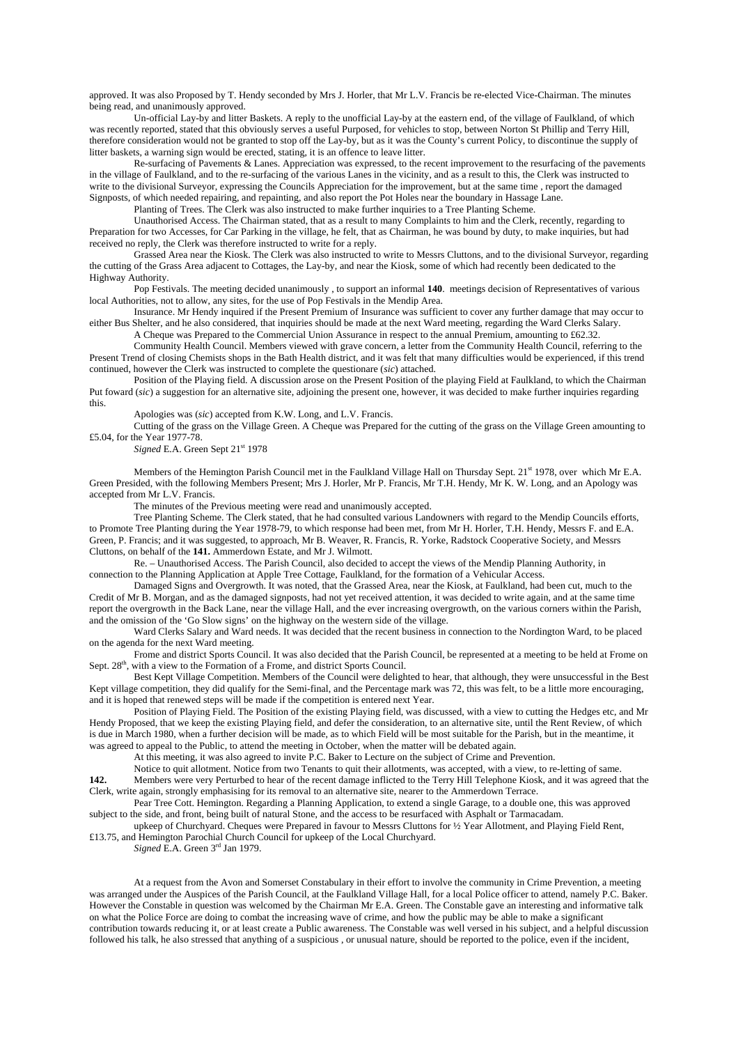approved. It was also Proposed by T. Hendy seconded by Mrs J. Horler, that Mr L.V. Francis be re-elected Vice-Chairman. The minutes being read, and unanimously approved.

 Un-official Lay-by and litter Baskets. A reply to the unofficial Lay-by at the eastern end, of the village of Faulkland, of which was recently reported, stated that this obviously serves a useful Purposed, for vehicles to stop, between Norton St Phillip and Terry Hill, therefore consideration would not be granted to stop off the Lay-by, but as it was the County's current Policy, to discontinue the supply of litter baskets, a warning sign would be erected, stating, it is an offence to leave litter.

 Re-surfacing of Pavements & Lanes. Appreciation was expressed, to the recent improvement to the resurfacing of the pavements in the village of Faulkland, and to the re-surfacing of the various Lanes in the vicinity, and as a result to this, the Clerk was instructed to write to the divisional Surveyor, expressing the Councils Appreciation for the improvement, but at the same time , report the damaged Signposts, of which needed repairing, and repainting, and also report the Pot Holes near the boundary in Hassage Lane.

Planting of Trees. The Clerk was also instructed to make further inquiries to a Tree Planting Scheme.

 Unauthorised Access. The Chairman stated, that as a result to many Complaints to him and the Clerk, recently, regarding to Preparation for two Accesses, for Car Parking in the village, he felt, that as Chairman, he was bound by duty, to make inquiries, but had received no reply, the Clerk was therefore instructed to write for a reply.

 Grassed Area near the Kiosk. The Clerk was also instructed to write to Messrs Cluttons, and to the divisional Surveyor, regarding the cutting of the Grass Area adjacent to Cottages, the Lay-by, and near the Kiosk, some of which had recently been dedicated to the Highway Authority.

 Pop Festivals. The meeting decided unanimously , to support an informal **140**. meetings decision of Representatives of various local Authorities, not to allow, any sites, for the use of Pop Festivals in the Mendip Area.

 Insurance. Mr Hendy inquired if the Present Premium of Insurance was sufficient to cover any further damage that may occur to either Bus Shelter, and he also considered, that inquiries should be made at the next Ward meeting, regarding the Ward Clerks Salary. A Cheque was Prepared to the Commercial Union Assurance in respect to the annual Premium, amounting to £62.32.

Community Health Council. Members viewed with grave concern, a letter from the Community Health Council, referring to the

Present Trend of closing Chemists shops in the Bath Health district, and it was felt that many difficulties would be experienced, if this trend continued, however the Clerk was instructed to complete the questionare (*sic*) attached.

 Position of the Playing field. A discussion arose on the Present Position of the playing Field at Faulkland, to which the Chairman Put foward (*sic*) a suggestion for an alternative site, adjoining the present one, however, it was decided to make further inquiries regarding this.

Apologies was (*sic*) accepted from K.W. Long, and L.V. Francis.

 Cutting of the grass on the Village Green. A Cheque was Prepared for the cutting of the grass on the Village Green amounting to £5.04, for the Year 1977-78.

Signed E.A. Green Sept 21<sup>st</sup> 1978

Members of the Hemington Parish Council met in the Faulkland Village Hall on Thursday Sept. 21st 1978, over which Mr E.A. Green Presided, with the following Members Present; Mrs J. Horler, Mr P. Francis, Mr T.H. Hendy, Mr K. W. Long, and an Apology was accepted from Mr L.V. Francis.

The minutes of the Previous meeting were read and unanimously accepted.

 Tree Planting Scheme. The Clerk stated, that he had consulted various Landowners with regard to the Mendip Councils efforts, to Promote Tree Planting during the Year 1978-79, to which response had been met, from Mr H. Horler, T.H. Hendy, Messrs F. and E.A. Green, P. Francis; and it was suggested, to approach, Mr B. Weaver, R. Francis, R. Yorke, Radstock Cooperative Society, and Messrs Cluttons, on behalf of the **141.** Ammerdown Estate, and Mr J. Wilmott.

 Re. – Unauthorised Access. The Parish Council, also decided to accept the views of the Mendip Planning Authority, in connection to the Planning Application at Apple Tree Cottage, Faulkland, for the formation of a Vehicular Access.

 Damaged Signs and Overgrowth. It was noted, that the Grassed Area, near the Kiosk, at Faulkland, had been cut, much to the Credit of Mr B. Morgan, and as the damaged signposts, had not yet received attention, it was decided to write again, and at the same time report the overgrowth in the Back Lane, near the village Hall, and the ever increasing overgrowth, on the various corners within the Parish, and the omission of the 'Go Slow signs' on the highway on the western side of the village.

 Ward Clerks Salary and Ward needs. It was decided that the recent business in connection to the Nordington Ward, to be placed on the agenda for the next Ward meeting.

 Frome and district Sports Council. It was also decided that the Parish Council, be represented at a meeting to be held at Frome on Sept. 28<sup>th</sup>, with a view to the Formation of a Frome, and district Sports Council.

Best Kept Village Competition. Members of the Council were delighted to hear, that although, they were unsuccessful in the Best Kept village competition, they did qualify for the Semi-final, and the Percentage mark was 72, this was felt, to be a little more encouraging, and it is hoped that renewed steps will be made if the competition is entered next Year.

 Position of Playing Field. The Position of the existing Playing field, was discussed, with a view to cutting the Hedges etc, and Mr Hendy Proposed, that we keep the existing Playing field, and defer the consideration, to an alternative site, until the Rent Review, of which is due in March 1980, when a further decision will be made, as to which Field will be most suitable for the Parish, but in the meantime, it was agreed to appeal to the Public, to attend the meeting in October, when the matter will be debated again.

At this meeting, it was also agreed to invite P.C. Baker to Lecture on the subject of Crime and Prevention.

Notice to quit allotment. Notice from two Tenants to quit their allotments, was accepted, with a view, to re-letting of same.

**142.** Members were very Perturbed to hear of the recent damage inflicted to the Terry Hill Telephone Kiosk, and it was agreed that the Clerk, write again, strongly emphasising for its removal to an alternative site, nearer to the Ammerdown Terrace.

 Pear Tree Cott. Hemington. Regarding a Planning Application, to extend a single Garage, to a double one, this was approved subject to the side, and front, being built of natural Stone, and the access to be resurfaced with Asphalt or Tarmacadam.

 upkeep of Churchyard. Cheques were Prepared in favour to Messrs Cluttons for ½ Year Allotment, and Playing Field Rent, £13.75, and Hemington Parochial Church Council for upkeep of the Local Churchyard.

*Signed* E.A. Green 3rd Jan 1979.

 At a request from the Avon and Somerset Constabulary in their effort to involve the community in Crime Prevention, a meeting was arranged under the Auspices of the Parish Council, at the Faulkland Village Hall, for a local Police officer to attend, namely P.C. Baker. However the Constable in question was welcomed by the Chairman Mr E.A. Green. The Constable gave an interesting and informative talk on what the Police Force are doing to combat the increasing wave of crime, and how the public may be able to make a significant contribution towards reducing it, or at least create a Public awareness. The Constable was well versed in his subject, and a helpful discussion followed his talk, he also stressed that anything of a suspicious , or unusual nature, should be reported to the police, even if the incident,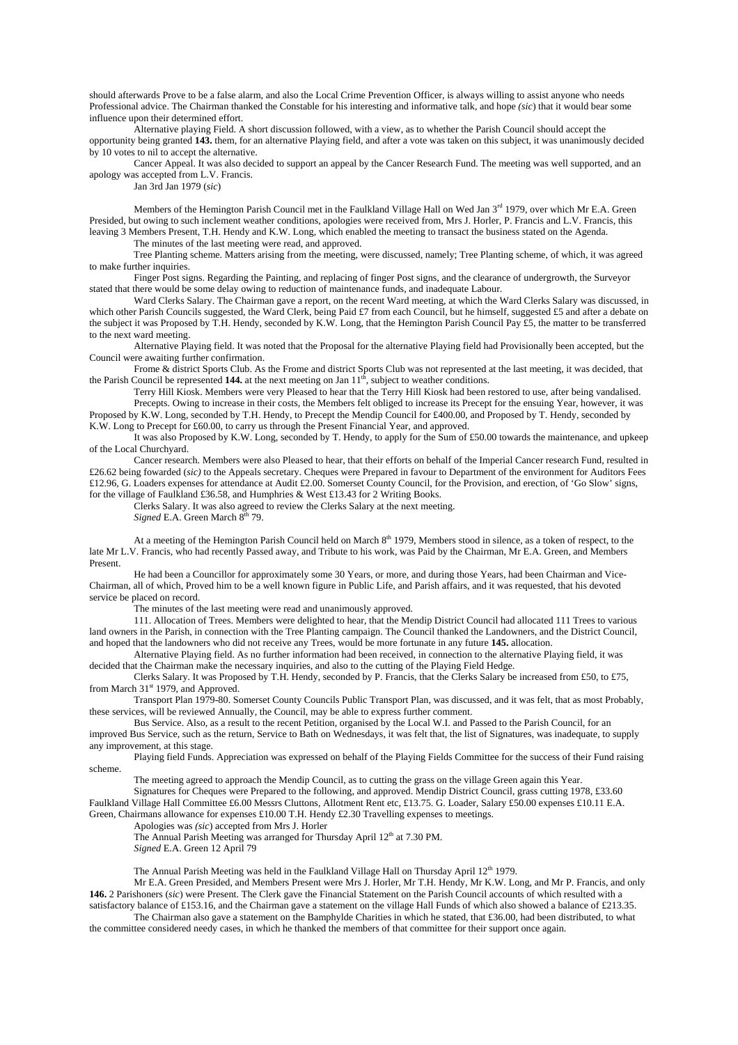should afterwards Prove to be a false alarm, and also the Local Crime Prevention Officer, is always willing to assist anyone who needs Professional advice. The Chairman thanked the Constable for his interesting and informative talk, and hope *(sic*) that it would bear some influence upon their determined effort.

 Alternative playing Field. A short discussion followed, with a view, as to whether the Parish Council should accept the opportunity being granted **143.** them, for an alternative Playing field, and after a vote was taken on this subject, it was unanimously decided by 10 votes to nil to accept the alternative.

 Cancer Appeal. It was also decided to support an appeal by the Cancer Research Fund. The meeting was well supported, and an apology was accepted from L.V. Francis.

Jan 3rd Jan 1979 (*sic*)

Members of the Hemington Parish Council met in the Faulkland Village Hall on Wed Jan 3<sup>rd</sup> 1979, over which Mr E.A. Green Presided, but owing to such inclement weather conditions, apologies were received from, Mrs J. Horler, P. Francis and L.V. Francis, this leaving 3 Members Present, T.H. Hendy and K.W. Long, which enabled the meeting to transact the business stated on the Agenda. The minutes of the last meeting were read, and approved.

Tree Planting scheme. Matters arising from the meeting, were discussed, namely; Tree Planting scheme, of which, it was agreed

to make further inquiries.

 Finger Post signs. Regarding the Painting, and replacing of finger Post signs, and the clearance of undergrowth, the Surveyor stated that there would be some delay owing to reduction of maintenance funds, and inadequate Labour.

 Ward Clerks Salary. The Chairman gave a report, on the recent Ward meeting, at which the Ward Clerks Salary was discussed, in which other Parish Councils suggested, the Ward Clerk, being Paid £7 from each Council, but he himself, suggested £5 and after a debate on the subject it was Proposed by T.H. Hendy, seconded by K.W. Long, that the Hemington Parish Council Pay £5, the matter to be transferred to the next ward meeting.

 Alternative Playing field. It was noted that the Proposal for the alternative Playing field had Provisionally been accepted, but the Council were awaiting further confirmation.

 Frome & district Sports Club. As the Frome and district Sports Club was not represented at the last meeting, it was decided, that the Parish Council be represented **144.** at the next meeting on Jan  $11<sup>th</sup>$ , subject to weather conditions.

 Terry Hill Kiosk. Members were very Pleased to hear that the Terry Hill Kiosk had been restored to use, after being vandalised. Precepts. Owing to increase in their costs, the Members felt obliged to increase its Precept for the ensuing Year, however, it was Proposed by K.W. Long, seconded by T.H. Hendy, to Precept the Mendip Council for £400.00, and Proposed by T. Hendy, seconded by K.W. Long to Precept for £60.00, to carry us through the Present Financial Year, and approved.

It was also Proposed by K.W. Long, seconded by T. Hendy, to apply for the Sum of £50.00 towards the maintenance, and upkeep

of the Local Churchyard. Cancer research. Members were also Pleased to hear, that their efforts on behalf of the Imperial Cancer research Fund, resulted in

£26.62 being fowarded (*sic)* to the Appeals secretary. Cheques were Prepared in favour to Department of the environment for Auditors Fees £12.96, G. Loaders expenses for attendance at Audit £2.00. Somerset County Council, for the Provision, and erection, of 'Go Slow' signs, for the village of Faulkland £36.58, and Humphries & West £13.43 for 2 Writing Books.

Clerks Salary. It was also agreed to review the Clerks Salary at the next meeting.

*Signed* E.A. Green March  $8<sup>th</sup>$  79.

At a meeting of the Hemington Parish Council held on March  $8<sup>th</sup> 1979$ , Members stood in silence, as a token of respect, to the late Mr L.V. Francis, who had recently Passed away, and Tribute to his work, was Paid by the Chairman, Mr E.A. Green, and Members Present.

 He had been a Councillor for approximately some 30 Years, or more, and during those Years, had been Chairman and Vice-Chairman, all of which, Proved him to be a well known figure in Public Life, and Parish affairs, and it was requested, that his devoted service be placed on record.

The minutes of the last meeting were read and unanimously approved.

111. Allocation of Trees. Members were delighted to hear, that the Mendip District Council had allocated 111 Trees to various land owners in the Parish, in connection with the Tree Planting campaign. The Council thanked the Landowners, and the District Council, and hoped that the landowners who did not receive any Trees, would be more fortunate in any future **145.** allocation.

Alternative Playing field. As no further information had been received, in connection to the alternative Playing field, it was decided that the Chairman make the necessary inquiries, and also to the cutting of the Playing Field Hedge.

Clerks Salary. It was Proposed by T.H. Hendy, seconded by P. Francis, that the Clerks Salary be increased from £50, to £75, from March 31<sup>st</sup> 1979, and Approved.

Transport Plan 1979-80. Somerset County Councils Public Transport Plan, was discussed, and it was felt, that as most Probably, these services, will be reviewed Annually, the Council, may be able to express further comment.

Bus Service. Also, as a result to the recent Petition, organised by the Local W.I. and Passed to the Parish Council, for an improved Bus Service, such as the return, Service to Bath on Wednesdays, it was felt that, the list of Signatures, was inadequate, to supply any improvement, at this stage.

Playing field Funds. Appreciation was expressed on behalf of the Playing Fields Committee for the success of their Fund raising scheme.

The meeting agreed to approach the Mendip Council, as to cutting the grass on the village Green again this Year. Signatures for Cheques were Prepared to the following, and approved. Mendip District Council, grass cutting 1978, £33.60 Faulkland Village Hall Committee £6.00 Messrs Cluttons, Allotment Rent etc, £13.75. G. Loader, Salary £50.00 expenses £10.11 E.A. Green, Chairmans allowance for expenses £10.00 T.H. Hendy £2.30 Travelling expenses to meetings.

Apologies was *(sic*) accepted from Mrs J. Horler

The Annual Parish Meeting was arranged for Thursday April 12<sup>th</sup> at 7.30 PM.

*Signed* E.A. Green 12 April 79

The Annual Parish Meeting was held in the Faulkland Village Hall on Thursday April 12<sup>th</sup> 1979.

Mr E.A. Green Presided, and Members Present were Mrs J. Horler, Mr T.H. Hendy, Mr K.W. Long, and Mr P. Francis, and only **146.** 2 Parishoners (*sic*) were Present. The Clerk gave the Financial Statement on the Parish Council accounts of which resulted with a satisfactory balance of £153.16, and the Chairman gave a statement on the village Hall Funds of which also showed a balance of £213.35.

The Chairman also gave a statement on the Bamphylde Charities in which he stated, that £36.00, had been distributed, to what the committee considered needy cases, in which he thanked the members of that committee for their support once again.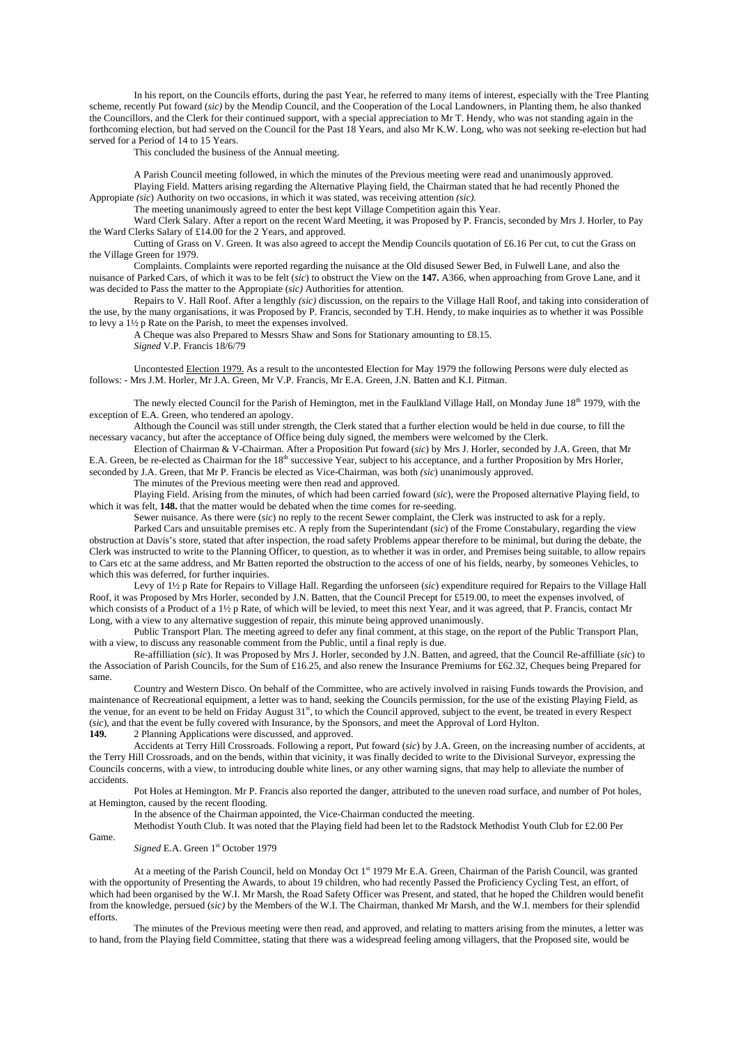In his report, on the Councils efforts, during the past Year, he referred to many items of interest, especially with the Tree Planting scheme, recently Put foward (*sic)* by the Mendip Council, and the Cooperation of the Local Landowners, in Planting them, he also thanked the Councillors, and the Clerk for their continued support, with a special appreciation to Mr T. Hendy, who was not standing again in the forthcoming election, but had served on the Council for the Past 18 Years, and also Mr K.W. Long, who was not seeking re-election but had served for a Period of 14 to 15 Years.

This concluded the business of the Annual meeting.

A Parish Council meeting followed, in which the minutes of the Previous meeting were read and unanimously approved. Playing Field. Matters arising regarding the Alternative Playing field, the Chairman stated that he had recently Phoned the Appropiate *(sic*) Authority on two occasions, in which it was stated, was receiving attention *(sic).*

The meeting unanimously agreed to enter the best kept Village Competition again this Year.

Ward Clerk Salary. After a report on the recent Ward Meeting, it was Proposed by P. Francis, seconded by Mrs J. Horler, to Pay the Ward Clerks Salary of £14.00 for the 2 Years, and approved.

Cutting of Grass on V. Green. It was also agreed to accept the Mendip Councils quotation of £6.16 Per cut, to cut the Grass on the Village Green for 1979.

Complaints. Complaints were reported regarding the nuisance at the Old disused Sewer Bed, in Fulwell Lane, and also the nuisance of Parked Cars, of which it was to be felt (*sic*) to obstruct the View on the **147.** A366, when approaching from Grove Lane, and it was decided to Pass the matter to the Appropiate (*sic)* Authorities for attention.

Repairs to V. Hall Roof. After a lengthly *(sic)* discussion, on the repairs to the Village Hall Roof, and taking into consideration of the use, by the many organisations, it was Proposed by P. Francis, seconded by T.H. Hendy, to make inquiries as to whether it was Possible to levy a 1½ p Rate on the Parish, to meet the expenses involved.

A Cheque was also Prepared to Messrs Shaw and Sons for Stationary amounting to £8.15.

*Signed* V.P. Francis 18/6/79

Uncontested Election 1979. As a result to the uncontested Election for May 1979 the following Persons were duly elected as follows: - Mrs J.M. Horler, Mr J.A. Green, Mr V.P. Francis, Mr E.A. Green, J.N. Batten and K.I. Pitman.

The newly elected Council for the Parish of Hemington, met in the Faulkland Village Hall, on Monday June  $18<sup>th</sup> 1979$ , with the exception of E.A. Green, who tendered an apology.

Although the Council was still under strength, the Clerk stated that a further election would be held in due course, to fill the necessary vacancy, but after the acceptance of Office being duly signed, the members were welcomed by the Clerk.

Election of Chairman & V-Chairman. After a Proposition Put foward (*sic*) by Mrs J. Horler, seconded by J.A. Green, that Mr E.A. Green, be re-elected as Chairman for the 18<sup>th</sup> successive Year, subject to his acceptance, and a further Proposition by Mrs Horler, seconded by J.A. Green, that Mr P. Francis be elected as Vice-Chairman, was both *(sic*) unanimously approved.

The minutes of the Previous meeting were then read and approved.

Playing Field. Arising from the minutes, of which had been carried foward (*sic*), were the Proposed alternative Playing field, to which it was felt, **148.** that the matter would be debated when the time comes for re-seeding.

Sewer nuisance. As there were (*sic*) no reply to the recent Sewer complaint, the Clerk was instructed to ask for a reply.

Parked Cars and unsuitable premises etc. A reply from the Superintendant (*sic*) of the Frome Constabulary, regarding the view obstruction at Davis's store, stated that after inspection, the road safety Problems appear therefore to be minimal, but during the debate, the Clerk was instructed to write to the Planning Officer, to question, as to whether it was in order, and Premises being suitable, to allow repairs to Cars etc at the same address, and Mr Batten reported the obstruction to the access of one of his fields, nearby, by someones Vehicles, to which this was deferred, for further inquiries.

Levy of 1½ p Rate for Repairs to Village Hall. Regarding the unforseen (*sic*) expenditure required for Repairs to the Village Hall Roof, it was Proposed by Mrs Horler, seconded by J.N. Batten, that the Council Precept for £519.00, to meet the expenses involved, of which consists of a Product of a 1½ p Rate, of which will be levied, to meet this next Year, and it was agreed, that P. Francis, contact Mr Long, with a view to any alternative suggestion of repair, this minute being approved unanimously.

Public Transport Plan. The meeting agreed to defer any final comment, at this stage, on the report of the Public Transport Plan, with a view, to discuss any reasonable comment from the Public, until a final reply is due.

Re-affilliation (*sic*). It was Proposed by Mrs J. Horler, seconded by J.N. Batten, and agreed, that the Council Re-affilliate (*sic*) to the Association of Parish Councils, for the Sum of £16.25, and also renew the Insurance Premiums for £62.32, Cheques being Prepared for same.

Country and Western Disco. On behalf of the Committee, who are actively involved in raising Funds towards the Provision, and maintenance of Recreational equipment, a letter was to hand, seeking the Councils permission, for the use of the existing Playing Field, as the venue, for an event to be held on Friday August 31<sup>st</sup>, to which the Council approved, subject to the event, be treated in every Respect (*sic*), and that the event be fully covered with Insurance, by the Sponsors, and meet the Approval of Lord Hylton.

**149.** 2 Planning Applications were discussed, and approved.

 Accidents at Terry Hill Crossroads. Following a report, Put foward (*sic*) by J.A. Green, on the increasing number of accidents, at the Terry Hill Crossroads, and on the bends, within that vicinity, it was finally decided to write to the Divisional Surveyor, expressing the Councils concerns, with a view, to introducing double white lines, or any other warning signs, that may help to alleviate the number of accidents.

 Pot Holes at Hemington. Mr P. Francis also reported the danger, attributed to the uneven road surface, and number of Pot holes, at Hemington, caused by the recent flooding.

In the absence of the Chairman appointed, the Vice-Chairman conducted the meeting.

Methodist Youth Club. It was noted that the Playing field had been let to the Radstock Methodist Youth Club for £2.00 Per

Game.

*Signed* E.A. Green 1<sup>st</sup> October 1979

At a meeting of the Parish Council, held on Monday Oct 1<sup>st</sup> 1979 Mr E.A. Green, Chairman of the Parish Council, was granted with the opportunity of Presenting the Awards, to about 19 children, who had recently Passed the Proficiency Cycling Test, an effort, of which had been organised by the W.I. Mr Marsh, the Road Safety Officer was Present, and stated, that he hoped the Children would benefit from the knowledge, persued (*sic)* by the Members of the W.I. The Chairman, thanked Mr Marsh, and the W.I. members for their splendid efforts.

 The minutes of the Previous meeting were then read, and approved, and relating to matters arising from the minutes, a letter was to hand, from the Playing field Committee, stating that there was a widespread feeling among villagers, that the Proposed site, would be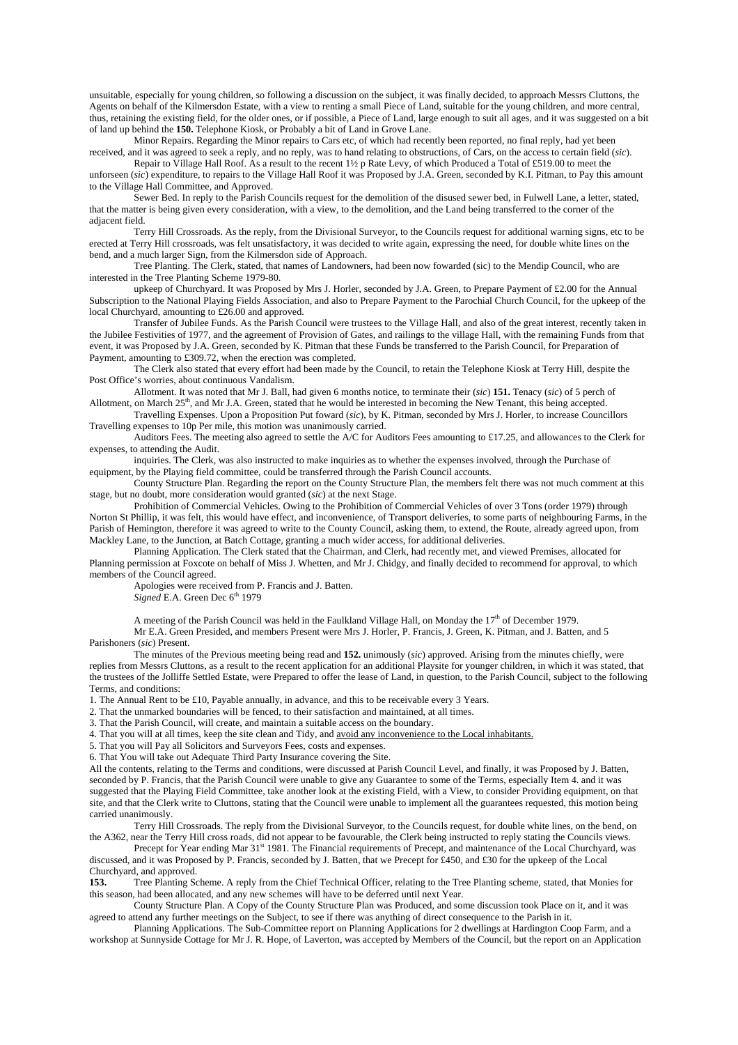unsuitable, especially for young children, so following a discussion on the subject, it was finally decided, to approach Messrs Cluttons, the Agents on behalf of the Kilmersdon Estate, with a view to renting a small Piece of Land, suitable for the young children, and more central, thus, retaining the existing field, for the older ones, or if possible, a Piece of Land, large enough to suit all ages, and it was suggested on a bit of land up behind the **150.** Telephone Kiosk, or Probably a bit of Land in Grove Lane.

 Minor Repairs. Regarding the Minor repairs to Cars etc, of which had recently been reported, no final reply, had yet been received, and it was agreed to seek a reply, and no reply, was to hand relating to obstructions, of Cars, on the access to certain field (*sic*).

 Repair to Village Hall Roof. As a result to the recent 1½ p Rate Levy, of which Produced a Total of £519.00 to meet the unforseen (*sic*) expenditure, to repairs to the Village Hall Roof it was Proposed by J.A. Green, seconded by K.I. Pitman, to Pay this amount to the Village Hall Committee, and Approved.

 Sewer Bed. In reply to the Parish Councils request for the demolition of the disused sewer bed, in Fulwell Lane, a letter, stated, that the matter is being given every consideration, with a view, to the demolition, and the Land being transferred to the corner of the adjacent field.

 Terry Hill Crossroads. As the reply, from the Divisional Surveyor, to the Councils request for additional warning signs, etc to be erected at Terry Hill crossroads, was felt unsatisfactory, it was decided to write again, expressing the need, for double white lines on the bend, and a much larger Sign, from the Kilmersdon side of Approach.

 Tree Planting. The Clerk, stated, that names of Landowners, had been now fowarded (sic) to the Mendip Council, who are interested in the Tree Planting Scheme 1979-80.

 upkeep of Churchyard. It was Proposed by Mrs J. Horler, seconded by J.A. Green, to Prepare Payment of £2.00 for the Annual Subscription to the National Playing Fields Association, and also to Prepare Payment to the Parochial Church Council, for the upkeep of the local Churchyard, amounting to £26.00 and approved.

 Transfer of Jubilee Funds. As the Parish Council were trustees to the Village Hall, and also of the great interest, recently taken in the Jubilee Festivities of 1977, and the agreement of Provision of Gates, and railings to the village Hall, with the remaining Funds from that event, it was Proposed by J.A. Green, seconded by K. Pitman that these Funds be transferred to the Parish Council, for Preparation of Payment, amounting to £309.72, when the erection was completed.

 The Clerk also stated that every effort had been made by the Council, to retain the Telephone Kiosk at Terry Hill, despite the Post Office's worries, about continuous Vandalism.

 Allotment. It was noted that Mr J. Ball, had given 6 months notice, to terminate their (*sic*) **151.** Tenacy (*sic*) of 5 perch of Allotment, on March  $25<sup>th</sup>$ , and Mr J.A. Green, stated that he would be interested in becoming the New Tenant, this being accepted.

 Travelling Expenses. Upon a Proposition Put foward (*sic*), by K. Pitman, seconded by Mrs J. Horler, to increase Councillors Travelling expenses to 10p Per mile, this motion was unanimously carried.

 Auditors Fees. The meeting also agreed to settle the A/C for Auditors Fees amounting to £17.25, and allowances to the Clerk for expenses, to attending the Audit.

 inquiries. The Clerk, was also instructed to make inquiries as to whether the expenses involved, through the Purchase of equipment, by the Playing field committee, could be transferred through the Parish Council accounts.

 County Structure Plan. Regarding the report on the County Structure Plan, the members felt there was not much comment at this stage, but no doubt, more consideration would granted (*sic*) at the next Stage.

 Prohibition of Commercial Vehicles. Owing to the Prohibition of Commercial Vehicles of over 3 Tons (order 1979) through Norton St Phillip, it was felt, this would have effect, and inconvenience, of Transport deliveries, to some parts of neighbouring Farms, in the Parish of Hemington, therefore it was agreed to write to the County Council, asking them, to extend, the Route, already agreed upon, from Mackley Lane, to the Junction, at Batch Cottage, granting a much wider access, for additional deliveries.

 Planning Application. The Clerk stated that the Chairman, and Clerk, had recently met, and viewed Premises, allocated for Planning permission at Foxcote on behalf of Miss J. Whetten, and Mr J. Chidgy, and finally decided to recommend for approval, to which members of the Council agreed.

Apologies were received from P. Francis and J. Batten.

 $Signed$  E.A. Green Dec 6<sup>th</sup> 1979

A meeting of the Parish Council was held in the Faulkland Village Hall, on Monday the  $17<sup>th</sup>$  of December 1979.

 Mr E.A. Green Presided, and members Present were Mrs J. Horler, P. Francis, J. Green, K. Pitman, and J. Batten, and 5 Parishoners (*sic*) Present.

 The minutes of the Previous meeting being read and **152.** unimously (*sic*) approved. Arising from the minutes chiefly, were replies from Messrs Cluttons, as a result to the recent application for an additional Playsite for younger children, in which it was stated, that the trustees of the Jolliffe Settled Estate, were Prepared to offer the lease of Land, in question, to the Parish Council, subject to the following Terms, and conditions:

1. The Annual Rent to be £10, Payable annually, in advance, and this to be receivable every 3 Years.

2. That the unmarked boundaries will be fenced, to their satisfaction and maintained, at all times.

3. That the Parish Council, will create, and maintain a suitable access on the boundary.

4. That you will at all times, keep the site clean and Tidy, and avoid any inconvenience to the Local inhabitants.

5. That you will Pay all Solicitors and Surveyors Fees, costs and expenses.

6. That You will take out Adequate Third Party Insurance covering the Site.

All the contents, relating to the Terms and conditions, were discussed at Parish Council Level, and finally, it was Proposed by J. Batten, seconded by P. Francis, that the Parish Council were unable to give any Guarantee to some of the Terms, especially Item 4. and it was suggested that the Playing Field Committee, take another look at the existing Field, with a View, to consider Providing equipment, on that site, and that the Clerk write to Cluttons, stating that the Council were unable to implement all the guarantees requested, this motion being carried unanimously.

Terry Hill Crossroads. The reply from the Divisional Surveyor, to the Councils request, for double white lines, on the bend, on the A362, near the Terry Hill cross roads, did not appear to be favourable, the Clerk being in the A362, near the Terry Hill cross roads, did not appear to be favourable, the Clerk being instructed to reply stating the Councils views.

Precept for Year ending Mar 31<sup>st</sup> 1981. The Financial requirements of Precept, and maintenance of the Local Churchyard, was discussed, and it was Proposed by P. Francis, seconded by J. Batten, that we Precept for £450, and £30 for the upkeep of the Local Churchyard, and approved.<br>153. Tree Planting Sc

**153.** Tree Planting Scheme. A reply from the Chief Technical Officer, relating to the Tree Planting scheme, stated, that Monies for this season, had been allocated, and any new schemes will have to be deferred until next Year.

 County Structure Plan. A Copy of the County Structure Plan was Produced, and some discussion took Place on it, and it was agreed to attend any further meetings on the Subject, to see if there was anything of direct consequence to the Parish in it.

 Planning Applications. The Sub-Committee report on Planning Applications for 2 dwellings at Hardington Coop Farm, and a workshop at Sunnyside Cottage for Mr J. R. Hope, of Laverton, was accepted by Members of the Council, but the report on an Application